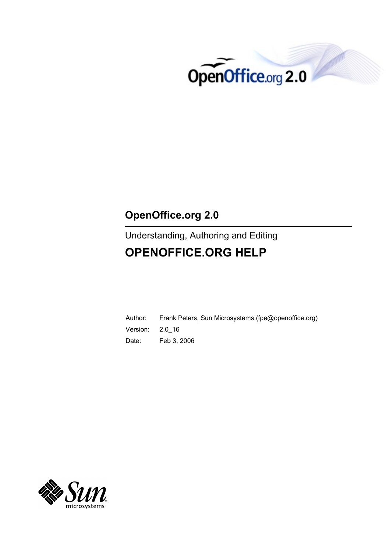

# **OpenOffice.org 2.0**

Understanding, Authoring and Editing

# **OPENOFFICE.ORG HELP**

Author: Frank Peters, Sun Microsystems (fpe@openoffice.org) Version: 2.0\_16 Date: Feb 3, 2006

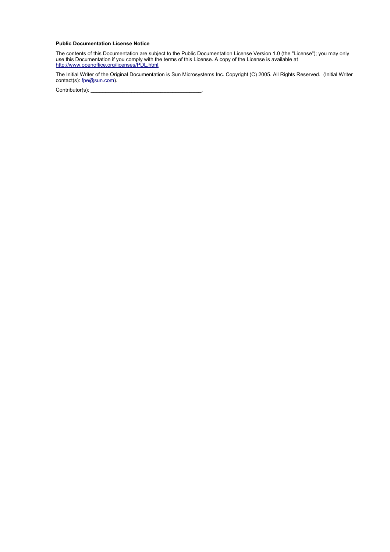#### **Public Documentation License Notice**

The contents of this Documentation are subject to the Public Documentation License Version 1.0 (the "License"); you may only use this Documentation if you comply with the terms of this License. A copy of the License is available at [http://www.openoffice.org/licenses/PDL.html.](http://www.openoffice.org/licenses/PDL.html)

The Initial Writer of the Original Documentation is Sun Microsystems Inc. Copyright (C) 2005. All Rights Reserved. (Initial Writer contact(s): [fpe@sun.com](mailto:fpe@sun.com)).

Contributor(s):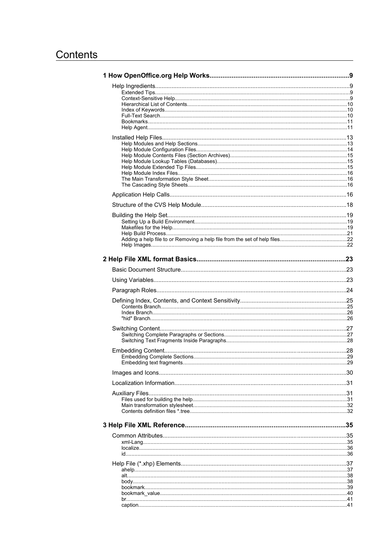<u> 1980 - Johann Barn, mars ar breithinn ar breithinn ar breithinn ar breithinn ar breithinn ar breithinn ar br</u>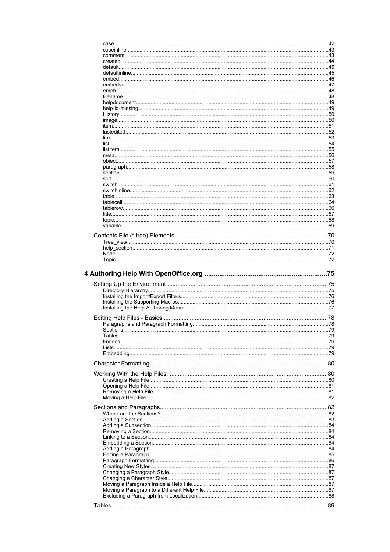| . 57 |
|------|
|      |
|      |
|      |
|      |
|      |
|      |
|      |
|      |
|      |
|      |
|      |
|      |
|      |
|      |
|      |
|      |
|      |
|      |
|      |
|      |
|      |
|      |
|      |
|      |
|      |
|      |
|      |
|      |
|      |
|      |
|      |
|      |
|      |
|      |
|      |
|      |
|      |
|      |
|      |
|      |
|      |
|      |
|      |
|      |
|      |
|      |
|      |
|      |
|      |
|      |
|      |
|      |
|      |
|      |
|      |
|      |
|      |
|      |
|      |
|      |
|      |
|      |
|      |
|      |
|      |
|      |
|      |
|      |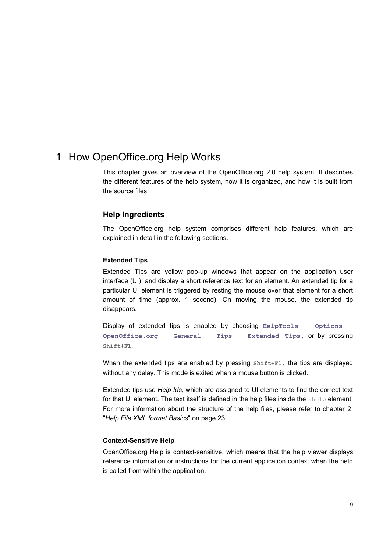## 1 How OpenOffice.org Help Works

This chapter gives an overview of the OpenOffice.org 2.0 help system. It describes the different features of the help system, how it is organized, and how it is built from the source files.

### **Help Ingredients**

The OpenOffice.org help system comprises different help features, which are explained in detail in the following sections.

### **Extended Tips**

Extended Tips are yellow pop-up windows that appear on the application user interface (UI), and display a short reference text for an element. An extended tip for a particular UI element is triggered by resting the mouse over that element for a short amount of time (approx. 1 second). On moving the mouse, the extended tip disappears.

Display of extended tips is enabled by choosing **HelpTools – Options – OpenOffice.org – General – Tips – Extended Tips,** or by pressing **Shift+F1**.

When the extended tips are enabled by pressing  $\text{Shift+FI}$ , the tips are displayed without any delay. This mode is exited when a mouse button is clicked.

Extended tips use *Help Ids,* which are assigned to UI elements to find the correct text for that UI element. The text itself is defined in the help files inside the  $ab$  ahelp element. For more information about the structure of the help files, please refer to chapter [2:](#page-22-0) "*Help File XML format [Basics](#page-22-0)*" on page [23](#page-22-0).

### **Context-Sensitive Help**

OpenOffice.org Help is context-sensitive, which means that the help viewer displays reference information or instructions for the current application context when the help is called from within the application.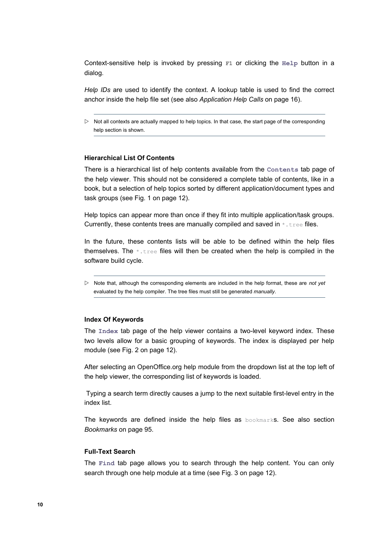Context-sensitive help is invoked by pressing **F1** or clicking the **Help** button in a dialog.

*Help IDs* are used to identify the context. A lookup table is used to find the correct anchor inside the help file set (see also *[Application](#page-15-0) Help Calls* on page [16](#page-15-0)).

#### **Hierarchical List Of Contents**

There is a hierarchical list of help contents available from the **Contents** tab page of the help viewer. This should not be considered a complete table of contents, like in a book, but a selection of help topics sorted by different application/document types and task groups (see [Fig.](#page-11-2) 1 on page [12](#page-11-2)).

Help topics can appear more than once if they fit into multiple application/task groups. Currently, these contents trees are manually compiled and saved in  $*$ . tree files.

In the future, these contents lists will be able to be defined within the help files themselves. The  $*$ , tree files will then be created when the help is compiled in the software build cycle.

### **Index Of Keywords**

The **Index** tab page of the help viewer contains a two-level keyword index. These two levels allow for a basic grouping of keywords. The index is displayed per help module (see [Fig.](#page-11-1) 2 on page [12](#page-11-1)).

After selecting an OpenOffice.org help module from the dropdown list at the top left of the help viewer, the corresponding list of keywords is loaded.

Typing a search term directly causes a jump to the next suitable first-level entry in the index list.

The keywords are defined inside the help files as bookmarks. See also section *[Bookmarks](#page-94-0)* on page [95.](#page-94-0)

#### **Full-Text Search**

The **Find** tab page allows you to search through the help content. You can only search through one help module at a time (see [Fig.](#page-11-0) 3 on page [12](#page-11-0)).

 $\triangleright$  Not all contexts are actually mapped to help topics. In that case, the start page of the corresponding help section is shown.

<sup>▷</sup> Note that, although the corresponding elements are included in the help format, these are *not yet* evaluated by the help compiler. The tree files must still be generated *manually*.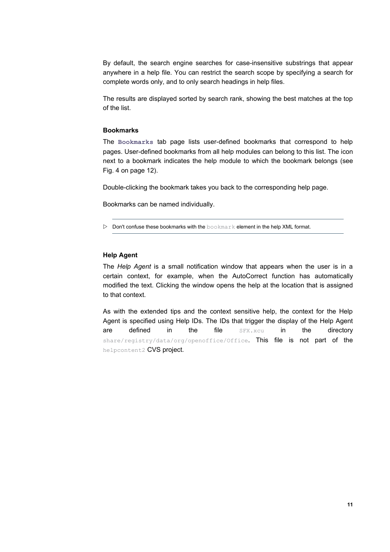By default, the search engine searches for case-insensitive substrings that appear anywhere in a help file. You can restrict the search scope by specifying a search for complete words only, and to only search headings in help files.

The results are displayed sorted by search rank, showing the best matches at the top of the list.

#### **Bookmarks**

The **Bookmarks** tab page lists user-defined bookmarks that correspond to help pages. User-defined bookmarks from all help modules can belong to this list. The icon next to a bookmark indicates the help module to which the bookmark belongs (see [Fig.](#page-11-3) 4 on page [12\)](#page-11-3).

Double-clicking the bookmark takes you back to the corresponding help page.

Bookmarks can be named individually.

▷ Don't confuse these bookmarks with the bookmark element in the help XML format.

### **Help Agent**

The *Help Agent* is a small notification window that appears when the user is in a certain context, for example, when the AutoCorrect function has automatically modified the text. Clicking the window opens the help at the location that is assigned to that context.

As with the extended tips and the context sensitive help, the context for the Help Agent is specified using Help IDs. The IDs that trigger the display of the Help Agent are defined in the file SFX.xcu in the directory share/registry/data/org/openoffice/Office. This file is not part of the helpcontent2 CVS project.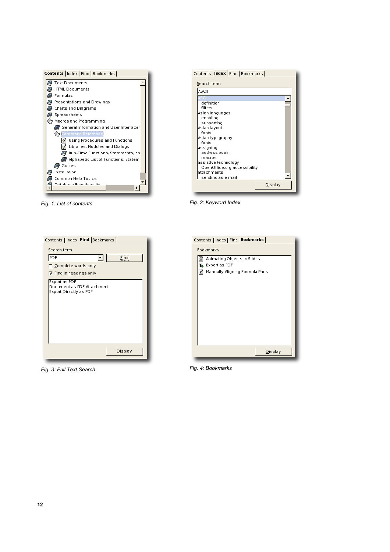

<span id="page-11-2"></span>

| Contents Index   Find   Bookmarks |                |  |
|-----------------------------------|----------------|--|
| Search term                       |                |  |
| <b>ASCII</b>                      |                |  |
|                                   |                |  |
| definition                        |                |  |
| filters                           |                |  |
| Asian languages                   |                |  |
| enabling                          |                |  |
| supporting                        |                |  |
| Asian layout                      |                |  |
| fonts                             |                |  |
| Asian typography<br>fonts         |                |  |
| assigning                         |                |  |
| address book                      |                |  |
| macros                            |                |  |
| assistive technology              |                |  |
| OpenOffice.org accessibility      |                |  |
| attachments                       |                |  |
| sending as e-mail                 |                |  |
|                                   |                |  |
|                                   | <b>Display</b> |  |

*Fig. 1: List of contents Fig. 2: Keyword Index*

| Contents   Index Find   Bookmarks                                     |  |
|-----------------------------------------------------------------------|--|
| S <u>e</u> arch term                                                  |  |
| PDF<br>Find                                                           |  |
| Complete words only                                                   |  |
| $\nabla$ Find in headings only                                        |  |
| Export as PDF<br>Document as PDF Attachment<br>Export Directly as PDF |  |
| Display                                                               |  |

<span id="page-11-0"></span>*Fig. 3: Full Text Search Fig. 4: Bookmarks*

<span id="page-11-1"></span>

| Contents   Index   Find Bookmarks    |
|--------------------------------------|
| Bookmarks                            |
| Animating Objects in Slides          |
| Export as PDF                        |
| Manually Aligning Formula Parts<br>Σ |
|                                      |
|                                      |
|                                      |
|                                      |
|                                      |
|                                      |
|                                      |
|                                      |
|                                      |
|                                      |
|                                      |
| Display                              |

<span id="page-11-3"></span>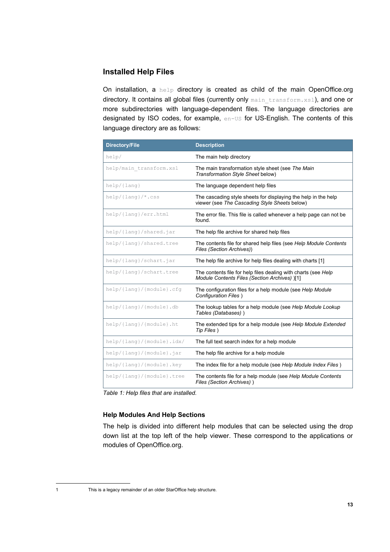### **Installed Help Files**

On installation, a help directory is created as child of the main OpenOffice.org directory. It contains all global files (currently only main\_transform.xsl), and one or more subdirectories with language-dependent files. The language directories are designated by ISO codes, for example, en-US for US-English. The contents of this language directory are as follows:

| <b>Directory/File</b>       | <b>Description</b>                                                                                              |
|-----------------------------|-----------------------------------------------------------------------------------------------------------------|
| help/                       | The main help directory                                                                                         |
| help/main transform.xsl     | The main transformation style sheet (see The Main<br>Transformation Style Sheet below)                          |
| $help / {lang}$             | The language dependent help files                                                                               |
| $help/{\tanq}/\cdot.cs$     | The cascading style sheets for displaying the help in the help<br>viewer (see The Cascading Style Sheets below) |
| help/{lang}/err.html        | The error file. This file is called whenever a help page can not be<br>found.                                   |
| help/{lang}/shared.jar      | The help file archive for shared help files                                                                     |
| help/{lang}/shared.tree     | The contents file for shared help files (see Help Module Contents<br>Files (Section Archives))                  |
| help/{lang}/schart.jar      | The help file archive for help files dealing with charts [1]                                                    |
| help/{lang}/schart.tree     | The contents file for help files dealing with charts (see Help<br>Module Contents Files (Section Archives) )[1] |
| help/{lang}/{module}.cfg    | The configuration files for a help module (see Help Module<br>Configuration Files)                              |
| $help / {lang} / {model}$ . | The lookup tables for a help module (see Help Module Lookup<br>Tables (Databases))                              |
| help/{lang}/{module}.ht     | The extended tips for a help module (see Help Module Extended<br>Tip Files)                                     |
| help/{lang}/{module}.idx/   | The full text search index for a help module                                                                    |
| help/{lang}/{module}.jar    | The help file archive for a help module                                                                         |
| help/{lang}/{module}.key    | The index file for a help module (see Help Module Index Files)                                                  |
| help/{lang}/{module}.tree   | The contents file for a help module (see Help Module Contents<br>Files (Section Archives))                      |

*Table 1: Help files that are installed.*

### <span id="page-12-1"></span>**Help Modules And Help Sections**

The help is divided into different help modules that can be selected using the drop down list at the top left of the help viewer. These correspond to the applications or modules of OpenOffice.org.

<span id="page-12-0"></span>

<sup>1</sup> This is a legacy remainder of an older StarOffice help structure.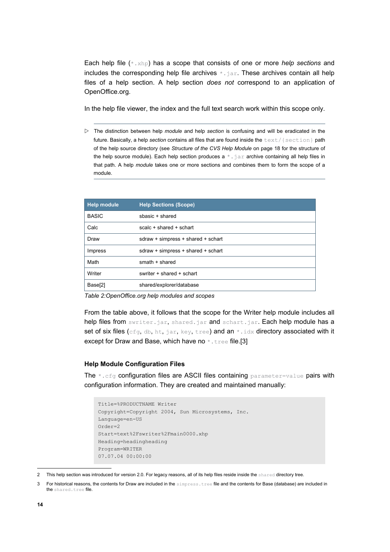Each help file (\*.xhp) has a scope that consists of one or more *help sections* and includes the corresponding help file archives \*.jar. These archives contain all help files of a help section. A help section *does not* correspond to an application of OpenOffice.org.

In the help file viewer, the index and the full text search work within this scope only.

▷ The distinction between help *module* and help *section* is confusing and will be eradicated in the future. Basically, a help *section* contains all files that are found inside the text/{section} path of the help source directory (see *[Structure](#page-17-0) of the CVS Help Module* on page [18](#page-17-0) for the structure of the help source module). Each help section produces a  $*$  .  $jar$  archive containing all help files in that path. A help *module* takes one or more sections and combines them to form the scope of a module.

| <b>Help module</b> | <b>Help Sections (Scope)</b>       |  |
|--------------------|------------------------------------|--|
| <b>BASIC</b>       | sbasic + shared                    |  |
| Calc               | $scale + shared + schart$          |  |
| Draw               | sdraw + simpress + shared + schart |  |
| Impress            | sdraw + simpress + shared + schart |  |
| Math               | smath + shared                     |  |
| Writer             | swriter + shared + schart          |  |
| Base[2]            | shared/explorer/database           |  |

*Table 2:OpenOffice.org help modules and scopes*

From the table above, it follows that the scope for the Writer help module includes all help files from swriter.jar, shared.jar and schart.jar. Each help module has a set of six files (cfg, db, ht, jar, key, tree) and an  $*$ .idx directory associated with it except for Draw and Base, which have no \*.tree file.[\[3](#page-13-2)]

#### <span id="page-13-0"></span>**Help Module Configuration Files**

The  $*$ .cfg configuration files are ASCII files containing parameter=value pairs with configuration information. They are created and maintained manually:

```
Title=%PRODUCTNAME Writer
Copyright=Copyright 2004, Sun Microsystems, Inc.
Language=en-US
Order=2
Start=text%2Fswriter%2Fmain0000.xhp
Heading=headingheading
Program=WRITER
07.07.04 00:00:00
```
<span id="page-13-1"></span><sup>2</sup> This help section was introduced for version 2.0. For legacy reasons, all of its help files reside inside the shared directory tree.

<span id="page-13-2"></span><sup>3</sup> For historical reasons, the contents for Draw are included in the simpress.tree file and the contents for Base (database) are included in the shared.tree file.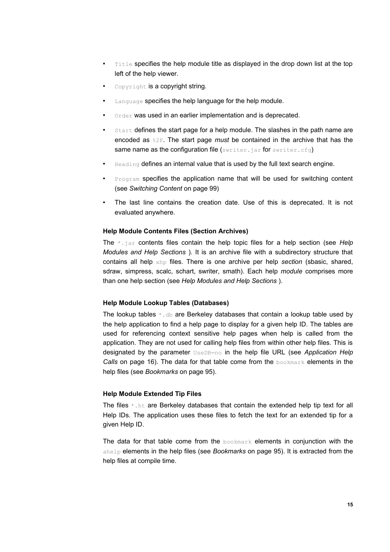- $\bullet$  Title specifies the help module title as displayed in the drop down list at the top left of the help viewer.
- Copyright is a copyright string.
- Language specifies the help language for the help module.
- Order was used in an earlier implementation and is deprecated.
- Start defines the start page for a help module. The slashes in the path name are encoded as %2F. The start page *must* be contained in the archive that has the same name as the configuration file (swriter.jar for swriter.cfg)
- Heading defines an internal value that is used by the full text search engine.
- Program specifies the application name that will be used for switching content (see *[Switching](#page-98-0) Content* on page [99\)](#page-98-0)
- The last line contains the creation date. Use of this is deprecated. It is not evaluated anywhere.

#### <span id="page-14-0"></span>**Help Module Contents Files (Section Archives)**

The \*.jar contents files contain the help topic files for a help section (see *[Help](#page-12-1) Modules and Help [Sections](#page-12-1)* ). It is an archive file with a subdirectory structure that contains all help xhp files. There is one archive per help *section* (sbasic, shared, sdraw, simpress, scalc, schart, swriter, smath). Each help *module* comprises more than one help section (see *Help [Modules and](#page-12-1) Help Sections* ).

#### <span id="page-14-2"></span>**Help Module Lookup Tables (Databases)**

The lookup tables  $*$ .  $db$  are Berkeley databases that contain a lookup table used by the help application to find a help page to display for a given help ID. The tables are used for referencing context sensitive help pages when help is called from the application. They are not used for calling help files from within other help files. This is designated by the parameter UseDB=no in the help file URL (see *[Application](#page-15-0) Help [Calls](#page-15-0)* on page [16\)](#page-15-0). The data for that table come from the bookmark elements in the help files (see *[Bookmarks](#page-94-0)* on page [95](#page-94-0)).

#### <span id="page-14-1"></span>**Help Module Extended Tip Files**

The files  $*$ . ht are Berkeley databases that contain the extended help tip text for all Help IDs. The application uses these files to fetch the text for an extended tip for a given Help ID.

The data for that table come from the  $boshmax$  elements in conjunction with the ahelp elements in the help files (see *[Bookmarks](#page-94-0)* on page [95\)](#page-94-0). It is extracted from the help files at compile time.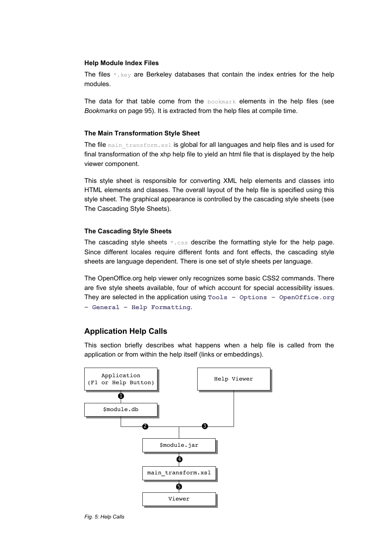#### <span id="page-15-1"></span>**Help Module Index Files**

The files  $*$ . key are Berkeley databases that contain the index entries for the help modules.

The data for that table come from the  $\text{bos}$  elements in the help files (see *[Bookmarks](#page-94-0)* on page [95\)](#page-94-0). It is extracted from the help files at compile time.

### <span id="page-15-3"></span>**The Main Transformation Style Sheet**

The file main transform.xsl is global for all languages and help files and is used for final transformation of the xhp help file to yield an html file that is displayed by the help viewer component.

This style sheet is responsible for converting XML help elements and classes into HTML elements and classes. The overall layout of the help file is specified using this style sheet. The graphical appearance is controlled by the cascading style sheets (see The [Cascading](#page-15-2) Style Sheets).

#### <span id="page-15-2"></span>**The Cascading Style Sheets**

The cascading style sheets \*.css describe the formatting style for the help page. Since different locales require different fonts and font effects, the cascading style sheets are language dependent. There is one set of style sheets per language.

The OpenOffice.org help viewer only recognizes some basic CSS2 commands. There are five style sheets available, four of which account for special accessibility issues. They are selected in the application using **Tools – Options – OpenOffice.org – General – Help Formatting**.

### <span id="page-15-0"></span>**Application Help Calls**

This section briefly describes what happens when a help file is called from the application or from within the help itself (links or embeddings).

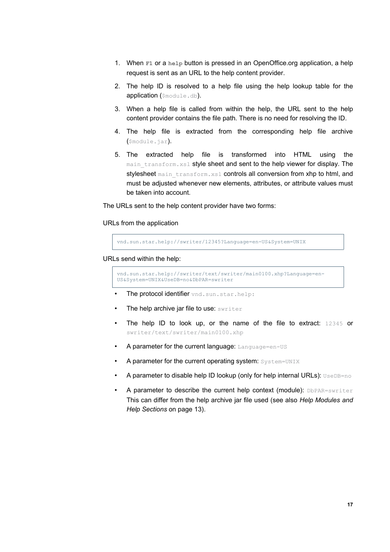- 1. When **F1** or a **help** button is pressed in an OpenOffice.org application, a help request is sent as an URL to the help content provider.
- 2. The help ID is resolved to a help file using the help lookup table for the application (\$module.db).
- 3. When a help file is called from within the help, the URL sent to the help content provider contains the file path. There is no need for resolving the ID.
- 4. The help file is extracted from the corresponding help file archive (\$module.jar).
- 5. The extracted help file is transformed into HTML using the main transform.xsl style sheet and sent to the help viewer for display. The stylesheet main transform.xsl controls all conversion from xhp to html, and must be adjusted whenever new elements, attributes, or attribute values must be taken into account.

The URLs sent to the help content provider have two forms:

#### URLs from the application

vnd.sun.star.help://swriter/12345?Language=en-US&System=UNIX

URLs send within the help:

```
vnd.sun.star.help://swriter/text/swriter/main0100.xhp?Language=en-
US&System=UNIX&UseDB=no&DbPAR=swriter
```
- The protocol identifier vnd.sun.star.help:
- The help archive jar file to use: swriter
- The help ID to look up, or the name of the file to extract: 12345 or swriter/text/swriter/main0100.xhp
- A parameter for the current language: Language=en-US
- A parameter for the current operating system: System=UNIX
- A parameter to disable help ID lookup (only for help internal URLs): UseDB=no
- A parameter to describe the current help context (module): DbPAR=swriter This can differ from the help archive jar file used (see also *Help [Modules](#page-12-1) and Help [Sections](#page-12-1)* on page [13\)](#page-12-1).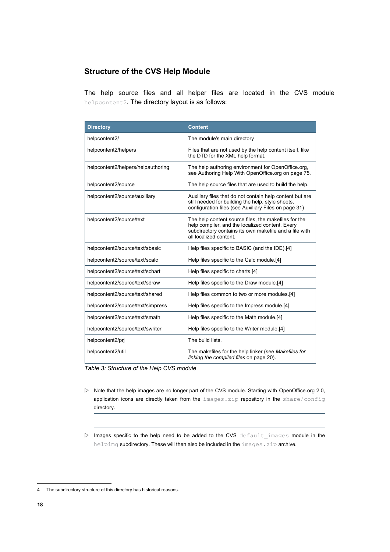### <span id="page-17-0"></span>**Structure of the CVS Help Module**

The help source files and all helper files are located in the CVS module helpcontent2. The directory layout is as follows:

| <b>Directory</b>                   | <b>Content</b>                                                                                                                                                                              |
|------------------------------------|---------------------------------------------------------------------------------------------------------------------------------------------------------------------------------------------|
| helpcontent2/                      | The module's main directory                                                                                                                                                                 |
| helpcontent2/helpers               | Files that are not used by the help content itself, like<br>the DTD for the XML help format.                                                                                                |
| helpcontent2/helpers/helpauthoring | The help authoring environment for OpenOffice.org,<br>see Authoring Help With OpenOffice.org on page 75.                                                                                    |
| helpcontent2/source                | The help source files that are used to build the help.                                                                                                                                      |
| helpcontent2/source/auxiliary      | Auxiliary files that do not contain help content but are<br>still needed for building the help, style sheets,<br>configuration files (see Auxiliary Files on page 31)                       |
| helpcontent2/source/text           | The help content source files, the makefiles for the<br>help compiler, and the localized content. Every<br>subdirectory contains its own makefile and a file with<br>all localized content. |
| helpcontent2/source/text/sbasic    | Help files specific to BASIC (and the IDE).[4]                                                                                                                                              |
| helpcontent2/source/text/scalc     | Help files specific to the Calc module [4]                                                                                                                                                  |
| helpcontent2/source/text/schart    | Help files specific to charts.[4]                                                                                                                                                           |
| helpcontent2/source/text/sdraw     | Help files specific to the Draw module [4]                                                                                                                                                  |
| helpcontent2/source/text/shared    | Help files common to two or more modules.[4]                                                                                                                                                |
| helpcontent2/source/text/simpress  | Help files specific to the Impress module.[4]                                                                                                                                               |
| helpcontent2/source/text/smath     | Help files specific to the Math module.[4]                                                                                                                                                  |
| helpcontent2/source/text/swriter   | Help files specific to the Writer module.[4]                                                                                                                                                |
| helpcontent2/prj                   | The build lists.                                                                                                                                                                            |
| helpcontent2/util                  | The makefiles for the help linker (see Makefiles for<br>linking the compiled files on page 20).                                                                                             |

*Table 3: Structure of the Help CVS module*

- ▷ Note that the help images are no longer part of the CVS module. Starting with OpenOffice.org 2.0, application icons are directly taken from the images.zip repository in the share/config directory.
- ▷ Images specific to the help need to be added to the CVS default\_images module in the helpimg subdirectory. These will then also be included in the images.zip archive.

<span id="page-17-1"></span><sup>4</sup> The subdirectory structure of this directory has historical reasons.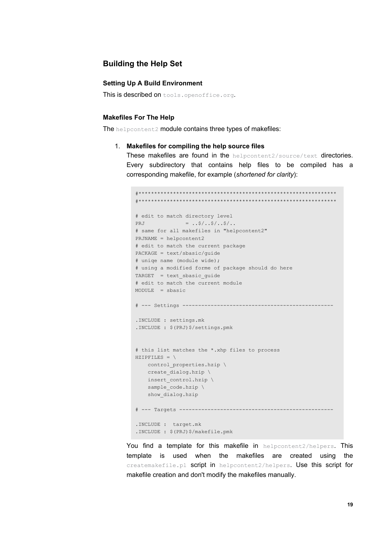### **Building the Help Set**

### **Setting Up A Build Environment**

This is described on tools. openoffice.org.

#### **Makefiles For The Help**

The helpcontent2 module contains three types of makefiles:

#### 1. Makefiles for compiling the help source files

These makefiles are found in the helpcontent2/source/text directories. Every subdirectory that contains help files to be compiled has a corresponding makefile, for example (shortened for clarity):

```
# edit to match directory level
PRJ = . \frac{1}{5} ... \frac{1}{5} ... \frac{1}{5} ...
# same for all makefiles in "helpcontent2"
PRJNAME = helpcontent2
# edit to match the current package
PACKAGE = text/sbasic/guide# uniqe name (module wide);
# using a modified forme of package should do here
TARGET = text sbasic guide
# edit to match the current module
MODULE = sbasic
. INCLUDE : settings.mk
. INCLUDE : $ (PRJ) $/settings.pmk
# this list matches the *.xhp files to process
HZIPFILES = \backslashcontrol properties.hzip \
  create dialog.hzip \
  insert control.hzip \
  sample_code.hzip \
  show dialog.hzip
. INCLUDE : target.mk
. INCLUDE : $ (PRJ) $/makefile.pmk
```
You find a template for this makefile in helpcontent2/helpers. This template is used when the makefiles are created using the createmakefile.pl script in helpcontent2/helpers. Use this script for makefile creation and don't modify the makefiles manually.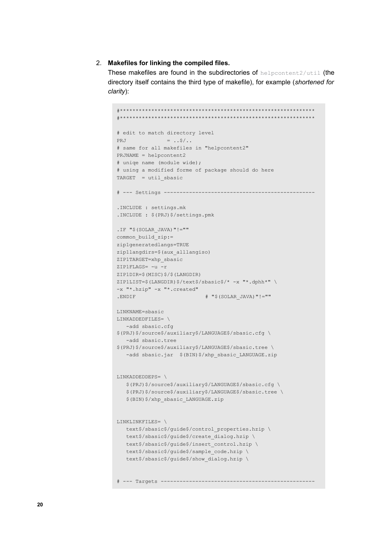### 2. Makefiles for linking the compiled files.

<span id="page-19-0"></span>These makefiles are found in the subdirectories of helpcontent2/util (the directory itself contains the third type of makefile), for example (shortened for clarity):

```
# edit to match directory level
PRJ = . .$/..
# same for all makefiles in "helpcontent2"
PRJNAME = helocontent2# uniqe name (module wide);
# using a modified forme of package should do here
TARGE = util shape# --- Settings ---------
. INCLUDE : settings.mk
. INCLUDE : $ (PRJ) $/settings.pmk
. IF "$(SOLAR JAVA)"!=""
common build zip:=
zip1generatedlangs=TRUE
zipllangdirs=$ (aux alllangiso)
ZIP1TARGET=xhp sbasic
\texttt{ZIP1FLAGS} = -u -rZIP1DIR=$(MISC)$/$(LANGDIR)
ZIP1LIST=$(LANGDIR)$/text$/sbasic$/* -x "*.dphh*" \
-x "*.hzip" -x "*.created"
                       # "$ (SOLAR JAVA) " != "".ENDIF
LINKNAME=sbasic
LINKADDEDFILES= \
  -add sbasic.cfg
$(PRJ)$/source$/auxiliary$/LANGUAGE$/sbasic.cfg \
  -add sbasic.tree
$(PRJ)$/source$/auxiliary$/LANGUAGE$/sbasic.tree \
  -add sbasic.jar $(BIN)$/xhp sbasic LANGUAGE.zip
LINKADDEDDEPS=\
  $(PRJ)$/source$/auxiliary$/LANGUAGE$/sbasic.cfg \
  $(PRJ)$/source$/auxiliary$/LANGUAGE$/sbasic.tree \
  $(BIN)$/xhp sbasic LANGUAGE.zip
LINKLINKFILES= \
  text$/sbasic$/quide$/control properties.hzip \
  text$/sbasic$/quide$/create dialog.hzip \
  text$/sbasic$/guide$/insert control.hzip \
  text$/sbasic$/guide$/sample code.hzip \
  text$/sbasic$/guide$/show dialog.hzip \
```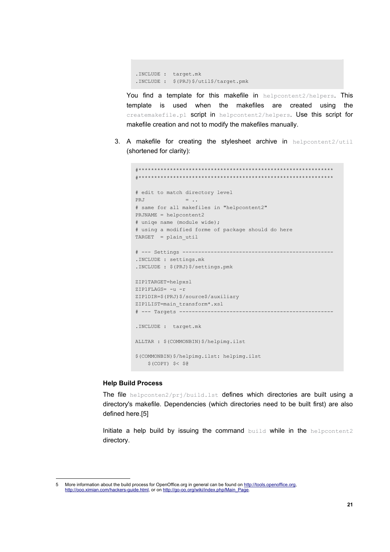```
. INCLUDE : target.mk
. INCLUDE : $ (PRJ) $/util$/target.pmk
```
You find a template for this makefile in helpcontent2/helpers. This template is used when the makefiles are created using the createmakefile.pl script in helpcontent2/helpers. Use this script for makefile creation and not to modify the makefiles manually.

3. A makefile for creating the stylesheet archive in helpcontent2/util (shortened for clarity):

# edit to match directory level PRJ  $= 1.1$ # same for all makefiles in "helpcontent2" PRJNAME = helpcontent2 # uniqe name (module wide); # using a modified forme of package should do here  $TARGE = plain util$ # --- Settings ---------------------------------------. INCLUDE : settings.mk . INCLUDE : \$ (PRJ) \$/settings.pmk ZIP1TARGET=helpxsl ZIP1FLAGS=  $-u$  -r ZIP1DIR=\$(PRJ)\$/source\$/auxiliary ZIP1LIST=main transform\*.xsl # --- Targets --------. INCLUDE : target.mk ALLTAR : \$ (COMMONBIN) \$/helpimg.ilst \$(COMMONBIN)\$/helpimg.ilst: helpimg.ilst  $$ (COPY) $ < $@$ 

### **Help Build Process**

The file helpconten2/prj/build.lst defines which directories are built using a directory's makefile. Dependencies (which directories need to be built first) are also defined here.[5]

Initiate a help build by issuing the command build while in the helpcontent2 directory.

<span id="page-20-0"></span>More information about the build process for OpenOffice.org in general can be found on http://tools.openoffice.org,  $\overline{5}$ http://ooo.ximian.com/hackers-guide.html, or on http://go-oo.org/wiki/index.php/Main\_Page.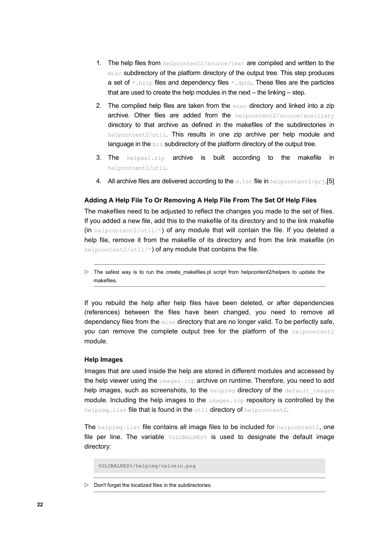- 1. The help files from helpcontent2/source/text are compiled and written to the misc subdirectory of the platform directory of the output tree. This step produces a set of  $*$ . hzip files and dependency files  $*$ . dphh. These files are the particles that are used to create the help modules in the next – the linking – step.
- 2. The compiled help files are taken from the  $_{\text{miss}}$  directory and linked into a zip archive. Other files are added from the helpcontent2/source/auxiliary directory to that archive as defined in the makefiles of the subdirectories in helpcontent2/util. This results in one zip archive per help module and language in the bin subdirectory of the platform directory of the output tree.
- 3. The helpxsl.zip archive is built according to the makefile in helpcontent2/util.
- 4. All archive files are delivered according to the d.lst file in helpcontent2/prj.[\[5\]](#page-20-0)

### **Adding A Help File To Or Removing A Help File From The Set Of Help Files**

The makefiles need to be adjusted to reflect the changes you made to the set of files. If you added a new file, add this to the makefile of its directory and to the link makefile (in helpcontent2/util/\*) of any module that will contain the file. If you deleted a help file, remove it from the makefile of its directory and from the link makefile (in helpcontent2/util/\*) of any module that contains the file.

 $\triangleright$  The safest way is to run the create makefiles.pl script from helpcontent2/helpers to update the makefiles.

If you rebuild the help after help files have been deleted, or after dependencies (references) between the files have been changed, you need to remove all dependency files from the misc directory that are no longer valid. To be perfectly safe, you can remove the complete output tree for the platform of the helpcontent2 module.

#### **Help Images**

Images that are used inside the help are stored in different modules and accessed by the help viewer using the  $\text{images}.zip$  archive on runtime. Therefore, you need to add help images, such as screenshots, to the helpimg directory of the default images module. Including the help images to the images.zip repository is controlled by the helpimg.ilst file that is found in the util directory of helpcontent2.

The helpimg.ilst file contains all image files to be included for helpcontent2, one file per line. The variable  $\frac{1}{8}$  GLOBALRES<sup>§</sup> is used to designate the default image directory:

%GLOBALRES%/helpimg/calcein.png

 $\triangleright$  Don't forget the localized files in the subdirectories.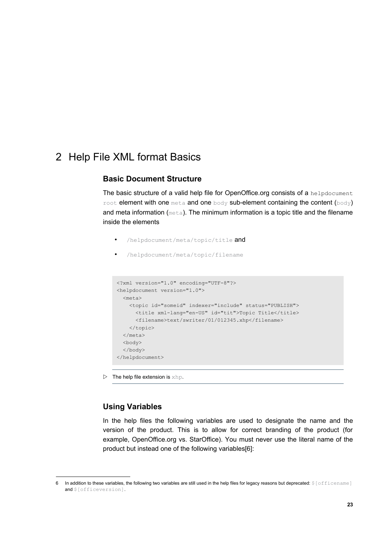# <span id="page-22-0"></span>2 Help File XML format Basics

### **Basic Document Structure**

The basic structure of a valid help file for OpenOffice.org consists of a helpdocument root element with one meta and one body sub-element containing the content (body) and meta information (meta). The minimum information is a topic title and the filename inside the elements

- /helpdocument/meta/topic/title and
- /helpdocument/meta/topic/filename

```
<?xml version="1.0" encoding="UTF-8"?>
<helpdocument version="1.0">
   <meta>
    <topic id="someid" indexer="include" status="PUBLISH">
       <title xml-lang="en-US" id="tit">Topic Title</title>
       <filename>text/swriter/01/012345.xhp</filename>
     </topic>
   </meta>
   <body>
   </body>
</helpdocument>
```
 $\triangleright$  The help file extension is  $xhp$ .

### <span id="page-22-2"></span>**Using Variables**

In the help files the following variables are used to designate the name and the version of the product. This is to allow for correct branding of the product (for example, OpenOffice.org vs. StarOffice). You must never use the literal name of the product but instead one of the following variables[\[6](#page-22-1)]:

<span id="page-22-1"></span><sup>6</sup> In addition to these variables, the following two variables are still used in the help files for legacy reasons but deprecated:  $$[offilename]$ and \$[officeversion].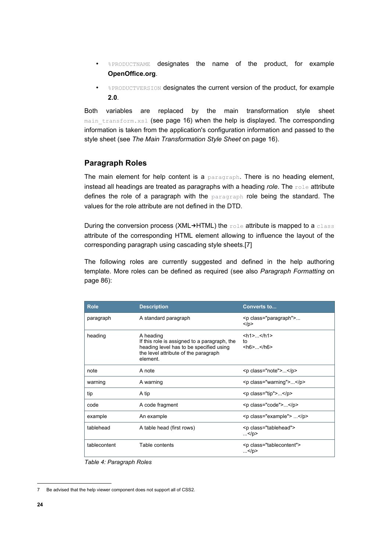- %PRODUCTNAME designates the name of the product, for example **OpenOffice.org**.
- **\*** PRODUCTVERSION designates the current version of the product, for example **2.0**.

Both variables are replaced by the main transformation style sheet main transform.xsl (see page [16](#page-15-3)) when the help is displayed. The corresponding information is taken from the application's configuration information and passed to the style sheet (see *The Main [Transformation](#page-15-3) Style Sheet* on page [16](#page-15-3)).

### **Paragraph Roles**

The main element for help content is a paragraph. There is no heading element, instead all headings are treated as paragraphs with a heading *role*. The role attribute defines the role of a paragraph with the paragraph role being the standard. The values for the role attribute are not defined in the DTD.

During the conversion process (XML→HTML) the role attribute is mapped to a class attribute of the corresponding HTML element allowing to influence the layout of the corresponding paragraph using cascading style sheets.[[7\]](#page-23-0)

The following roles are currently suggested and defined in the help authoring template. More roles can be defined as required (see also *Paragraph [Formatting](#page-85-0)* on page [86\)](#page-85-0):

| <b>Role</b>  | <b>Description</b>                                                                                                                                      | Converts to                                           |
|--------------|---------------------------------------------------------------------------------------------------------------------------------------------------------|-------------------------------------------------------|
| paragraph    | A standard paragraph                                                                                                                                    | <p class="paragraph"><br/><math>&lt;</math>/p&gt;</p> |
| heading      | A heading<br>If this role is assigned to a paragraph, the<br>heading level has to be specified using<br>the level attribute of the paragraph<br>element | $\frac{1}{2}$ <h1> </h1><br>to<br>$<$ h6> $<$ /h6>    |
| note         | A note                                                                                                                                                  | <p class="note"></p>                                  |
| warning      | A warning                                                                                                                                               | <p class="warning"></p>                               |
| tip          | A tip                                                                                                                                                   | $<$ p class="tip"> $<$ /p>                            |
| code         | A code fragment                                                                                                                                         | <p class="code"></p>                                  |
| example      | An example                                                                                                                                              | <p class="example"> </p>                              |
| tablehead    | A table head (first rows)                                                                                                                               | <p class="tablehead"><br/></p>                        |
| tablecontent | Table contents                                                                                                                                          | <p class="tablecontent"><br/></p>                     |

*Table 4: Paragraph Roles*

<span id="page-23-0"></span><sup>7</sup> Be advised that the help viewer component does not support all of CSS2.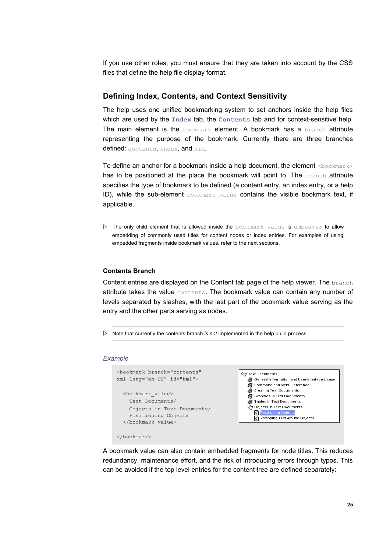If you use other roles, you must ensure that they are taken into account by the CSS files that define the help file display format.

### **Defining Index, Contents, and Context Sensitivity**

The help uses one unified bookmarking system to set anchors inside the help files which are used by the **Index** tab, the **Contents** tab and for context-sensitive help. The main element is the bookmark element. A bookmark has a branch attribute representing the purpose of the bookmark. Currently there are three branches defined: contents, index, and hid.

To define an anchor for a bookmark inside a help document, the element <bookmark> has to be positioned at the place the bookmark will point to. The branch attribute specifies the type of bookmark to be defined (a content entry, an index entry, or a help ID), while the sub-element bookmark value contains the visible bookmark text, if applicable.

▷ The only child element that is allowed inside the bookmark\_value is embedvar to allow embedding of commonly used titles for content nodes or index entries. For examples of using embedded fragments inside bookmark values, refer to the next sections.

### **Contents Branch**

Content entries are displayed on the Content tab page of the help viewer. The branch attribute takes the value contents. The bookmark value can contain any number of levels separated by slashes, with the last part of the bookmark value serving as the entry and the other parts serving as nodes.

▷ Note that currently the contents branch *is not* implemented in the help build process.

#### *Example*

| <bookmark <br="" branch="contents">xml-lang="en-US" id="bm1"&gt;</bookmark> |
|-----------------------------------------------------------------------------|
| <bookmark value=""><br/>Text Documents/</bookmark>                          |
| Objects in Text Documents/<br>Positioning Objects<br>                       |
|                                                                             |



A bookmark value can also contain embedded fragments for node titles. This reduces redundancy, maintenance effort, and the risk of introducing errors through typos. This can be avoided if the top level entries for the content tree are defined separately: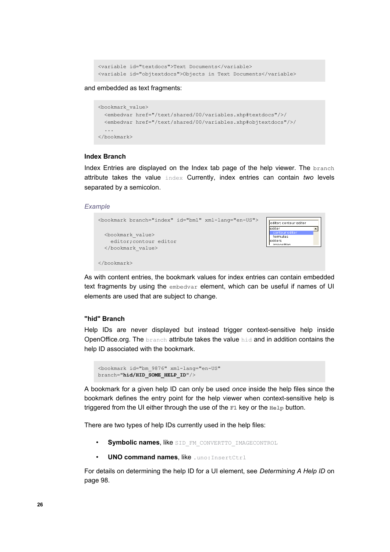```
<variable id="textdocs">Text Documents</variable>
<variable id="objtextdocs">Objects in Text Documents</variable>
```
and embedded as text fragments:

```
<bookmark_value>
  <embedvar href="/text/shared/00/variables.xhp#textdocs"/>/
   <embedvar href="/text/shared/00/variables.xhp#objtextdocs"/>/
   ...
</bookmark>
```
#### **Index Branch**

Index Entries are displayed on the Index tab page of the help viewer. The branch attribute takes the value index Currently, index entries can contain *two* levels separated by a semicolon.

#### *Example*



As with content entries, the bookmark values for index entries can contain embedded text fragments by using the embedvar element, which can be useful if names of UI elements are used that are subject to change.

### **"hid" Branch**

Help IDs are never displayed but instead trigger context-sensitive help inside OpenOffice.org. The branch attribute takes the value hid and in addition contains the help ID associated with the bookmark.

```
<bookmark id="bm_9876" xml-lang="en-US"
branch="hid/HID_SOME_HELP_ID"/>
```
A bookmark for a given help ID can only be used *once* inside the help files since the bookmark defines the entry point for the help viewer when context-sensitive help is triggered from the UI either through the use of the **F1** key or the **Help** button.

There are two types of help IDs currently used in the help files:

- **Symbolic names**, like SID\_FM\_CONVERTTO\_IMAGECONTROL
- **UNO command names**, like .uno:InsertCtrl

For details on determining the help ID for a UI element, see *[Determining](#page-97-0) A Help ID* on page [98.](#page-97-0)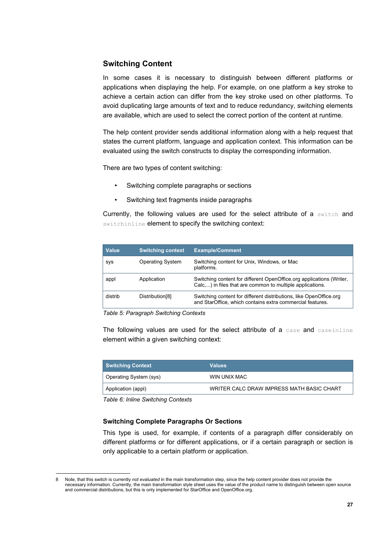### <span id="page-26-1"></span>**Switching Content**

In some cases it is necessary to distinguish between different platforms or applications when displaying the help. For example, on one platform a key stroke to achieve a certain action can differ from the key stroke used on other platforms. To avoid duplicating large amounts of text and to reduce redundancy, switching elements are available, which are used to select the correct portion of the content at runtime.

The help content provider sends additional information along with a help request that states the current platform, language and application context. This information can be evaluated using the switch constructs to display the corresponding information.

There are two types of content switching:

- Switching complete paragraphs or sections
- Switching text fragments inside paragraphs

Currently, the following values are used for the select attribute of a switch and switchinline element to specify the switching context:

| Value   | <b>Switching context</b>    | <b>Example/Comment</b>                                                                                                            |
|---------|-----------------------------|-----------------------------------------------------------------------------------------------------------------------------------|
| sys     | <b>Operating System</b>     | Switching content for Unix, Windows, or Mac<br>platforms.                                                                         |
| appl    | Application                 | Switching content for different OpenOffice.org applications (Writer,<br>Calc,) in files that are common to multiple applications. |
| distrib | Distribution <sup>[8]</sup> | Switching content for different distributions, like OpenOffice.org<br>and StarOffice, which contains extra commercial features.   |

*Table 5: Paragraph Switching Contexts*

The following values are used for the select attribute of a case and caseinline element within a given switching context:

| Switching Context      | <b>Values</b>                             |
|------------------------|-------------------------------------------|
| Operating System (sys) | WIN UNIX MAC                              |
| Application (appl)     | WRITER CALC DRAW IMPRESS MATH BASIC CHART |

*Table 6: Inline Switching Contexts*

#### **Switching Complete Paragraphs Or Sections**

This type is used, for example, if contents of a paragraph differ considerably on different platforms or for different applications, or if a certain paragraph or section is only applicable to a certain platform or application.

<span id="page-26-0"></span><sup>8</sup> Note, that this switch is currently *not evaluated* in the main transformation step, since the help content provider does not provide the necessary information. Currently, the main transformation style sheet uses the value of the product name to distinguish between open source<br>and commercial distributions, but this is only implemented for StarOffice and Open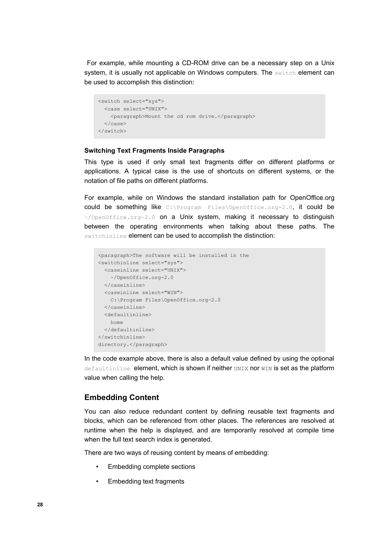For example, while mounting a CD-ROM drive can be a necessary step on a Unix system, it is usually not applicable on Windows computers. The switch element can be used to accomplish this distinction:

```
<switch select="sys">
  <case select="UNIX">
    <paragraph>Mount the cd rom drive.</paragraph>
  </case>
</switch>
```
### **Switching Text Fragments Inside Paragraphs**

This type is used if only small text fragments differ on different platforms or applications. A typical case is the use of shortcuts on different systems, or the notation of file paths on different platforms.

For example, while on Windows the standard installation path for OpenOffice.org could be something like C:\Program Files\OpenOffice.org-2.0, it could be  $\sim$ /OpenOffice.org-2.0 on a Unix system, making it necessary to distinguish between the operating environments when talking about these paths. The switchinline element can be used to accomplish the distinction:

```
<paragraph>The software will be installed in the 
<switchinline select="sys">
  <caseinline select="UNIX">
    ~/OpenOffice.org-2.0
  </caseinline>
  <caseinline select="WIN">
    C:\Program Files\OpenOffice.org-2.0
  </caseinline>
  <defaultinline>
    home
  </defaultinline>
</switchinline>
directory.</paragraph>
```
In the code example above, there is also a default value defined by using the optional defaultinline element, which is shown if neither UNIX nor WIN is set as the platform value when calling the help.

### **Embedding Content**

You can also reduce redundant content by defining reusable text fragments and blocks, which can be referenced from other places. The references are resolved at runtime when the help is displayed, and are temporarily resolved at compile time when the full text search index is generated.

There are two ways of reusing content by means of embedding:

- Embedding complete sections
- Embedding text fragments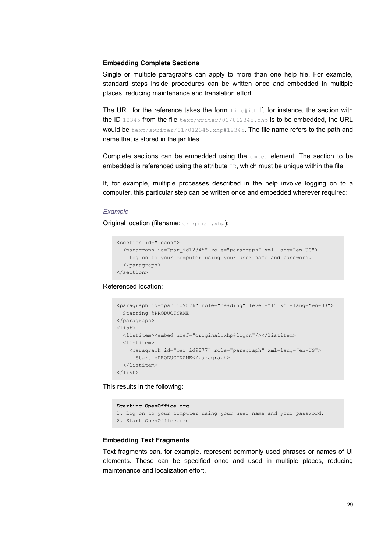### **Embedding Complete Sections**

Single or multiple paragraphs can apply to more than one help file. For example, standard steps inside procedures can be written once and embedded in multiple places, reducing maintenance and translation effort.

The URL for the reference takes the form  $f$ ile#id. If, for instance, the section with the ID 12345 from the file  $text{text/white}/01/012345$ .xhp is to be embedded, the URL would be text/swriter/01/012345.xhp#12345. The file name refers to the path and name that is stored in the jar files.

Complete sections can be embedded using the embed element. The section to be embedded is referenced using the attribute ID, which must be unique within the file.

If, for example, multiple processes described in the help involve logging on to a computer, this particular step can be written once and embedded wherever required:

### *Example*

Original location (filename: original.xhp):

```
<section id="logon">
  <paragraph id="par_id12345" role="paragraph" xml-lang="en-US">
    Log on to your computer using your user name and password.
  </paragraph>
</section>
```
### Referenced location:

```
<paragraph id="par_id9876" role="heading" level="1" xml-lang="en-US">
  Starting %PRODUCTNAME
</paragraph>
<list>
  <listitem><embed href="original.xhp#logon"/></listitem>
  <listitem>
    <paragraph id="par_id9877" role="paragraph" xml-lang="en-US">
     Start %PRODUCTNAME</paragraph>
  </listitem>
\langle/list>
```
This results in the following:

```
Starting OpenOffice.org
1. Log on to your computer using your user name and your password.
2. Start OpenOffice.org
```
### **Embedding Text Fragments**

Text fragments can, for example, represent commonly used phrases or names of UI elements. These can be specified once and used in multiple places, reducing maintenance and localization effort.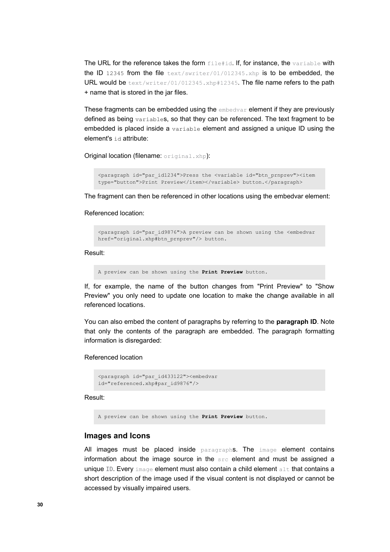The URL for the reference takes the form  $fileffid$ . If, for instance, the variable with the ID 12345 from the file text/swriter/01/012345.xhp is to be embedded, the URL would be text/writer/01/012345.xhp#12345. The file name refers to the path + name that is stored in the jar files.

These fragments can be embedded using the embedvar element if they are previously defined as being variables, so that they can be referenced. The text fragment to be embedded is placed inside a variable element and assigned a unique ID using the element's id attribute:

**Original location (filename: original.xhp):** 

```
<paragraph id="par_id1234">Press the <variable id="btn_prnprev"><item
type="button">Print Preview</item></variable> button.</paragraph>
```
The fragment can then be referenced in other locations using the embedvar element:

Referenced location:

```
<paragraph id="par_id9876">A preview can be shown using the <embedvar
href="original.xhp#btn_prnprev"/> button.
```
Result:

```
A preview can be shown using the Print Preview button.
```
If, for example, the name of the button changes from "Print Preview" to "Show Preview" you only need to update one location to make the change available in all referenced locations.

You can also embed the content of paragraphs by referring to the **paragraph ID**. Note that only the contents of the paragraph are embedded. The paragraph formatting information is disregarded:

Referenced location

```
<paragraph id="par_id433122"><embedvar
id="referenced.xhp#par_id9876"/>
```
Result:

A preview can be shown using the **Print Preview** button.

### **Images and Icons**

All images must be placed inside paragraphs. The image element contains information about the image source in the  $src$  element and must be assigned a unique ID. Every  $\text{image}$  element must also contain a child element  $\text{alt}$  that contains a short description of the image used if the visual content is not displayed or cannot be accessed by visually impaired users.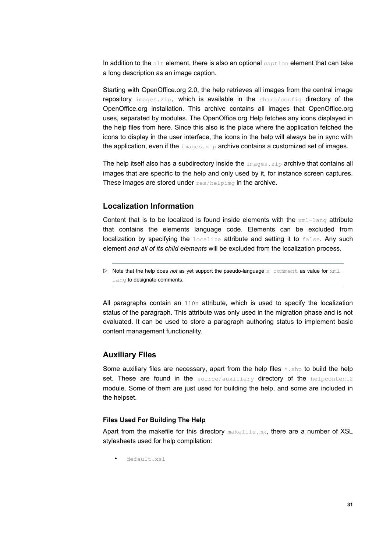In addition to the  $att$  element, there is also an optional caption element that can take a long description as an image caption.

Starting with OpenOffice.org 2.0, the help retrieves all images from the central image repository  $imaces.zip$ , which is available in the  $share/confiq$  directory of the OpenOffice.org installation. This archive contains all images that OpenOffice.org uses, separated by modules. The OpenOffice.org Help fetches any icons displayed in the help files from here. Since this also is the place where the application fetched the icons to display in the user interface, the icons in the help will always be in sync with the application, even if the  $\frac{images.zip}{}$  archive contains a customized set of images.

The help itself also has a subdirectory inside the  $\text{image}$ ,  $\text{size}$  archive that contains all images that are specific to the help and only used by it, for instance screen captures. These images are stored under res/helpimg in the archive.

### **Localization Information**

Content that is to be localized is found inside elements with the  $x_{m1-1}$  and attribute that contains the elements language code. Elements can be excluded from localization by specifying the  $1$ <sub>ocalize</sub> attribute and setting it to  $fa1se$ . Any such element *and all of its child elements* will be excluded from the localization process.

▷ Note that the help does *not* as yet support the pseudo-language x-comment as value for xmllang to designate comments.

All paragraphs contain an  $110n$  attribute, which is used to specify the localization status of the paragraph. This attribute was only used in the migration phase and is not evaluated. It can be used to store a paragraph authoring status to implement basic content management functionality.

### <span id="page-30-0"></span>**Auxiliary Files**

Some auxiliary files are necessary, apart from the help files  $*$ . xhp to build the help set. These are found in the source/auxiliary directory of the helpcontent2 module. Some of them are just used for building the help, and some are included in the helpset.

### **Files Used For Building The Help**

Apart from the makefile for this directory makefile.mk, there are a number of XSL stylesheets used for help compilation:

• default.xsl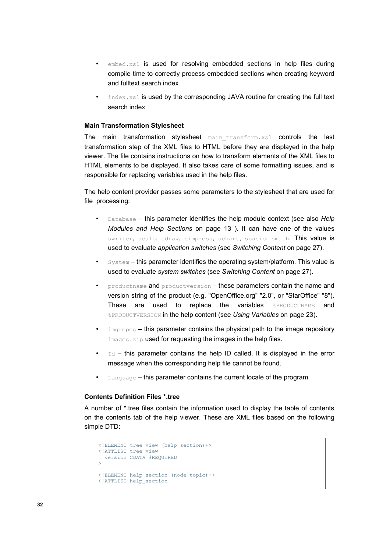- embed.xs1 is used for resolving embedded sections in help files during compile time to correctly process embedded sections when creating keyword and fulltext search index
- index.xsl is used by the corresponding JAVA routine for creating the full text search index

### **Main Transformation Stylesheet**

The main transformation stylesheet main transform.xsl controls the last transformation step of the XML files to HTML before they are displayed in the help viewer. The file contains instructions on how to transform elements of the XML files to HTML elements to be displayed. It also takes care of some formatting issues, and is responsible for replacing variables used in the help files.

The help content provider passes some parameters to the stylesheet that are used for file processing:

- Database this parameter identifies the help module context (see also *[Help](#page-12-1) Modules and Help [Sections](#page-12-1)* on page [13](#page-12-1) ). It can have one of the values swriter, scalc, sdraw, simpress, schart, sbasic, smath. This value is used to evaluate *application switches* (see *[Switching](#page-26-1) Content* on page [27](#page-26-1)).
- System this parameter identifies the operating system/platform. This value is used to evaluate *system switches* (see *[Switching](#page-26-1) Content* on page [27](#page-26-1)).
- productname and productversion these parameters contain the name and version string of the product (e.g. "OpenOffice.org" "2.0", or "StarOffice" "8"). These are used to replace the variables **& PRODUCTNAME** and %PRODUCTVERSION in the help content (see *Using [Variables](#page-22-2)* on page [23](#page-22-2)).
- $\bullet$  imgrepos this parameter contains the physical path to the image repository images. zip used for requesting the images in the help files.
- $Id -$  this parameter contains the help ID called. It is displayed in the error message when the corresponding help file cannot be found.
- Language this parameter contains the current locale of the program.

#### **Contents Definition Files \*.tree**

A number of \*.tree files contain the information used to display the table of contents on the contents tab of the help viewer. These are XML files based on the following simple DTD:

```
<!ELEMENT tree_view (help_section)+>
<!ATTLIST tree_view
  version CDATA #REQUIRED
>
<!ELEMENT help_section (node|topic)*>
<!ATTLIST help_section
```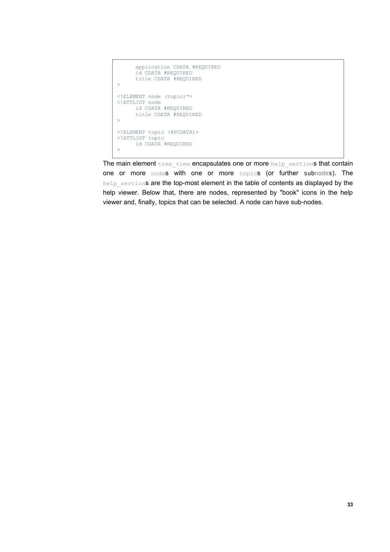```
application CDATA #REQUIRED
      id CDATA #REQUIRED
     title CDATA #REQUIRED
>
<!ELEMENT node (topic)*>
<!ATTLIST node
     id CDATA #REQUIRED
     title CDATA #REQUIRED
>
<!ELEMENT topic (#PCDATA)>
<!ATTLIST topic
      id CDATA #REQUIRED
\rightarrow
```
The main element tree view encapsulates one or more help sections that contain one or more nodes with one or more topics (or further subnodes). The help sections are the top-most element in the table of contents as displayed by the help viewer. Below that, there are nodes, represented by "book" icons in the help viewer and, finally, topics that can be selected. A node can have sub-nodes.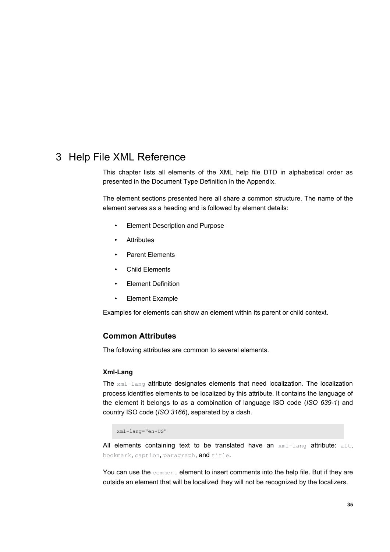# 3 Help File XML Reference

This chapter lists all elements of the XML help file DTD in alphabetical order as presented in the Document Type Definition in the Appendix.

The element sections presented here all share a common structure. The name of the element serves as a heading and is followed by element details:

- Element Description and Purpose
- Attributes
- Parent Elements
- Child Elements
- Element Definition
- Element Example

Examples for elements can show an element within its parent or child context.

### **Common Attributes**

The following attributes are common to several elements.

### **Xml-Lang**

The xml-lang attribute designates elements that need localization. The localization process identifies elements to be localized by this attribute. It contains the language of the element it belongs to as a combination of language ISO code (*ISO 639-1*) and country ISO code (*ISO 3166*), separated by a dash.

xml-lang="en-US"

All elements containing text to be translated have an  $xml-lang$  attribute:  $alt$ , bookmark, caption, paragraph, and title.

You can use the  $\epsilon$ omment element to insert comments into the help file. But if they are outside an element that will be localized they will not be recognized by the localizers.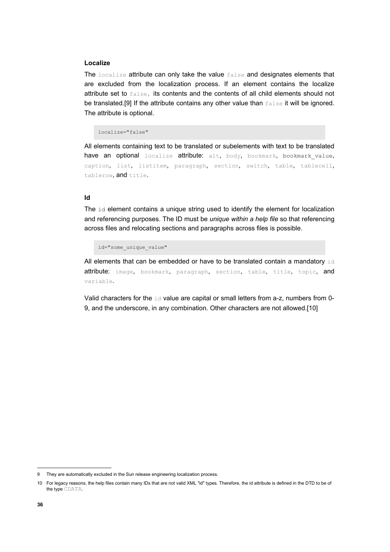### **Localize**

The localize attribute can only take the value false and designates elements that are excluded from the localization process. If an element contains the localize attribute set to  $f$ alse, its contents and the contents of all child elements should not be translated.[\[9](#page-35-0)] If the attribute contains any other value than  $f$ alse it will be ignored. The attribute is optional.

#### localize="false"

All elements containing text to be translated or subelements with text to be translated have an optional localize attribute: alt, body, bookmark, bookmark value, caption, list, listitem, paragraph, section, switch, table, tablecell, tablerow, and title.

### **Id**

The id element contains a unique string used to identify the element for localization and referencing purposes. The ID must be *unique within a help file* so that referencing across files and relocating sections and paragraphs across files is possible.

id="some\_unique\_value"

All elements that can be embedded or have to be translated contain a mandatory id attribute: image, bookmark, paragraph, section, table, title, topic, and variable.

Valid characters for the  $\pm d$  value are capital or small letters from a-z, numbers from 0-9, and the underscore, in any combination. Other characters are not allowed.[[10](#page-35-1)]

<span id="page-35-0"></span><sup>9</sup> They are automatically excluded in the Sun release engineering localization process.

<span id="page-35-1"></span><sup>10</sup> For legacy reasons, the help files contain many IDs that are not valid XML "id" types. Therefore, the id attribute is defined in the DTD to be of the type CDATA.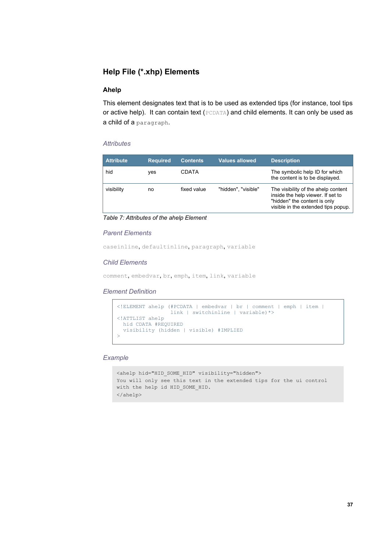# **Help File (\*.xhp) Elements**

## **Ahelp**

This element designates text that is to be used as extended tips (for instance, tool tips or active help). It can contain text (PCDATA) and child elements. It can only be used as a child of a paragraph.

### *Attributes*

| Attribute  | <b>Required</b> | <b>Contents</b> | <b>Values allowed</b> | <b>Description</b>                                                                                                                              |
|------------|-----------------|-----------------|-----------------------|-------------------------------------------------------------------------------------------------------------------------------------------------|
| hid        | yes             | CDATA           |                       | The symbolic help ID for which<br>the content is to be displayed.                                                                               |
| visibility | no              | fixed value     | "hidden", "visible"   | The visibility of the ahelp content<br>inside the help viewer. If set to<br>"hidden" the content is only<br>visible in the extended tips popup. |

*Table 7: Attributes of the ahelp Element*

#### *Parent Elements*

caseinline, defaultinline, paragraph, variable

### *Child Elements*

comment, embedvar, br, emph, item, link, variable

## *Element Definition*

```
<!ELEMENT ahelp (#PCDATA | embedvar | br | comment | emph | item | 
                    link | switchinline | variable)*>
<!ATTLIST ahelp
  hid CDATA #REQUIRED
  visibility (hidden | visible) #IMPLIED
\ddot{\phantom{0}}
```

```
<ahelp hid="HID_SOME_HID" visibility="hidden">
You will only see this text in the extended tips for the ui control
with the help id HID SOME HID.
</ahelp>
```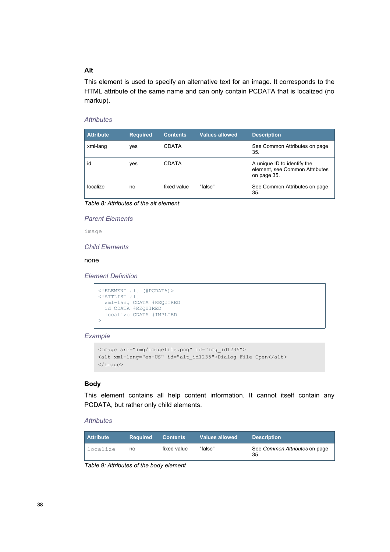## **Alt**

This element is used to specify an alternative text for an image. It corresponds to the HTML attribute of the same name and can only contain PCDATA that is localized (no markup).

## *Attributes*

| <b>Attribute</b> | <b>Required</b> | <b>Contents</b> | <b>Values allowed</b> | <b>Description</b>                                                           |
|------------------|-----------------|-----------------|-----------------------|------------------------------------------------------------------------------|
| xml-lang         | yes             | CDATA           |                       | See Common Attributes on page<br>35.                                         |
| id               | ves             | CDATA           |                       | A unique ID to identify the<br>element, see Common Attributes<br>on page 35. |
| localize         | no              | fixed value     | "false"               | See Common Attributes on page<br>35.                                         |

*Table 8: Attributes of the alt element*

## *Parent Elements*

image

### *Child Elements*

#### none

*Element Definition*

```
<!ELEMENT alt (#PCDATA)>
<!ATTLIST alt
 xml-lang CDATA #REQUIRED
 id CDATA #REQUIRED
  localize CDATA #IMPLIED
>
```
### *Example*

```
<image src="img/imagefile.png" id="img_id1235">
<alt xml-lang="en-US" id="alt_id1235">Dialog File Open</alt>
</image>
```
## **Body**

This element contains all help content information. It cannot itself contain any PCDATA, but rather only child elements.

#### *Attributes*

| <b>Attribute</b> | <b>Required</b> | <b>Contents</b> | <b>Values allowed</b> | <b>Description</b>                  |
|------------------|-----------------|-----------------|-----------------------|-------------------------------------|
| localize         | no              | fixed value     | "false"               | See Common Attributes on page<br>35 |

*Table 9: Attributes of the body element*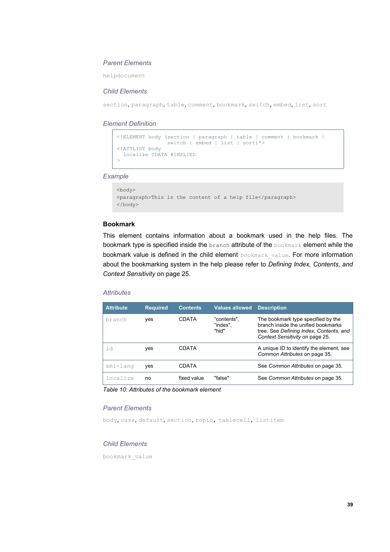## *Parent Elements*

helpdocument

## *Child Elements*

section, paragraph, table, comment, bookmark, switch, embed, list, sort

#### *Element Definition*

```
<!ELEMENT body (section | paragraph | table | comment | bookmark | 
                  switch | embed | list | sort)*>
<!ATTLIST body
  localize CDATA #IMPLIED
\rightarrow
```
#### *Example*

```
<body>
<paragraph>This is the content of a help file</paragraph>
</body>
```
### **Bookmark**

This element contains information about a bookmark used in the help files. The bookmark type is specified inside the branch attribute of the bookmark element while the bookmark value is defined in the child element bookmark value. For more information about the bookmarking system in the help please refer to *Defining Index, [Contents,](#page-24-0) and Context [Sensitivity](#page-24-0)* on page [25](#page-24-0).

### *Attributes*

| <b>Attribute</b> | <b>Required</b> | <b>Contents</b> | <b>Values allowed</b>            | <b>Description</b>                                                                                                                                      |
|------------------|-----------------|-----------------|----------------------------------|---------------------------------------------------------------------------------------------------------------------------------------------------------|
| branch           | ves             | CDATA           | "contents",<br>"index",<br>"hid" | The bookmark type specified by the<br>branch inside the unified bookmarks<br>tree. See Defining Index, Contents, and<br>Context Sensitivity on page 25. |
| id               | yes             | CDATA           |                                  | A unique ID to identify the element, see<br>Common Attributes on page 35.                                                                               |
| xml-lang         | ves             | CDATA           |                                  | See Common Attributes on page 35.                                                                                                                       |
| localize         | no              | fixed value     | "false"                          | See Common Attributes on page 35.                                                                                                                       |

*Table 10: Attributes of the bookmark element*

## *Parent Elements*

body, case, default, section, topic, tablecell, listitem

## *Child Elements*

bookmark\_value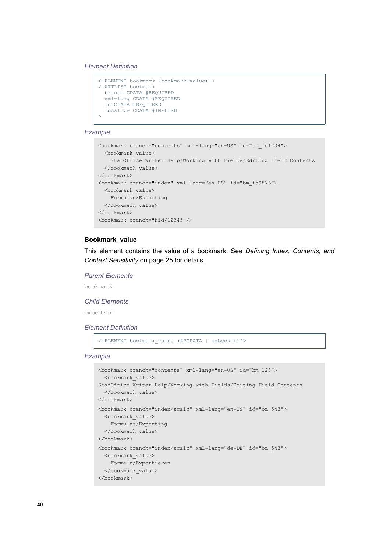```
<!ELEMENT bookmark (bookmark_value)*>
<!ATTLIST bookmark
  branch CDATA #REQUIRED
  xml-lang CDATA #REQUIRED
  id CDATA #REQUIRED
   localize CDATA #IMPLIED
>
```

```
<bookmark branch="contents" xml-lang="en-US" id="bm_id1234">
  <bookmark_value>
    StarOffice Writer Help/Working with Fields/Editing Field Contents
  </bookmark_value>
</bookmark>
<bookmark branch="index" xml-lang="en-US" id="bm_id9876">
   <bookmark_value>
    Formulas/Exporting
  </bookmark_value>
</bookmark>
<bookmark branch="hid/12345"/>
```
## **Bookmark\_value**

This element contains the value of a bookmark. See *Defining Index, [Contents,](#page-24-0) and Context [Sensitivity](#page-24-0)* on page [25](#page-24-0) for details.

### *Parent Elements*

bookmark

#### *Child Elements*

embedvar

### *Element Definition*

<!ELEMENT bookmark\_value (#PCDATA | embedvar)\*>

```
<bookmark branch="contents" xml-lang="en-US" id="bm_123">
  <bookmark_value>
StarOffice Writer Help/Working with Fields/Editing Field Contents
  </bookmark_value>
</bookmark>
<bookmark branch="index/scalc" xml-lang="en-US" id="bm_543">
  <bookmark_value>
    Formulas/Exporting
  </bookmark_value>
</bookmark>
<bookmark branch="index/scalc" xml-lang="de-DE" id="bm_543">
  <bookmark_value>
    Formeln/Exportieren
  </bookmark_value>
</bookmark>
```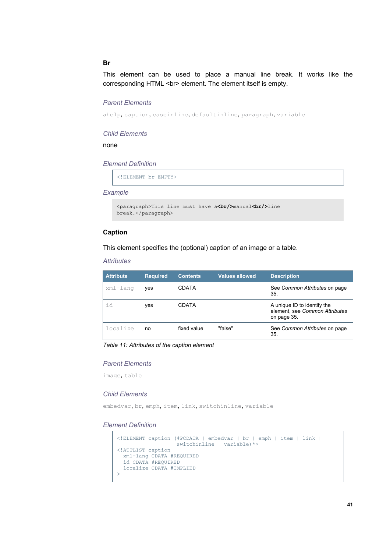## **Br**

This element can be used to place a manual line break. It works like the corresponding HTML <br> >>>>
element. The element itself is empty.

#### *Parent Elements*

ahelp, caption, caseinline, defaultinline, paragraph, variable

### *Child Elements*

none

#### *Element Definition*

<!ELEMENT br EMPTY>

#### *Example*

```
<paragraph>This line must have a<br/>manual<br/>line
break.</paragraph>
```
## **Caption**

This element specifies the (optional) caption of an image or a table.

#### *Attributes*

| <b>Attribute</b> | <b>Required</b> | <b>Contents</b> | <b>Values allowed</b> | <b>Description</b>                                                           |
|------------------|-----------------|-----------------|-----------------------|------------------------------------------------------------------------------|
| xml-lang         | ves             | CDATA           |                       | See Common Attributes on page<br>35.                                         |
| id               | ves             | CDATA           |                       | A unique ID to identify the<br>element, see Common Attributes<br>on page 35. |
| localize         | no              | fixed value     | "false"               | See Common Attributes on page<br>35.                                         |

*Table 11: Attributes of the caption element*

## *Parent Elements*

image, table

#### *Child Elements*

embedvar, br, emph, item, link, switchinline, variable

```
<!ELEMENT caption (#PCDATA | embedvar | br | emph | item | link | 
 switchinline | variable)*>
<!ATTLIST caption
  xml-lang CDATA #REQUIRED
  id CDATA #REQUIRED
  localize CDATA #IMPLIED
>
```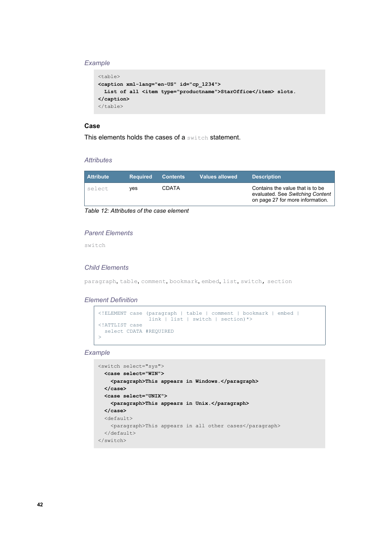```
<table>
<caption xml-lang="en-US" id="cp_1234">
 List of all <item type="productname">StarOffice</item> slots.
</caption>
</table>
```
## **Case**

This elements holds the cases of a switch statement.

#### *Attributes*

| l Attribute | <b>Required</b> | <b>Contents</b> | <b>Values allowed</b> | <b>Description</b>                                                                                        |
|-------------|-----------------|-----------------|-----------------------|-----------------------------------------------------------------------------------------------------------|
| select      | ves             | <b>CDATA</b>    |                       | Contains the value that is to be.<br>evaluated. See Switching Content<br>on page 27 for more information. |

*Table 12: Attributes of the case element*

#### *Parent Elements*

switch

## *Child Elements*

paragraph, table, comment, bookmark, embed, list, switch, section

### *Element Definition*

```
<!ELEMENT case (paragraph | table | comment | bookmark | embed | 
 link | list | switch | section)*>
<!ATTLIST case
  select CDATA #REQUIRED
>
```

```
<switch select="sys">
  <case select="WIN">
    <paragraph>This appears in Windows.</paragraph>
  </case>
  <case select="UNIX">
    <paragraph>This appears in Unix.</paragraph>
  </case>
  <default>
    <paragraph>This appears in all other cases</paragraph>
  </default>
</switch>
```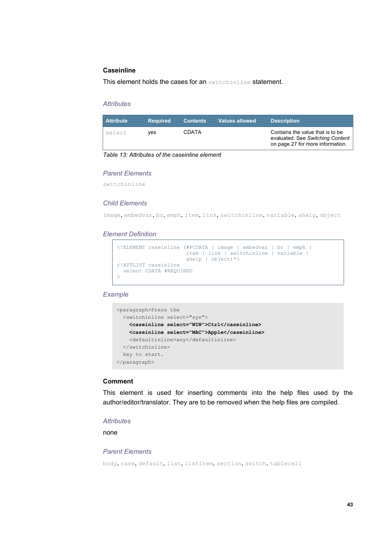## **Caseinline**

This element holds the cases for an switchinline statement.

## *Attributes*

| <b>Attribute</b> | <b>Required</b> | <b>Contents</b> | <b>Values allowed</b> | <b>Description</b>                                                                                       |
|------------------|-----------------|-----------------|-----------------------|----------------------------------------------------------------------------------------------------------|
| select           | ves             | <b>CDATA</b>    |                       | Contains the value that is to be<br>evaluated. See Switching Content<br>on page 27 for more information. |

*Table 13: Attributes of the caseinline element*

#### *Parent Elements*

switchinline

#### *Child Elements*

image, embedvar, br, emph, item, link, switchinline, variable, ahelp, object

#### *Element Definition*

```
<!ELEMENT caseinline (#PCDATA | image | embedvar | br | emph | 
 item | link | switchinline | variable | 
                     ahelp | object)*>
<!ATTLIST caseinline
 select CDATA #REQUIRED
\rightarrow
```
### *Example*

```
<paragraph>Press the 
  <switchinline select="sys">
    <caseinline select="WIN">Ctrl</caseinline>
    <caseinline select="MAC">Apple</caseinline>
     <defaultinline>any</defaultinline>
   </switchinline> 
   key to start.
</paragraph>
```
## **Comment**

This element is used for inserting comments into the help files used by the author/editor/translator. They are to be removed when the help files are compiled.

#### *Attributes*

none

#### *Parent Elements*

body, case, default, list, listitem, section, switch, tablecell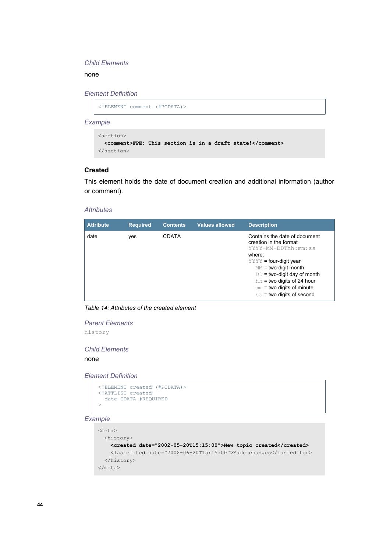## *Child Elements*

none

### *Element Definition*

```
<!ELEMENT comment (#PCDATA)>
```
*Example*

```
<section>
   <comment>FPE: This section is in a draft state!</comment>
</section>
```
## **Created**

This element holds the date of document creation and additional information (author or comment).

#### *Attributes*

| <b>Attribute</b> | <b>Required</b> | <b>Contents</b> | <b>Values allowed</b> | <b>Description</b>                                                                                                                                                                                                                                                            |
|------------------|-----------------|-----------------|-----------------------|-------------------------------------------------------------------------------------------------------------------------------------------------------------------------------------------------------------------------------------------------------------------------------|
| date             | yes             | <b>CDATA</b>    |                       | Contains the date of document<br>creation in the format<br>YYYY-MM-DDThh:mm:ss<br>where:<br>$YYYY =$ four-digit year<br>$MM = two-digit month$<br>$DD =$ two-digit day of month<br>$hh =$ two digits of 24 hour<br>$mm = two digits of minute$<br>$ss =$ two digits of second |

*Table 14: Attributes of the created element*

*Parent Elements*

history

*Child Elements*

#### none

*Element Definition*

```
<!ELEMENT created (#PCDATA)>
<!ATTLIST created
  date CDATA #REQUIRED
>
```

```
<meta>
  <history>
    <created date="2002-05-20T15:15:00">New topic created</created>
    <lastedited date="2002-06-20T15:15:00">Made changes</lastedited>
  </history>
</meta>
```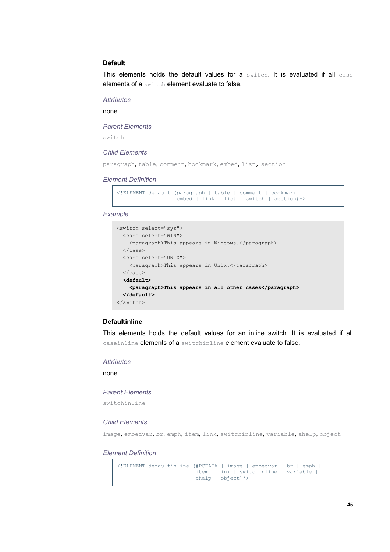## **Default**

This elements holds the default values for a switch. It is evaluated if all case elements of a switch element evaluate to false.

### *Attributes*

none

#### *Parent Elements*

switch

#### *Child Elements*

paragraph, table, comment, bookmark, embed, list, section

#### *Element Definition*

```
<!ELEMENT default (paragraph | table | comment | bookmark | 
                   embed | link | list | switch | section) *>
```
#### *Example*

```
<switch select="sys">
  <case select="WIN">
    <paragraph>This appears in Windows.</paragraph>
  </case>
  <case select="UNIX">
    <paragraph>This appears in Unix.</paragraph>
   </case>
   <default>
     <paragraph>This appears in all other cases</paragraph>
   </default>
</switch>
```
### **Defaultinline**

This elements holds the default values for an inline switch. It is evaluated if all caseinline elements of a switchinline element evaluate to false.

### *Attributes*

none

### *Parent Elements*

switchinline

#### *Child Elements*

image, embedvar, br, emph, item, link, switchinline, variable, ahelp, object

```
<!ELEMENT defaultinline (#PCDATA | image | embedvar | br | emph | 
                          item | link | switchinline | variable | 
                          ahelp | object)*>
```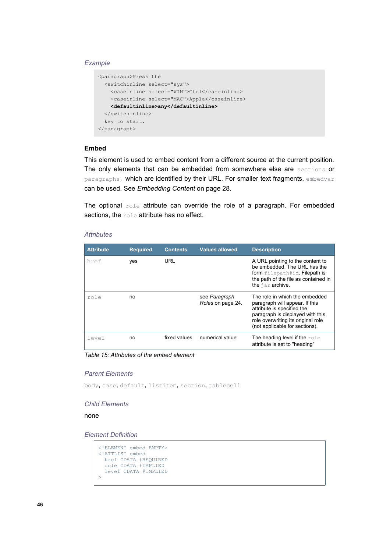```
<paragraph>Press the 
   <switchinline select="sys">
    <caseinline select="WIN">Ctrl</caseinline>
    <caseinline select="MAC">Apple</caseinline>
     <defaultinline>any</defaultinline>
   </switchinline> 
  key to start.
</paragraph>
```
## **Embed**

This element is used to embed content from a different source at the current position. The only elements that can be embedded from somewhere else are sections or paragraphs, which are identified by their URL. For smaller text fragments, embedvar can be used. See *[Embedding](#page-27-0) Content* on page [28](#page-27-0).

The optional role attribute can override the role of a paragraph. For embedded sections, the role attribute has no effect.

## *Attributes*

| <b>Attribute</b> | <b>Required</b> | <b>Contents</b> | <b>Values allowed</b>              | <b>Description</b>                                                                                                                                                                                         |
|------------------|-----------------|-----------------|------------------------------------|------------------------------------------------------------------------------------------------------------------------------------------------------------------------------------------------------------|
| href             | ves             | URL             |                                    | A URL pointing to the content to<br>be embedded. The URL has the<br>form filepath#id. Filepath is<br>the path of the file as contained in<br>the jar archive.                                              |
| role             | no              |                 | see Paragraph<br>Roles on page 24. | The role in which the embedded<br>paragraph will appear. If this<br>attribute is specified the<br>paragraph is displayed with this<br>role overwriting its original role<br>(not applicable for sections). |
| level            | no              | fixed values    | numerical value                    | The heading level if the $\texttt{role}$<br>attribute is set to "heading"                                                                                                                                  |

*Table 15: Attributes of the embed element*

#### *Parent Elements*

body, case, default, listitem, section, tablecell

#### *Child Elements*

none

```
<!ELEMENT embed EMPTY>
<!ATTLIST embed
  href CDATA #REQUIRED
  role CDATA #IMPLIED
   level CDATA #IMPLIED
>
```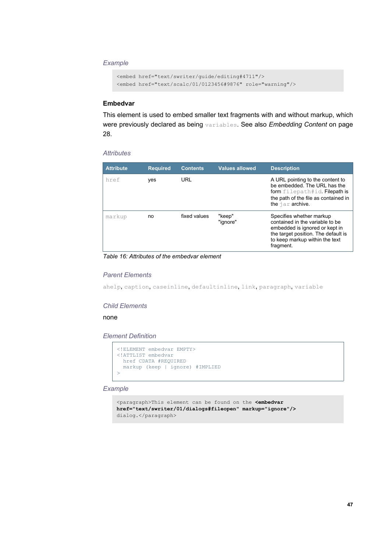```
<embed href="text/swriter/guide/editing#4711"/>
<embed href="text/scalc/01/0123456#9876" role="warning"/>
```
### **Embedvar**

This element is used to embed smaller text fragments with and without markup, which were previously declared as being variables. See also *[Embedding](#page-27-0) Content* on page [28](#page-27-0).

#### *Attributes*

| <b>Attribute</b> | <b>Required</b> | <b>Contents</b> | <b>Values allowed</b> | <b>Description</b>                                                                                                                                                                  |
|------------------|-----------------|-----------------|-----------------------|-------------------------------------------------------------------------------------------------------------------------------------------------------------------------------------|
| href             | ves             | URL             |                       | A URL pointing to the content to<br>be embedded. The URL has the<br>form filepath#id. Filepath is<br>the path of the file as contained in<br>the jar archive.                       |
| markup           | no              | fixed values    | "keep"<br>"ignore"    | Specifies whether markup<br>contained in the variable to be<br>embedded is ignored or kept in<br>the target position. The default is<br>to keep markup within the text<br>fragment. |

*Table 16: Attributes of the embedvar element*

### *Parent Elements*

ahelp, caption, caseinline, defaultinline, link, paragraph, variable

### *Child Elements*

## none

#### *Element Definition*

```
<!ELEMENT embedvar EMPTY>
<!ATTLIST embedvar
   href CDATA #REQUIRED
   markup (keep | ignore) #IMPLIED
\ddot{\phantom{1}}
```

```
<paragraph>This element can be found on the <embedvar
href="text/swriter/01/dialogs#fileopen" markup="ignore"/>
dialog.</paragraph>
```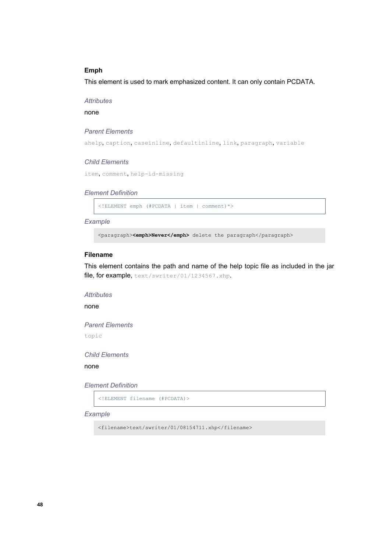## **Emph**

This element is used to mark emphasized content. It can only contain PCDATA.

#### *Attributes*

none

#### *Parent Elements*

ahelp, caption, caseinline, defaultinline, link, paragraph, variable

### *Child Elements*

```
item, comment, help-id-missing
```
#### *Element Definition*

<!ELEMENT emph (#PCDATA | item | comment)\*>

#### *Example*

<paragraph>**<emph>Never</emph>** delete the paragraph</paragraph>

## **Filename**

This element contains the path and name of the help topic file as included in the jar file, for example, text/swriter/01/1234567.xhp.

#### *Attributes*

none

#### *Parent Elements*

topic

### *Child Elements*

none

### *Element Definition*

<!ELEMENT filename (#PCDATA)>

#### *Example*

<filename>text/swriter/01/08154711.xhp</filename>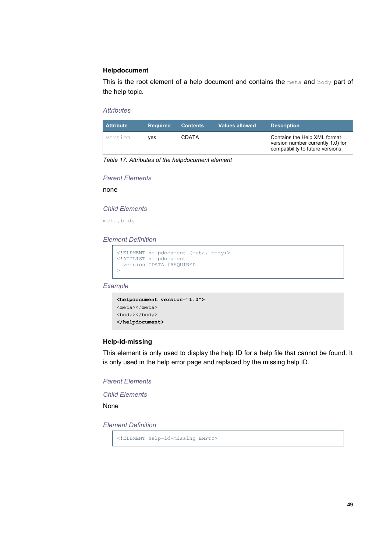## **Helpdocument**

This is the root element of a help document and contains the meta and body part of the help topic.

## *Attributes*

| <b>Attribute</b> | <b>Required</b> | <b>Contents</b> | <b>Values allowed</b> | <b>Description</b>                                                                                     |
|------------------|-----------------|-----------------|-----------------------|--------------------------------------------------------------------------------------------------------|
| version          | ves             | CDATA           |                       | Contains the Help XML format<br>version number currently 1.0) for<br>compatibility to future versions. |

*Table 17: Attributes of the helpdocument element*

#### *Parent Elements*

none

## *Child Elements*

meta, body

#### *Element Definition*

```
<!ELEMENT helpdocument (meta, body)>
<!ATTLIST helpdocument
  version CDATA #REQUIRED
>
```
*Example*

```
<helpdocument version="1.0">
<meta></meta>
<body></body>
</helpdocument>
```
## **Help-id-missing**

This element is only used to display the help ID for a help file that cannot be found. It is only used in the help error page and replaced by the missing help ID.

## *Parent Elements*

*Child Elements*

None

#### *Element Definition*

<!ELEMENT help-id-missing EMPTY>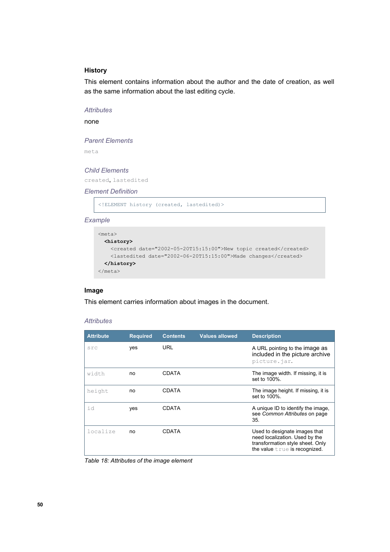## **History**

This element contains information about the author and the date of creation, as well as the same information about the last editing cycle.

*Attributes*

none

*Parent Elements*

meta

## *Child Elements*

created, lastedited

#### *Element Definition*

<!ELEMENT history (created, lastedited)>

#### *Example*

```
<meta>
  <history>
    <created date="2002-05-20T15:15:00">New topic created</created>
    <lastedited date="2002-06-20T15:15:00">Made changes</created>
  </history>
</meta>
```
## **Image**

This element carries information about images in the document.

### *Attributes*

| <b>Attribute</b> | <b>Required</b> | <b>Contents</b> | <b>Values allowed</b> | <b>Description</b>                                                                                                                   |
|------------------|-----------------|-----------------|-----------------------|--------------------------------------------------------------------------------------------------------------------------------------|
| SIC              | yes             | <b>URL</b>      |                       | A URL pointing to the image as<br>included in the picture archive<br>picture.jar.                                                    |
| width            | no              | CDATA           |                       | The image width. If missing, it is<br>set to 100%.                                                                                   |
| height           | no              | <b>CDATA</b>    |                       | The image height. If missing, it is<br>set to 100%.                                                                                  |
| id               | yes             | <b>CDATA</b>    |                       | A unique ID to identify the image,<br>see Common Attributes on page<br>35.                                                           |
| localize         | no              | <b>CDATA</b>    |                       | Used to designate images that<br>need localization. Used by the<br>transformation style sheet. Only<br>the value true is recognized. |

*Table 18: Attributes of the image element*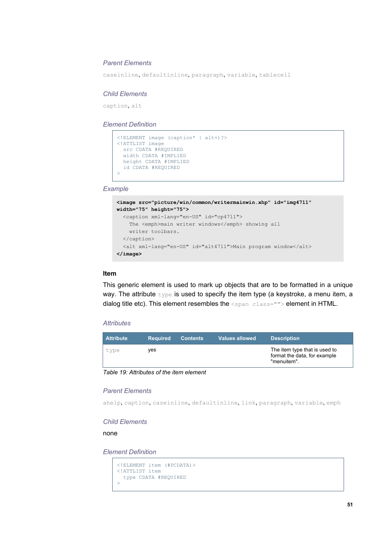## *Parent Elements*

caseinline, defaultinline, paragraph, variable, tablecell

#### *Child Elements*

caption, alt

#### *Element Definition*

```
<!ELEMENT image (caption* | alt+)?>
<!ATTLIST image
  src CDATA #REQUIRED
  width CDATA #IMPLIED
  height CDATA #IMPLIED
  id CDATA #REQUIRED
>
```
### *Example*

```
<image src="picture/win/common/writermainwin.xhp" id="img4711"
width="75" height="75">
   <caption xml-lang="en-US" id="cp4711">
   The <emph>main writer windows</emph> showing all
    writer toolbars.
   </caption>
   <alt xml-lang="en-US" id="alt4711">Main program window</alt>
</image>
```
## **Item**

This generic element is used to mark up objects that are to be formatted in a unique way. The attribute  $type$  is used to specify the item type (a keystroke, a menu item, a dialog title etc). This element resembles the <span class=""> element in HTML.

## *Attributes*

| <b>Attribute</b> | <b>Required</b> | <b>Contents</b> | <b>Values allowed</b> | <b>Description</b>                                                           |
|------------------|-----------------|-----------------|-----------------------|------------------------------------------------------------------------------|
| type             | ves             |                 |                       | The item type that is used to<br>format the data, for example<br>"menuitem". |

*Table 19: Attributes of the item element*

### *Parent Elements*

ahelp, caption, caseinline, defaultinline, link, paragraph, variable, emph

## *Child Elements*

none

```
<!ELEMENT item (#PCDATA)>
<!ATTLIST item
  type CDATA #REQUIRED
>
```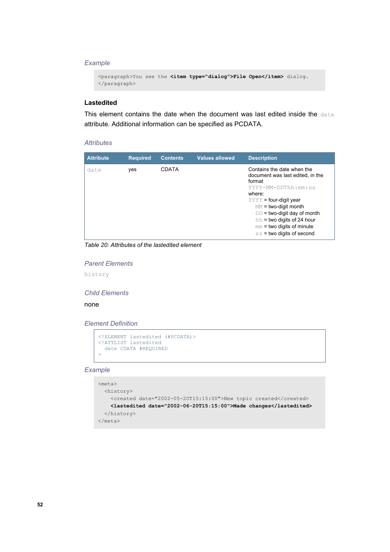```
<paragraph>You see the <item type="dialog">File Open</item> dialog.
</paragraph>
```
## **Lastedited**

This element contains the date when the document was last edited inside the date attribute. Additional information can be specified as PCDATA.

### *Attributes*

| <b>Attribute</b> | <b>Required</b> | <b>Contents</b> | <b>Values allowed</b> | <b>Description</b>                                                                                                                                                                                                                                                                             |
|------------------|-----------------|-----------------|-----------------------|------------------------------------------------------------------------------------------------------------------------------------------------------------------------------------------------------------------------------------------------------------------------------------------------|
| date             | yes             | CDATA           |                       | Contains the date when the<br>document was last edited, in the<br>format<br>YYYY-MM-DDThh:mm:ss<br>where:<br>$YYYY =$ four-digit year<br>$MM = two-digit month$<br>$DD =$ two-digit day of month<br>$hh =$ two digits of 24 hour<br>$mm = two digits of minute$<br>$ss =$ two digits of second |

*Table 20: Attributes of the lastedited element*

## *Parent Elements*

history

### *Child Elements*

none

#### *Element Definition*

```
<!ELEMENT lastedited (#PCDATA)>
<!ATTLIST lastedited
  date CDATA #REQUIRED
>
```

```
<meta>
  <history>
    <created date="2002-05-20T15:15:00">New topic created</created>
    <lastedited date="2002-06-20T15:15:00">Made changes</lastedited>
  </history>
</meta>
```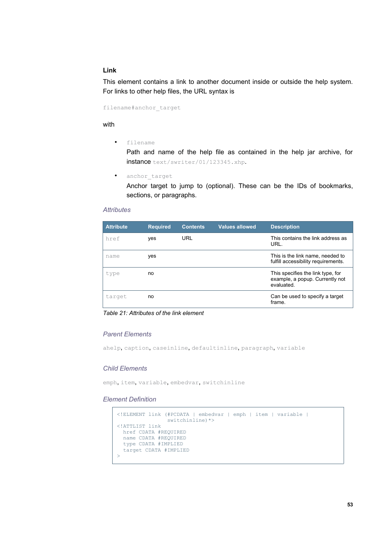## **Link**

This element contains a link to another document inside or outside the help system. For links to other help files, the URL syntax is

filename#anchor\_target

with

• filename

Path and name of the help file as contained in the help jar archive, for instance text/swriter/01/123345.xhp.

• anchor target

Anchor target to jump to (optional). These can be the IDs of bookmarks, sections, or paragraphs.

### *Attributes*

| <b>Attribute</b> | <b>Required</b> | <b>Contents</b> | <b>Values allowed</b> | <b>Description</b>                                                                 |
|------------------|-----------------|-----------------|-----------------------|------------------------------------------------------------------------------------|
| href             | yes             | URL             |                       | This contains the link address as<br>URL.                                          |
| name             | yes             |                 |                       | This is the link name, needed to<br>fulfill accessibility requirements.            |
| type             | no              |                 |                       | This specifies the link type, for<br>example, a popup. Currently not<br>evaluated. |
| target           | no              |                 |                       | Can be used to specify a target<br>frame.                                          |

*Table 21: Attributes of the link element*

## *Parent Elements*

ahelp, caption, caseinline, defaultinline, paragraph, variable

#### *Child Elements*

emph, item, variable, embedvar, switchinline

```
<!ELEMENT link (#PCDATA | embedvar | emph | item | variable | 
                 switchinline)*>
<!ATTLIST link
  href CDATA #REQUIRED
  name CDATA #REQUIRED
  type CDATA #IMPLIED
  target CDATA #IMPLIED
>
```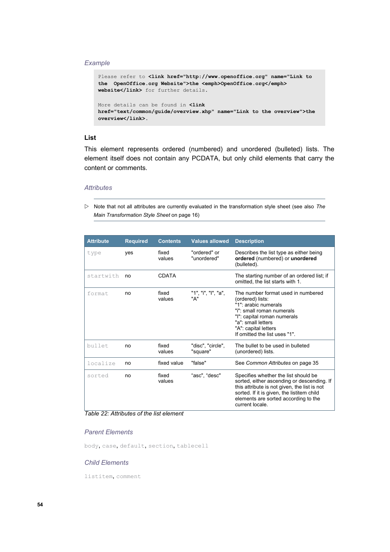```
Please refer to <link href="http://www.openoffice.org" name="Link to
the OpenOffice.org Website">the <emph>OpenOffice.org</emph>
website</link> for further details.
More details can be found in <link
href="text/common/guide/overview.xhp" name="Link to the overview">the
overview</link>.
```
## **List**

This element represents ordered (numbered) and unordered (bulleted) lists. The element itself does not contain any PCDATA, but only child elements that carry the content or comments.

#### *Attributes*

▷ Note that not all attributes are currently evaluated in the transformation style sheet (see also *[The](#page-15-0) [Main Transformation Style Sheet](#page-15-0)* on page [16\)](#page-15-0)

| <b>Attribute</b> | <b>Required</b> | <b>Contents</b> | <b>Values allowed</b>         | <b>Description</b>                                                                                                                                                                                                                          |
|------------------|-----------------|-----------------|-------------------------------|---------------------------------------------------------------------------------------------------------------------------------------------------------------------------------------------------------------------------------------------|
| type             | yes             | fixed<br>values | "ordered" or<br>"unordered"   | Describes the list type as either being<br>ordered (numbered) or unordered<br>(bulleted).                                                                                                                                                   |
| startwith        | no              | <b>CDATA</b>    |                               | The starting number of an ordered list; if<br>omitted, the list starts with 1.                                                                                                                                                              |
| format           | no              | fixed<br>values | "1", "i", "l", "a",<br>"A"    | The number format used in numbered<br>(ordered) lists:<br>"1": arabic numerals<br>"i": small roman numerals<br>"I": capital roman numerals<br>"a": small letters<br>"A": capital letters<br>If omitted the list uses "1"                    |
| bullet           | no              | fixed<br>values | "disc", "circle",<br>"square" | The bullet to be used in bulleted<br>(unordered) lists.                                                                                                                                                                                     |
| localize         | no              | fixed value     | "false"                       | See Common Attributes on page 35                                                                                                                                                                                                            |
| sorted           | no              | fixed<br>values | "asc", "desc"                 | Specifies whether the list should be<br>sorted, either ascending or descending. If<br>this attribute is not given, the list is not<br>sorted. If it is given, the listitem child<br>elements are sorted according to the<br>current locale. |

## *Table 22: Attributes of the list element*

### *Parent Elements*

body, case, default, section, tablecell

## *Child Elements*

listitem, comment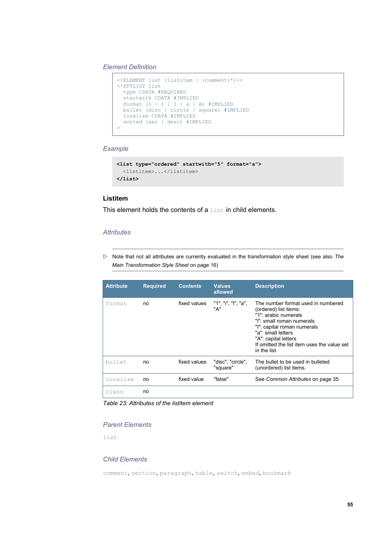*Element Definition*

```
<!ELEMENT list (listitem | (comment)*)+>
<!ATTLIST list
   type CDATA #REQUIRED
  startwith CDATA #IMPLIED
 format (1 | i | I | a | A) #IMPLIED
 bullet (disc | circle | square) #IMPLIED
   localize CDATA #IMPLIED
  sorted (asc | desc) #IMPLIED
\rightarrow
```

```
<list type="ordered" startwith="5" format="a">
  <listitem>...</listitem>
</list>
```
## **Listitem**

This element holds the contents of a list in child elements.

#### *Attributes*

▷ Note that not all attributes are currently evaluated in the transformation style sheet (see also *[The](#page-15-0) [Main Transformation Style Sheet](#page-15-0)* on page [16](#page-15-0))

| <b>Attribute</b> | <b>Required</b> | <b>Contents</b> | <b>Values</b><br>allowed      | <b>Description</b>                                                                                                                                                                                                                                           |
|------------------|-----------------|-----------------|-------------------------------|--------------------------------------------------------------------------------------------------------------------------------------------------------------------------------------------------------------------------------------------------------------|
| format           | no              | fixed values    | "1", "i", "l", "a",<br>"А"    | The number format used in numbered<br>(ordered) list items:<br>"1": arabic numerals<br>"i": small roman numerals<br>"I": capital roman numerals<br>"a": small letters<br>"A": capital letters<br>If omitted the list item uses the value set<br>in the list. |
| bullet           | no              | fixed values    | "disc", "circle",<br>"square" | The bullet to be used in bulleted<br>(unordered) list items.                                                                                                                                                                                                 |
| localize         | no              | fixed value     | "false"                       | See Common Attributes on page 35                                                                                                                                                                                                                             |
| class            | no              |                 |                               |                                                                                                                                                                                                                                                              |

*Table 23: Attributes of the listitem element*

#### *Parent Elements*

list

## *Child Elements*

comment, section, paragraph, table, switch, embed, bookmark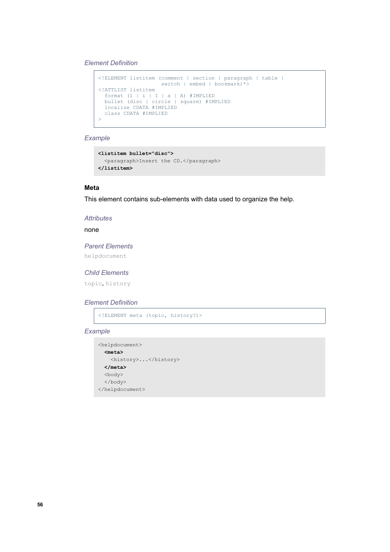## *Element Definition*

```
<!ELEMENT listitem (comment | section | paragraph | table | 
switch | embed | bookmark) *>
<!ATTLIST listitem
 format (1 | i | I | a | A) #IMPLIED
 bullet (disc | circle | square) #IMPLIED
  localize CDATA #IMPLIED
  class CDATA #IMPLIED
\rightarrow
```
## *Example*

```
<listitem bullet="disc">
  \verb|<p>argraph>Insert the CD.<|/pargraph></listitem>
```
## **Meta**

This element contains sub-elements with data used to organize the help.

### *Attributes*

### none

*Parent Elements*

helpdocument

## *Child Elements*

topic, history

#### *Element Definition*

<!ELEMENT meta (topic, history?)>

```
<helpdocument>
  <meta>
    <history>...</history>
  </meta>
  <body>
  </body>
</helpdocument>
```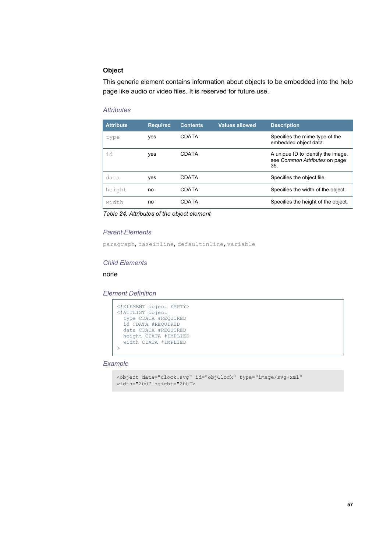## **Object**

This generic element contains information about objects to be embedded into the help page like audio or video files. It is reserved for future use.

## *Attributes*

| <b>Attribute</b> | <b>Required</b> | <b>Contents</b> | <b>Values allowed</b> | <b>Description</b>                                                         |
|------------------|-----------------|-----------------|-----------------------|----------------------------------------------------------------------------|
| type             | yes             | <b>CDATA</b>    |                       | Specifies the mime type of the<br>embedded object data.                    |
| id               | yes             | CDATA           |                       | A unique ID to identify the image,<br>see Common Attributes on page<br>35. |
| data             | yes             | <b>CDATA</b>    |                       | Specifies the object file.                                                 |
| height           | no              | <b>CDATA</b>    |                       | Specifies the width of the object.                                         |
| width            | no              | CDATA           |                       | Specifies the height of the object.                                        |

*Table 24: Attributes of the object element*

#### *Parent Elements*

paragraph, caseinline, defaultinline, variable

## *Child Elements*

none

*Element Definition*

```
<!ELEMENT object EMPTY>
<!ATTLIST object
  type CDATA #REQUIRED
  id CDATA #REQUIRED
  data CDATA #REQUIRED
  height CDATA #IMPLIED
  width CDATA #IMPLIED
\rightarrow
```

```
<object data="clock.svg" id="objClock" type="image/svg+xml"
width="200" height="200">
```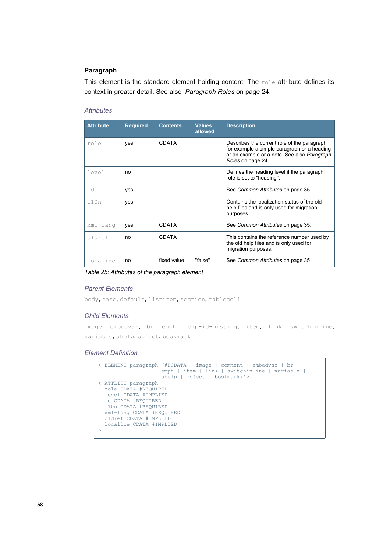## **Paragraph**

This element is the standard element holding content. The role attribute defines its context in greater detail. See also *[Paragraph](#page-23-0) Roles* on page [24.](#page-23-0)

## *Attributes*

| <b>Attribute</b> | <b>Required</b> | <b>Contents</b> | <b>Values</b><br>allowed | <b>Description</b>                                                                                                                                              |
|------------------|-----------------|-----------------|--------------------------|-----------------------------------------------------------------------------------------------------------------------------------------------------------------|
| role             | yes             | <b>CDATA</b>    |                          | Describes the current role of the paragraph,<br>for example a simple paragraph or a heading<br>or an example or a note. See also Paragraph<br>Roles on page 24. |
| level            | no              |                 |                          | Defines the heading level if the paragraph<br>role is set to "heading".                                                                                         |
| id               | yes             |                 |                          | See Common Attributes on page 35.                                                                                                                               |
| 110n             | yes             |                 |                          | Contains the localization status of the old<br>help files and is only used for migration<br>purposes.                                                           |
| xml-lang         | yes             | <b>CDATA</b>    |                          | See Common Attributes on page 35.                                                                                                                               |
| oldref           | no              | <b>CDATA</b>    |                          | This contains the reference number used by<br>the old help files and is only used for<br>migration purposes.                                                    |
| localize         | no              | fixed value     | "false"                  | See Common Attributes on page 35                                                                                                                                |

*Table 25: Attributes of the paragraph element*

#### *Parent Elements*

body, case, default, listitem, section, tablecell

#### *Child Elements*

image, embedvar, br, emph, help-id-missing, item, link, switchinline, variable, ahelp, object, bookmark

```
<!ELEMENT paragraph (#PCDATA | image | comment | embedvar | br | 
                    emph | item | link | switchinline | variable |
                     ahelp | object | bookmark)*>
<!ATTLIST paragraph
  role CDATA #REQUIRED
  level CDATA #IMPLIED
  id CDATA #REQUIRED
  l10n CDATA #REQUIRED
  xml-lang CDATA #REQUIRED
  oldref CDATA #IMPLIED
   localize CDATA #IMPLIED
>
```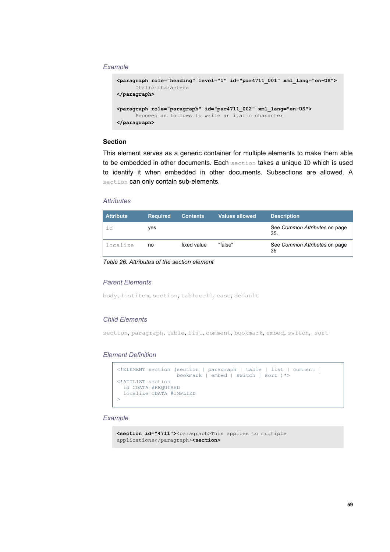```
<paragraph role="heading" level="1" id="par4711_001" xml_lang="en-US">
     Italic characters
</paragraph>
<paragraph role="paragraph" id="par4711_002" xml_lang="en-US">
     Proceed as follows to write an italic character
</paragraph>
```
## **Section**

This element serves as a generic container for multiple elements to make them able to be embedded in other documents. Each section takes a unique ID which is used to identify it when embedded in other documents. Subsections are allowed. A section can only contain sub-elements.

#### *Attributes*

| <b>Attribute</b> | <b>Required</b> | <b>Contents</b> | <b>Values allowed</b> | <b>Description</b>                   |
|------------------|-----------------|-----------------|-----------------------|--------------------------------------|
| id               | ves             |                 |                       | See Common Attributes on page<br>35. |
| localize         | no              | fixed value     | "false"               | See Common Attributes on page<br>35  |

*Table 26: Attributes of the section element*

### *Parent Elements*

body, listitem, section, tablecell, case, default

### *Child Elements*

section, paragraph, table, list, comment, bookmark, embed, switch, sort

## *Element Definition*

```
<!ELEMENT section (section | paragraph | table | list | comment | 
                      bookmark | embed | switch | sort )*>
<!ATTLIST section
  id CDATA #REQUIRED
   localize CDATA #IMPLIED
\ddot{\phantom{1}}
```

```
<section id="4711"><paragraph>This applies to multiple
applications</paragraph><section>
```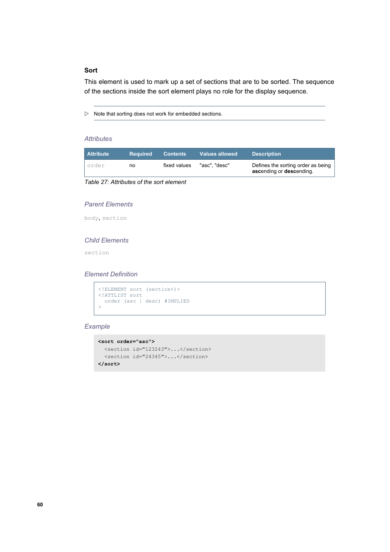## **Sort**

This element is used to mark up a set of sections that are to be sorted. The sequence of the sections inside the sort element plays no role for the display sequence.

▷ Note that sorting does not work for embedded sections.

## *Attributes*

| Attribute | Required | <b>Contents</b> | <b>Values allowed</b> | <b>Description</b>                                             |
|-----------|----------|-----------------|-----------------------|----------------------------------------------------------------|
| l order   | no       | fixed values    | "asc". "desc"         | Defines the sorting order as being<br>ascending or descending. |

*Table 27: Attributes of the sort element*

### *Parent Elements*

body, section

### *Child Elements*

section

#### *Element Definition*

```
<!ELEMENT sort (section+)>
<!ATTLIST sort
  order (asc | desc) #IMPLIED
\rightarrow
```

```
<sort order="asc">
  <section id="123243">...</section>
 <section id="24345">...</section>
</sort>
```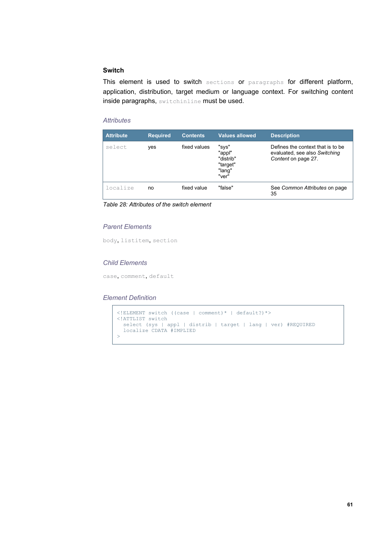## **Switch**

This element is used to switch sections or paragraphs for different platform, application, distribution, target medium or language context. For switching content inside paragraphs, switchinline must be used.

## *Attributes*

| <b>Attribute</b> | <b>Required</b> | <b>Contents</b> | <b>Values allowed</b>                                       | <b>Description</b>                                                                        |
|------------------|-----------------|-----------------|-------------------------------------------------------------|-------------------------------------------------------------------------------------------|
| select           | yes             | fixed values    | "sys"<br>"appl"<br>"distrib"<br>"target"<br>"lang"<br>"ver" | Defines the context that is to be<br>evaluated, see also Switching<br>Content on page 27. |
| localize         | no              | fixed value     | "false"                                                     | See Common Attributes on page<br>35                                                       |

*Table 28: Attributes of the switch element*

## *Parent Elements*

body, listitem, section

## *Child Elements*

case, comment, default

```
<!ELEMENT switch ((case | comment)* | default?)*>
<!ATTLIST switch
  select (sys | appl | distrib | target | lang | ver) #REQUIRED
  localize CDATA #IMPLIED
>
```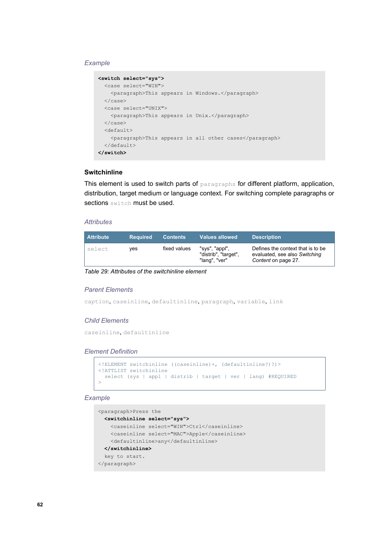```
<switch select="sys">
  <case select="WIN">
    <paragraph>This appears in Windows.</paragraph>
  </case>
  <case select="UNIX">
    <paragraph>This appears in Unix.</paragraph>
  </case>
  <default>
    <paragraph>This appears in all other cases</paragraph>
   </default>
</switch>
```
## **Switchinline**

This element is used to switch parts of paragraphs for different platform, application, distribution, target medium or language context. For switching complete paragraphs or sections switch must be used.

### *Attributes*

| <b>Attribute</b> | <b>Required</b> | <b>Contents</b> | <b>Values allowed</b>                                   | <b>Description</b>                                                                        |
|------------------|-----------------|-----------------|---------------------------------------------------------|-------------------------------------------------------------------------------------------|
| select           | ves             | fixed values    | "sys", "appl",<br>"distrib", "target",<br>"lang", "ver" | Defines the context that is to be<br>evaluated, see also Switching<br>Content on page 27. |

*Table 29: Attributes of the switchinline element*

#### *Parent Elements*

caption, caseinline, defaultinline, paragraph, variable, link

## *Child Elements*

caseinline, defaultinline

#### *Element Definition*

```
<!ELEMENT switchinline ((caseinline)+, (defaultinline?)?)>
<!ATTLIST switchinline
 select (sys | appl | distrib | target | ver | lang) #REQUIRED
\sim
```

```
<paragraph>Press the 
   <switchinline select="sys">
     <caseinline select="WIN">Ctrl</caseinline>
     <caseinline select="MAC">Apple</caseinline>
     <defaultinline>any</defaultinline>
   </switchinline> 
   key to start.
</paragraph>
```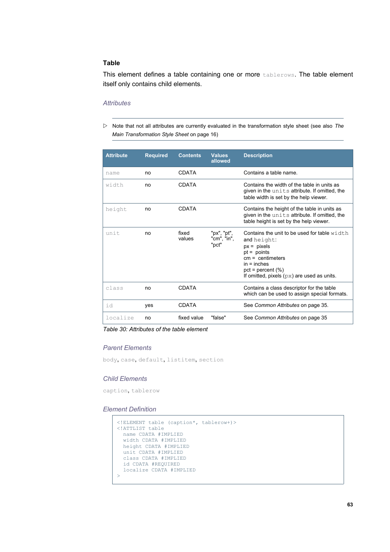## **Table**

This element defines a table containing one or more tablerows. The table element itself only contains child elements.

### *Attributes*

▷ Note that not all attributes are currently evaluated in the transformation style sheet (see also *[The](#page-15-0) [Main Transformation Style Sheet](#page-15-0)* on page [16](#page-15-0))

| <b>Attribute</b> | <b>Required</b> | <b>Contents</b> | <b>Values</b><br>allowed            | <b>Description</b>                                                                                                                                                                                            |
|------------------|-----------------|-----------------|-------------------------------------|---------------------------------------------------------------------------------------------------------------------------------------------------------------------------------------------------------------|
| name             | no              | <b>CDATA</b>    |                                     | Contains a table name.                                                                                                                                                                                        |
| width            | no              | CDATA           |                                     | Contains the width of the table in units as<br>given in the units attribute. If omitted, the<br>table width is set by the help viewer.                                                                        |
| height           | no              | CDATA           |                                     | Contains the height of the table in units as<br>given in the units attribute. If omitted, the<br>table height is set by the help viewer.                                                                      |
| unit             | no              | fixed<br>values | "px", "pt",<br>"cm", "in",<br>"pct" | Contains the unit to be used for table $width$<br>and height:<br>$px =$ pixels<br>$pt =$ points<br>$cm = centimeters$<br>$in = inches$<br>$pct = percent (%)$<br>If omitted, pixels $(px)$ are used as units. |
| class            | no              | <b>CDATA</b>    |                                     | Contains a class descriptor for the table<br>which can be used to assign special formats.                                                                                                                     |
| id               | ves             | <b>CDATA</b>    |                                     | See Common Attributes on page 35.                                                                                                                                                                             |
| localize         | no              | fixed value     | "false"                             | See Common Attributes on page 35                                                                                                                                                                              |

*Table 30: Attributes of the table element*

## *Parent Elements*

body, case, default, listitem, section

#### *Child Elements*

caption, tablerow

```
<!ELEMENT table (caption*, tablerow+)>
<!ATTLIST table
  name CDATA #IMPLIED
   width CDATA #IMPLIED
   height CDATA #IMPLIED
   unit CDATA #IMPLIED
   class CDATA #IMPLIED
   id CDATA #REQUIRED
   localize CDATA #IMPLIED
\ddot{\phantom{1}}
```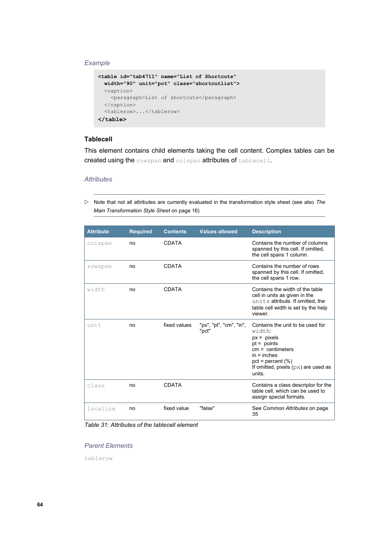```
<table id="tab4711" name="List of Shortcuts" 
  width="90" unit="pct" class="shortcutlist">
  <caption>
    <paragraph>List of shortcuts</paragraph>
  </caption>
  <tablerow>...</tablerow>
</table>
```
# **Tablecell**

This element contains child elements taking the cell content. Complex tables can be created using the rowspan and colspan attributes of tablecell.

### *Attributes*

▷ Note that not all attributes are currently evaluated in the transformation style sheet (see also *[The](#page-15-0) [Main Transformation Style Sheet](#page-15-0)* on page [16\)](#page-15-0)

| <b>Attribute</b> | <b>Required</b> | <b>Contents</b> | <b>Values allowed</b>            | <b>Description</b>                                                                                                                                                                            |
|------------------|-----------------|-----------------|----------------------------------|-----------------------------------------------------------------------------------------------------------------------------------------------------------------------------------------------|
| colspan          | no              | <b>CDATA</b>    |                                  | Contains the number of columns<br>spanned by this cell. If omitted,<br>the cell spans 1 column.                                                                                               |
| rowspan          | no              | <b>CDATA</b>    |                                  | Contains the number of rows<br>spanned by this cell. If omitted,<br>the cell spans 1 row.                                                                                                     |
| width            | no              | CDATA           |                                  | Contains the width of the table<br>cell in units as given in the<br>units attribute. If omitted, the<br>table cell width is set by the help<br>viewer.                                        |
| unit             | no              | fixed values    | "px", "pt", "cm", "in",<br>"pct" | Contains the unit to be used for<br>width:<br>$px =$ pixels<br>$pt =$ points<br>$cm = centimeters$<br>$in = inches$<br>$pct = percent (%)$<br>If omitted, pixels $(px)$ are used as<br>units. |
| class            | no              | <b>CDATA</b>    |                                  | Contains a class descriptor for the<br>table cell, which can be used to<br>assign special formats.                                                                                            |
| localize         | no              | fixed value     | "false"                          | See Common Attributes on page<br>35                                                                                                                                                           |

*Table 31: Attributes of the tablecell element*

## *Parent Elements*

tablerow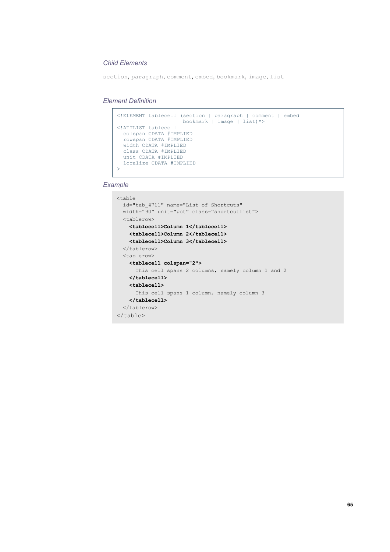## *Child Elements*

section, paragraph, comment, embed, bookmark, image, list

*Element Definition*

```
<!ELEMENT tablecell (section | paragraph | comment | embed | 
 bookmark | image | list)*>
<!ATTLIST tablecell
  colspan CDATA #IMPLIED
   rowspan CDATA #IMPLIED
  width CDATA #IMPLIED
  class CDATA #IMPLIED
  unit CDATA #IMPLIED
  localize CDATA #IMPLIED
\rightarrow
```

```
<table 
  id="tab_4711" name="List of Shortcuts" 
   width="90" unit="pct" class="shortcutlist">
   <tablerow>
    <tablecell>Column 1</tablecell>
     <tablecell>Column 2</tablecell>
     <tablecell>Column 3</tablecell>
   </tablerow>
   <tablerow>
     <tablecell colspan="2">
     This cell spans 2 columns, namely column 1 and 2
     </tablecell>
     <tablecell>
      This cell spans 1 column, namely column 3
     </tablecell>
   </tablerow>
</table>
```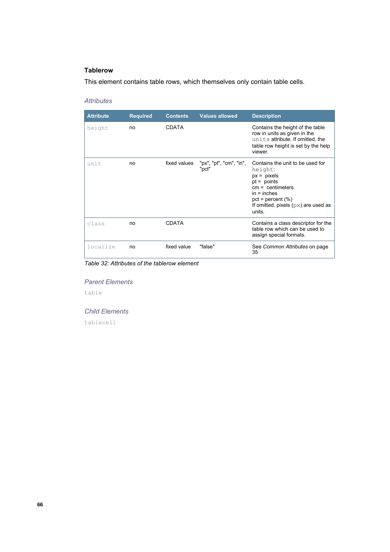## **Tablerow**

This element contains table rows, which themselves only contain table cells.

## *Attributes*

| <b>Attribute</b> | <b>Required</b> | <b>Contents</b> | <b>Values allowed</b>            | <b>Description</b>                                                                                                                                                                             |
|------------------|-----------------|-----------------|----------------------------------|------------------------------------------------------------------------------------------------------------------------------------------------------------------------------------------------|
| height           | no              | <b>CDATA</b>    |                                  | Contains the height of the table<br>row in units as given in the<br>units attribute. If omitted, the<br>table row height is set by the help<br>viewer.                                         |
| unit             | no              | fixed values    | "px", "pt", "cm", "in",<br>"pct" | Contains the unit to be used for<br>height:<br>$px = pixels$<br>$pt =$ points<br>$cm = centimeters$<br>$in = inches$<br>$pct = percent (%)$<br>If omitted, pixels $(px)$ are used as<br>units. |
| class            | no              | <b>CDATA</b>    |                                  | Contains a class descriptor for the<br>table row which can be used to<br>assign special formats.                                                                                               |
| localize         | no              | fixed value     | "false"                          | See Common Attributes on page<br>35                                                                                                                                                            |

*Table 32: Attributes of the tablerow element*

### *Parent Elements*

table

### *Child Elements*

tablecell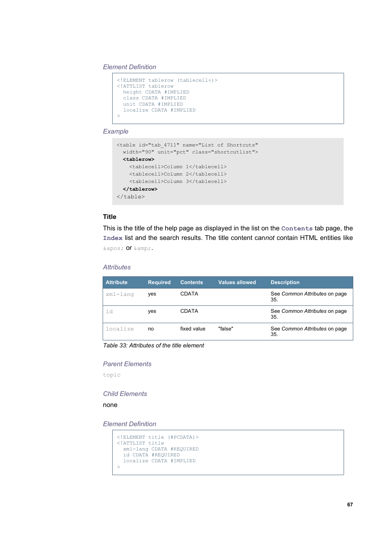*Element Definition*

```
<!ELEMENT tablerow (tablecell+)>
<!ATTLIST tablerow
  height CDATA #IMPLIED
  class CDATA #IMPLIED
  unit CDATA #IMPLIED
  localize CDATA #IMPLIED
>
```

```
<table id="tab_4711" name="List of Shortcuts" 
  width="90" unit="pct" class="shortcutlist">
   <tablerow>
    <tablecell>Column 1</tablecell>
    <tablecell>Column 2</tablecell>
    <tablecell>Column 3</tablecell>
   </tablerow>
</table>
```
## **Title**

This is the title of the help page as displayed in the list on the **Contents** tab page, the **Index** list and the search results. The title content can*not* contain HTML entities like ' Or &.

#### *Attributes*

| <b>Attribute</b> | <b>Required</b> | <b>Contents</b> | <b>Values allowed</b> | <b>Description</b>                   |
|------------------|-----------------|-----------------|-----------------------|--------------------------------------|
| xml-lang         | ves             | <b>CDATA</b>    |                       | See Common Attributes on page<br>35. |
| id               | ves             | <b>CDATA</b>    |                       | See Common Attributes on page<br>35. |
| localize         | no              | fixed value     | "false"               | See Common Attributes on page<br>35. |

*Table 33: Attributes of the title element*

#### *Parent Elements*

topic

#### *Child Elements*

none

```
<!ELEMENT title (#PCDATA)>
<!ATTLIST title
  xml-lang CDATA #REQUIRED
   id CDATA #REQUIRED
  localize CDATA #IMPLIED
>
```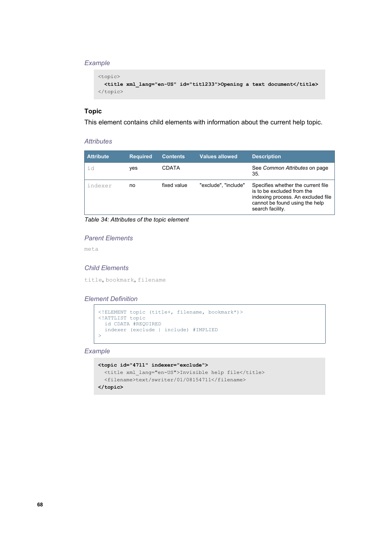```
<topic>
  <title xml_lang="en-US" id="tit1233">Opening a text document</title>
</topic>
```
# **Topic**

This element contains child elements with information about the current help topic.

#### *Attributes*

| <b>Attribute</b> | <b>Required</b> | <b>Contents</b> | <b>Values allowed</b> | <b>Description</b>                                                                                                                                           |
|------------------|-----------------|-----------------|-----------------------|--------------------------------------------------------------------------------------------------------------------------------------------------------------|
| id               | yes             | CDATA           |                       | See Common Attributes on page<br>35.                                                                                                                         |
| indexer          | no              | fixed value     | "exclude", "include"  | Specifies whether the current file<br>is to be excluded from the<br>indexing process. An excluded file<br>cannot be found using the help<br>search facility. |

*Table 34: Attributes of the topic element*

## *Parent Elements*

meta

#### *Child Elements*

title, bookmark, filename

## *Element Definition*

```
<!ELEMENT topic (title+, filename, bookmark*)>
<!ATTLIST topic
  id CDATA #REQUIRED
  indexer (exclude | include) #IMPLIED
>
```

```
<topic id="4711" indexer="exclude">
  <title xml_lang="en-US">Invisible help file</title>
  <filename>text/swriter/01/08154711</filename>
</topic>
```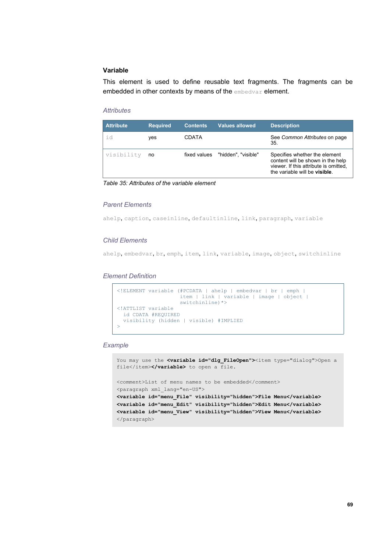## **Variable**

This element is used to define reusable text fragments. The fragments can be embedded in other contexts by means of the embedvar element.

## *Attributes*

| <b>Attribute</b> | <b>Required</b> | <b>Contents</b> | <b>Values allowed</b> | <b>Description</b>                                                                                                                                   |
|------------------|-----------------|-----------------|-----------------------|------------------------------------------------------------------------------------------------------------------------------------------------------|
| id               | ves             | <b>CDATA</b>    |                       | See Common Attributes on page<br>35.                                                                                                                 |
| visibility       | no              | fixed values    | "hidden", "visible"   | Specifies whether the element<br>content will be shown in the help<br>viewer. If this attribute is omitted,<br>the variable will be <b>visible</b> . |

*Table 35: Attributes of the variable element*

## *Parent Elements*

ahelp, caption, caseinline, defaultinline, link, paragraph, variable

## *Child Elements*

ahelp, embedvar, br, emph, item, link, variable, image, object, switchinline

#### *Element Definition*

```
<!ELEMENT variable (#PCDATA | ahelp | embedvar | br | emph | 
                     item | link | variable | image | object | 
                    switchinline)*>
<!ATTLIST variable
   id CDATA #REQUIRED
  visibility (hidden | visible) #IMPLIED
>
```

```
You may use the <variable id="dlg FileOpen"><item type="dialog">Open a
file</item></variable> to open a file.
<comment>List of menu names to be embedded</comment>
<paragraph xml_lang="en-US">
<variable id="menu_File" visibility="hidden">File Menu</variable>
<variable id="menu_Edit" visibility="hidden">Edit Menu</variable>
<variable id="menu_View" visibility="hidden">View Menu</variable>
</paragraph>
```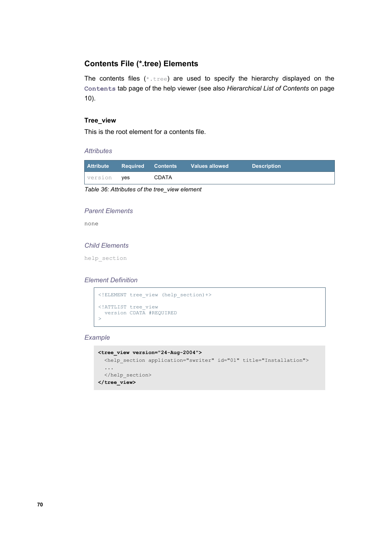# **Contents File (\*.tree) Elements**

The contents files  $(* .true)$  are used to specify the hierarchy displayed on the **Contents** tab page of the help viewer (see also *[Hierarchical](#page-9-0) List of Contents* on page [10\)](#page-9-0).

## **Tree\_view**

This is the root element for a contents file.

### *Attributes*

| Attribute          | Required Contents |              | <b>Values allowed</b> | <b>Description</b> |
|--------------------|-------------------|--------------|-----------------------|--------------------|
| version <b>yes</b> |                   | <b>CDATA</b> |                       |                    |

*Table 36: Attributes of the tree\_view element*

## *Parent Elements*

none

## *Child Elements*

help\_section

## *Element Definition*

```
<!ELEMENT tree_view (help_section)+>
<!ATTLIST tree_view
  version CDATA #REQUIRED
>
```

```
<tree_view version="24-Aug-2004">
  <help_section application="swriter" id="01" title="Installation">
   ...
  </help_section>
</tree_view>
```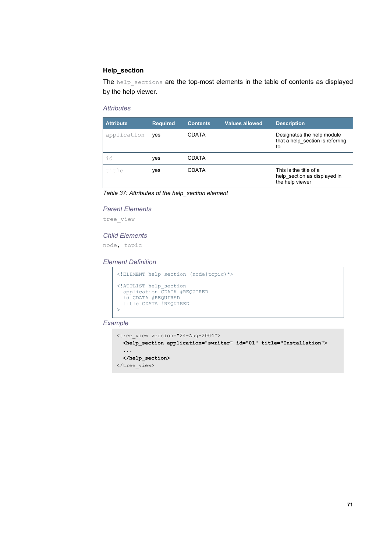## **Help\_section**

The help sections are the top-most elements in the table of contents as displayed by the help viewer.

#### *Attributes*

| <b>Attribute</b> | <b>Required</b> | <b>Contents</b> | <b>Values allowed</b> | <b>Description</b>                                                        |
|------------------|-----------------|-----------------|-----------------------|---------------------------------------------------------------------------|
| application      | ves             | <b>CDATA</b>    |                       | Designates the help module<br>that a help section is referring<br>to      |
| id               | yes             | <b>CDATA</b>    |                       |                                                                           |
| title            | ves             | <b>CDATA</b>    |                       | This is the title of a<br>help section as displayed in<br>the help viewer |

*Table 37: Attributes of the help\_section element*

#### *Parent Elements*

tree\_view

### *Child Elements*

node, topic

## *Element Definition*

```
<!ELEMENT help_section (node|topic)*>
<!ATTLIST help_section
 application CDATA #REQUIRED
   id CDATA #REQUIRED
  title CDATA #REQUIRED
\rightarrow
```

```
<tree_view version="24-Aug-2004">
   <help_section application="swriter" id="01" title="Installation">
   ...
  </help_section>
</tree_view>
```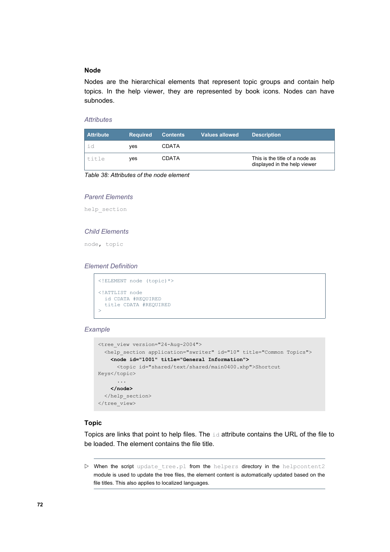## **Node**

Nodes are the hierarchical elements that represent topic groups and contain help topics. In the help viewer, they are represented by book icons. Nodes can have subnodes.

### *Attributes*

| <b>Attribute</b> | <b>Required</b> | <b>Contents</b> | <b>Values allowed</b> | <b>Description</b>                                             |
|------------------|-----------------|-----------------|-----------------------|----------------------------------------------------------------|
| id               | ves             | <b>CDATA</b>    |                       |                                                                |
| title            | ves             | <b>CDATA</b>    |                       | This is the title of a node as<br>displayed in the help viewer |

*Table 38: Attributes of the node element*

## *Parent Elements*

help\_section

#### *Child Elements*

node, topic

### *Element Definition*

```
<!ELEMENT node (topic)*>
<!ATTLIST node
  id CDATA #REQUIRED
   title CDATA #REQUIRED
\sim
```
#### *Example*

```
<tree_view version="24-Aug-2004">
  <help_section application="swriter" id="10" title="Common Topics">
    <node id="1001" title="General Information">
      <topic id="shared/text/shared/main0400.xhp">Shortcut
Keys</topic>
       ...
     </node>
  </help_section>
</tree_view>
```
## **Topic**

Topics are links that point to help files. The  $\pm\Delta$  attribute contains the URL of the file to be loaded. The element contains the file title.

<sup>▷</sup> When the script update\_tree.pl from the helpers directory in the helpcontent2 module is used to update the tree files, the element content is automatically updated based on the file titles. This also applies to localized languages.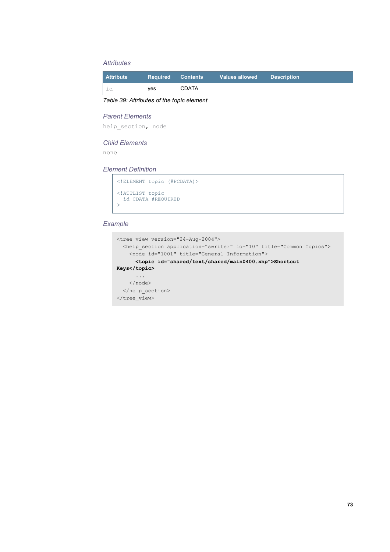## *Attributes*

| <b>Attribute</b> | <b>Required</b> | Contents     | <b>Values allowed</b> | <b>Description</b> |
|------------------|-----------------|--------------|-----------------------|--------------------|
| id               | ves             | <b>CDATA</b> |                       |                    |

*Table 39: Attributes of the topic element*

#### *Parent Elements*

help\_section, node

#### *Child Elements*

none

## *Element Definition*

```
<!ELEMENT topic (#PCDATA)>
<!ATTLIST topic
 id CDATA #REQUIRED
>
```
## *Example*

```
<tree_view version="24-Aug-2004">
   <help_section application="swriter" id="10" title="Common Topics">
     <node id="1001" title="General Information">
      <topic id="shared/text/shared/main0400.xhp">Shortcut
Keys</topic>
      ...
    </node>
  </help_section>
</tree_view>
```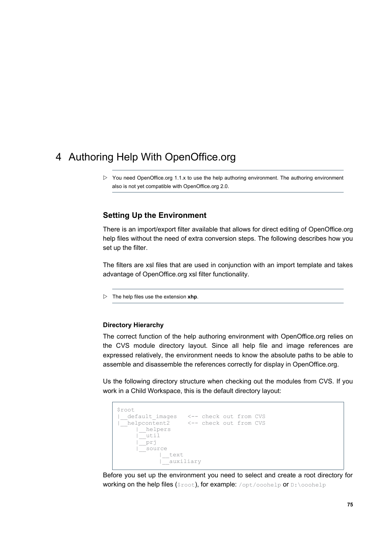# 4 Authoring Help With OpenOffice.org

## <span id="page-74-1"></span>**Setting Up the Environment**

There is an import/export filter available that allows for direct editing of OpenOffice.org help files without the need of extra conversion steps. The following describes how you set up the filter.

The filters are xsl files that are used in conjunction with an import template and takes advantage of OpenOffice.org xsl filter functionality.

▷ The help files use the extension **xhp**.

#### <span id="page-74-0"></span>**Directory Hierarchy**

 $\overline{\Gamma}$ 

The correct function of the help authoring environment with OpenOffice.org relies on the CVS module directory layout. Since all help file and image references are expressed relatively, the environment needs to know the absolute paths to be able to assemble and disassemble the references correctly for display in OpenOffice.org.

Us the following directory structure when checking out the modules from CVS. If you work in a Child Workspace, this is the default directory layout:

| <i>Sroot</i>                             |
|------------------------------------------|
| default images<br><-- check out from CVS |
| helpcontent2<br><-- check out from CVS   |
| helpers                                  |
| util                                     |
|                                          |
| source                                   |
| text                                     |
| auxiliary                                |
|                                          |

Before you set up the environment you need to select and create a root directory for working on the help files ( $\frac{1}{2}$ root), for example: /opt/ooohelp or D:\ooohelp

<sup>▷</sup> You need OpenOffice.org 1.1.x to use the help authoring environment. The authoring environment also is not yet compatible with OpenOffice.org 2.0.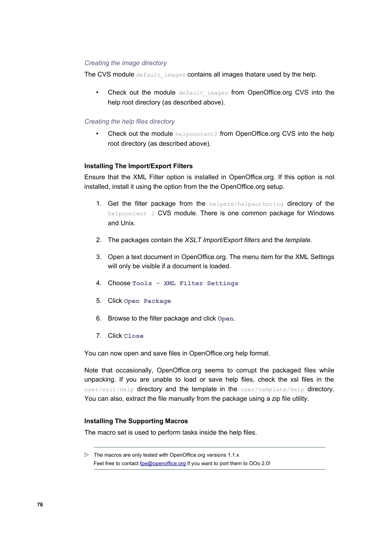#### *Creating the image directory*

The CVS module default images contains all images thatare used by the help.

• Check out the module default images from OpenOffice.org CVS into the help root directory (as described above).

## *Creating the help files directory*

• Check out the module helpcontent2 from OpenOffice.org CVS into the help root directory (as described above).

### <span id="page-75-0"></span>**Installing The Import/Export Filters**

Ensure that the XML Filter option is installed in OpenOffice.org. If this option is not installed, install it using the option from the the OpenOffice.org setup.

- 1. Get the filter package from the helpers/helpauthoring directory of the helpcontent 2 CVS module. There is one common package for Windows and Unix.
- 2. The packages contain the *XSLT Import/Export filters* and the *template*.
- 3. Open a text document in OpenOffice.org. The menu item for the XML Settings will only be visible if a document is loaded.
- 4. Choose **Tools XML Filter Settings**
- 5. Click **Open Package**
- 6. Browse to the filter package and click **Open**.
- 7. Click **Close**

You can now open and save files in OpenOffice.org help format.

Note that occasionally, OpenOffice.org seems to corrupt the packaged files while unpacking. If you are unable to load or save help files, check the xsl files in the user/xslt/Help directory and the template in the user/template/Help directory. You can also, extract the file manually from the package using a zip file utility.

#### **Installing The Supporting Macros**

The macro set is used to perform tasks inside the help files.

 $\triangleright$  The macros are only tested with OpenOffice.org versions 1.1.x Feel free to contact [fpe@openoffice.org](mailto:fpe@openoffice.org) if you want to port them to OOo 2.0!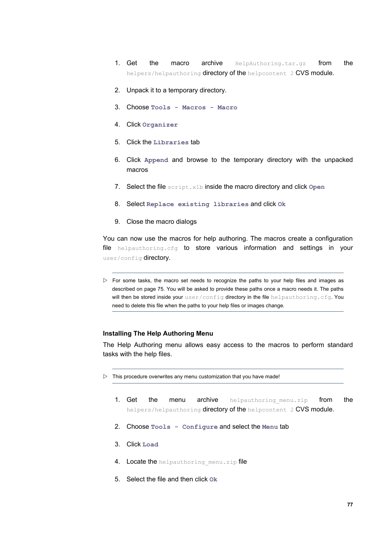- 1. Get the macro archive HelpAuthoring.tar.gz from the helpers/helpauthoring directory of the helpcontent 2 CVS module.
- 2. Unpack it to a temporary directory.
- 3. Choose **Tools Macros Macro**
- 4. Click **Organizer**
- 5. Click the **Libraries** tab
- 6. Click **Append** and browse to the temporary directory with the unpacked macros
- 7. Select the file script.xlb inside the macro directory and click **Open**
- 8. Select **Replace existing libraries** and click **Ok**
- 9. Close the macro dialogs

You can now use the macros for help authoring. The macros create a configuration file helpauthoring.cfg to store various information and settings in your user/config directory.

▷ For some tasks, the macro set needs to recognize the paths to your help files and images as described on page [75.](#page-74-0) You will be asked to provide these paths once a macro needs it. The paths will then be stored inside your user/config directory in the file helpauthoring.cfg. You need to delete this file when the paths to your help files or images change.

### **Installing The Help Authoring Menu**

The Help Authoring menu allows easy access to the macros to perform standard tasks with the help files.

▷ This procedure overwrites any menu customization that you have made!

- 1. Get the menu archive helpauthoring menu.zip from the helpers/helpauthoring directory of the helpcontent 2 CVS module.
- 2. Choose **Tools Configure** and select the **Menu** tab
- 3. Click **Load**
- 4. Locate the helpauthoring menu.zip file
- 5. Select the file and then click **Ok**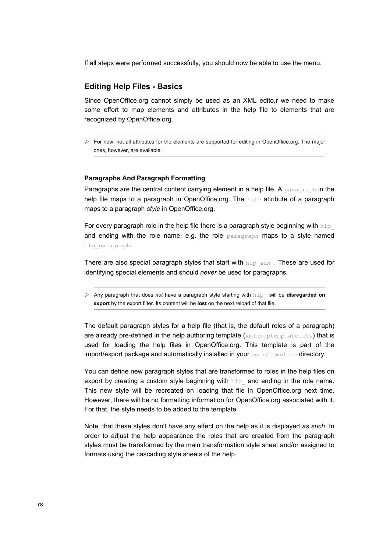If all steps were performed successfully, you should now be able to use the menu.

## **Editing Help Files - Basics**

Since OpenOffice.org cannot simply be used as an XML edito,r we need to make some effort to map elements and attributes in the help file to elements that are recognized by OpenOffice.org.

#### <span id="page-77-0"></span>**Paragraphs And Paragraph Formatting**

Paragraphs are the central content carrying element in a help file. A paragraph in the help file maps to a paragraph in OpenOffice.org. The role attribute of a paragraph maps to a paragraph *style* in OpenOffice.org.

For every paragraph role in the help file there is a paragraph style beginning with  $h\text{1p}$ and ending with the role name, e.g. the role paragraph maps to a style named hlp\_paragraph.

There are also special paragraph styles that start with  $h \log a u x$ . These are used for identifying special elements and should *never* be used for paragraphs.

▷ Any paragraph that does *not* have a paragraph style starting with hlp\_ will be **disregarded on export** by the export filter. Its content will be **lost** on the next reload of that file.

The default paragraph styles for a help file (that is, the default roles of a paragraph) are already pre-defined in the help authoring template ( $xm$ lhelptemplate.stw) that is used for loading the help files in OpenOffice.org. This template is part of the import/export package and automatically installed in your user/template directory.

You can define new paragraph styles that are transformed to roles in the help files on export by creating a custom style beginning with  $h1p$  and ending in the role name. This new style will be recreated on loading that file in OpenOffice.org next time. However, there will be no formatting information for OpenOffice.org associated with it. For that, the style needs to be added to the template.

Note, that these styles don't have any effect on the help as it is displayed *as such*. In order to adjust the help appearance the roles that are created from the paragraph styles must be transformed by the main transformation style sheet and/or assigned to formats using the cascading style sheets of the help.

<sup>▷</sup> For now, not all attributes for the elements are supported for editing in OpenOffice.org. The major ones, however, are available.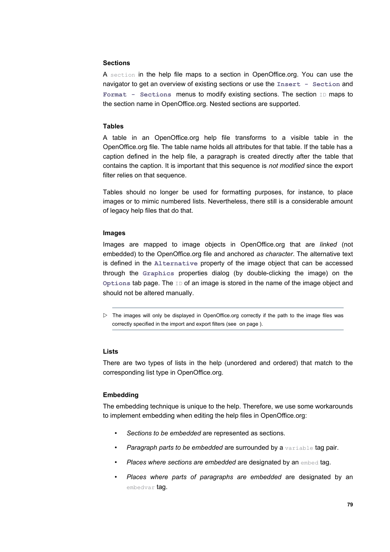#### **Sections**

A section in the help file maps to a section in OpenOffice.org. You can use the navigator to get an overview of existing sections or use the **Insert - Section** and **Format - Sections** menus to modify existing sections. The section ID maps to the section name in OpenOffice.org. Nested sections are supported.

#### **Tables**

A table in an OpenOffice.org help file transforms to a visible table in the OpenOffice.org file. The table name holds all attributes for that table. If the table has a caption defined in the help file, a paragraph is created directly after the table that contains the caption. It is important that this sequence is *not modified* since the export filter relies on that sequence.

Tables should no longer be used for formatting purposes, for instance, to place images or to mimic numbered lists. Nevertheless, there still is a considerable amount of legacy help files that do that.

#### **Images**

Images are mapped to image objects in OpenOffice.org that are *linked* (not embedded) to the OpenOffice.org file and anchored *as character*. The alternative text is defined in the **Alternative** property of the image object that can be accessed through the **Graphics** properties dialog (by double-clicking the image) on the **Options** tab page. The ID of an image is stored in the name of the image object and should not be altered manually.

<span id="page-78-1"></span><span id="page-78-0"></span>▷ The images will only be displayed in OpenOffice.org correctly if the path to the image files was correctly specified in the import and export filters (see on page [\)](#page-78-0).

#### **Lists**

There are two types of lists in the help (unordered and ordered) that match to the corresponding list type in OpenOffice.org.

#### **Embedding**

The embedding technique is unique to the help. Therefore, we use some workarounds to implement embedding when editing the help files in OpenOffice.org:

- *Sections to be embedded* are represented as sections.
- *Paragraph parts to be embedded* are surrounded by a variable tag pair.
- *Places where sections are embedded* are designated by an embed tag.
- *Places where parts of paragraphs are embedded* are designated by an embedvar tag.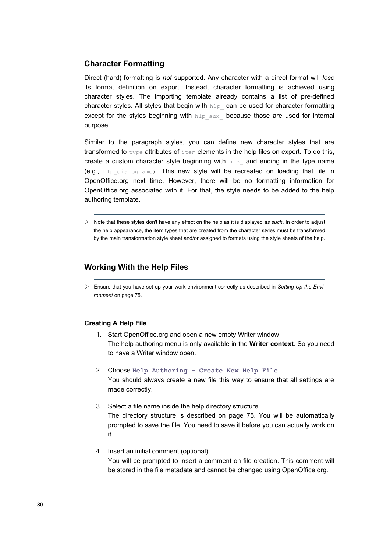## **Character Formatting**

Direct (hard) formatting is *not* supported. Any character with a direct format will *lose* its format definition on export. Instead, character formatting is achieved using character styles. The importing template already contains a list of pre-defined character styles. All styles that begin with  $h1p$  can be used for character formatting except for the styles beginning with  $h \ln p$  aux because those are used for internal purpose.

Similar to the paragraph styles, you can define new character styles that are transformed to  $t_{\text{ype}}$  attributes of  $t_{\text{temp}}$  elements in the help files on export. To do this, create a custom character style beginning with  $h1p$  and ending in the type name (e.g., hlp dialogname). This new style will be recreated on loading that file in OpenOffice.org next time. However, there will be no formatting information for OpenOffice.org associated with it. For that, the style needs to be added to the help authoring template.

▷ Note that these styles don't have any effect on the help as it is displayed *as such*. In order to adjust the help appearance, the item types that are created from the character styles must be transformed by the main transformation style sheet and/or assigned to formats using the style sheets of the help.

## **Working With the Help Files**

▷ Ensure that you have set up your work environment correctly as described in *[Setting](#page-74-1) Up the Envi[ronment](#page-74-1)* on page [75.](#page-74-1)

## **Creating A Help File**

- 1. Start OpenOffice.org and open a new empty Writer window. The help authoring menu is only available in the **Writer context**. So you need to have a Writer window open.
- 2. Choose **Help Authoring Create New Help File**. You should always create a new file this way to ensure that all settings are made correctly.
- 3. Select a file name inside the help directory structure The directory structure is described on page [75.](#page-74-0) You will be automatically prompted to save the file. You need to save it before you can actually work on it.
- 4. Insert an initial comment (optional) You will be prompted to insert a comment on file creation. This comment will be stored in the file metadata and cannot be changed using OpenOffice.org.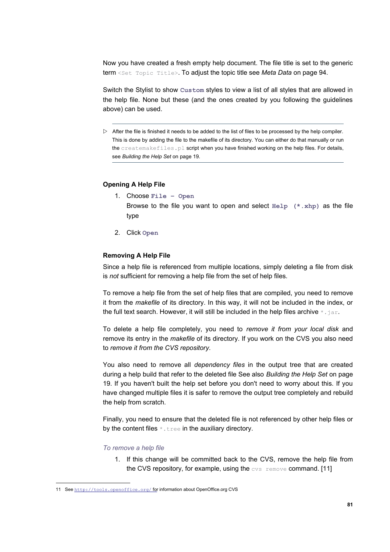Now you have created a fresh empty help document. The file title is set to the generic term <Set Topic Title>. To adjust the topic title see *[Meta](#page-93-0) Data* on page [94.](#page-93-0)

Switch the Stylist to show **Custom** styles to view a list of all styles that are allowed in the help file. None but these (and the ones created by you following the guidelines above) can be used.

▷ After the file is finished it needs to be added to the list of files to be processed by the help compiler. This is done by adding the file to the makefile of its directory. You can either do that manually or run the createmakefiles.pl script when you have finished working on the help files. For details, see *[Building the Help Set](#page-18-0)* on page [19.](#page-18-0)

#### **Opening A Help File**

- 1. Choose **File Open** Browse to the file you want to open and select **Help (\*.xhp)** as the file type
- 2. Click **Open**

### **Removing A Help File**

Since a help file is referenced from multiple locations, simply deleting a file from disk is *not* sufficient for removing a help file from the set of help files.

To remove a help file from the set of help files that are compiled, you need to remove it from the *makefile* of its directory. In this way, it will not be included in the index, or the full text search. However, it will still be included in the help files archive  $*$ . jar.

To delete a help file completely, you need to *remove it from your local disk* and remove its entry in the *makefile* of its directory. If you work on the CVS you also need to *remove it from the CVS repository*.

You also need to remove all *dependency files* in the output tree that are created during a help build that refer to the deleted file See also *[Building](#page-18-0) the Help Set* on page [19](#page-18-0). If you haven't built the help set before you don't need to worry about this. If you have changed multiple files it is safer to remove the output tree completely and rebuild the help from scratch.

Finally, you need to ensure that the deleted file is not referenced by other help files or by the content files  $*$ . tree in the auxiliary directory.

#### *To remove a help file*

1. If this change will be committed back to the CVS, remove the help file from the CVS repository, for example, using the  $\cos$  remove command. [[11\]](#page-80-0)

<span id="page-80-0"></span><sup>11</sup> See <http://tools.openoffice.org/> for information about OpenOffice.org CVS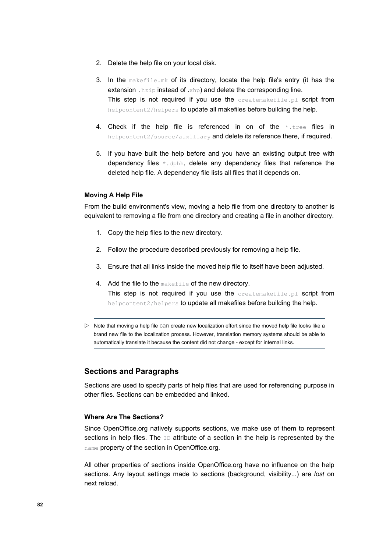- 2. Delete the help file on your local disk.
- 3. In the makefile.mk of its directory, locate the help file's entry (it has the extension . hzip instead of . xhp) and delete the corresponding line. This step is not required if you use the createmakefile.pl script from helpcontent2/helpers to update all makefiles before building the help.
- 4. Check if the help file is referenced in on of the  $*$ , tree files in helpcontent2/source/auxiliary and delete its reference there, if required.
- 5. If you have built the help before and you have an existing output tree with dependency files \*.dphh, delete any dependency files that reference the deleted help file. A dependency file lists all files that it depends on.

### **Moving A Help File**

From the build environment's view, moving a help file from one directory to another is equivalent to removing a file from one directory and creating a file in another directory.

- 1. Copy the help files to the new directory.
- 2. Follow the procedure described previously for removing a help file.
- 3. Ensure that all links inside the moved help file to itself have been adjusted.
- 4. Add the file to the makefile of the new directory. This step is not required if you use the createmakefile.pl script from helpcontent2/helpers to update all makefiles before building the help.

▷ Note that moving a help file can create new localization effort since the moved help file looks like a brand new file to the localization process. However, translation memory systems should be able to automatically translate it because the content did not change - except for internal links.

## **Sections and Paragraphs**

Sections are used to specify parts of help files that are used for referencing purpose in other files. Sections can be embedded and linked.

### **Where Are The Sections?**

Since OpenOffice.org natively supports sections, we make use of them to represent sections in help files. The  $ID$  attribute of a section in the help is represented by the name property of the section in OpenOffice.org.

All other properties of sections inside OpenOffice.org have no influence on the help sections. Any layout settings made to sections (background, visibility...) are *lost* on next reload.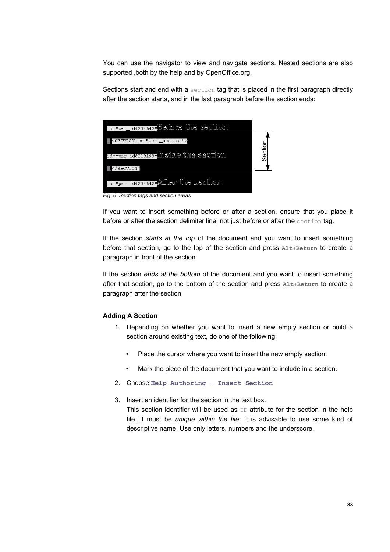You can use the navigator to view and navigate sections. Nested sections are also supported ,both by the help and by OpenOffice.org.

Sections start and end with a section tag that is placed in the first paragraph directly after the section starts, and in the last paragraph before the section ends:

| id="par_id4234642" Before the section |         |
|---------------------------------------|---------|
| <section id="test section"></section> |         |
| id="par_id8219199" Inside the section | Section |
| $<$ /SECTION>                         |         |
| id="par_id4234642" Affter the section |         |
|                                       |         |

*Fig. 6: Section tags and section areas*

If you want to insert something before or after a section, ensure that you place it before or after the section delimiter line, not just before or after the section tag.

If the section *starts at the top* of the document and you want to insert something before that section, go to the top of the section and press **Alt+Return** to create a paragraph in front of the section.

If the section *ends at the bottom* of the document and you want to insert something after that section, go to the bottom of the section and press **Alt+Return** to create a paragraph after the section.

#### **Adding A Section**

- 1. Depending on whether you want to insert a new empty section or build a section around existing text, do one of the following:
	- Place the cursor where you want to insert the new empty section.
	- Mark the piece of the document that you want to include in a section.
- 2. Choose **Help Authoring Insert Section**
- 3. Insert an identifier for the section in the text box. This section identifier will be used as  $ID$  attribute for the section in the help file. It must be *unique within the file*. It is advisable to use some kind of descriptive name. Use only letters, numbers and the underscore.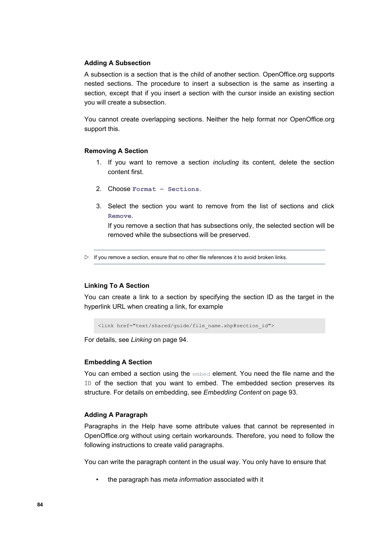#### **Adding A Subsection**

A subsection is a section that is the child of another section. OpenOffice.org supports nested sections. The procedure to insert a subsection is the same as inserting a section, except that if you insert a section with the cursor inside an existing section you will create a subsection.

You cannot create overlapping sections. Neither the help format nor OpenOffice.org support this.

#### **Removing A Section**

- 1. If you want to remove a section *including* its content, delete the section content first.
- 2. Choose **Format Sections**.
- 3. Select the section you want to remove from the list of sections and click **Remove**.

If you remove a section that has subsections only, the selected section will be removed while the subsections will be preserved.

 $\triangleright$  If you remove a section, ensure that no other file references it to avoid broken links.

### **Linking To A Section**

You can create a link to a section by specifying the section ID as the target in the hyperlink URL when creating a link, for example

<link href="text/shared/guide/file\_name.xhp#section\_id">

For details, see *[Linking](#page-93-1)* on page [94](#page-93-1).

#### **Embedding A Section**

You can embed a section using the embed element. You need the file name and the ID of the section that you want to embed. The embedded section preserves its structure. For details on embedding, see *[Embedding](#page-92-0) Content* on page [93.](#page-92-0)

#### **Adding A Paragraph**

Paragraphs in the Help have some attribute values that cannot be represented in OpenOffice.org without using certain workarounds. Therefore, you need to follow the following instructions to create valid paragraphs.

You can write the paragraph content in the usual way. You only have to ensure that

• the paragraph has *meta information* associated with it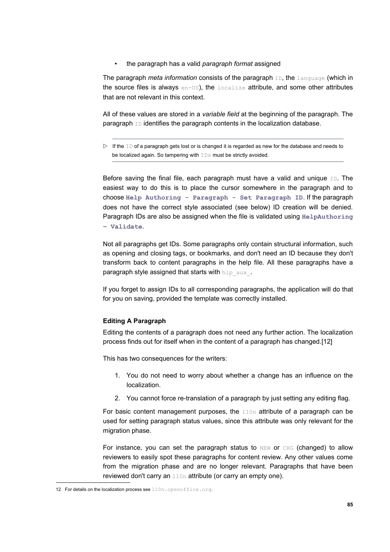• the paragraph has a valid *paragraph format* assigned

The paragraph *meta information* consists of the paragraph ID, the language (which in the source files is always  $en-US$ ), the  $localize$  attribute, and some other attributes that are not relevant in this context.

All of these values are stored in a *variable field* at the beginning of the paragraph. The paragraph ID identifies the paragraph contents in the localization database.

Before saving the final file, each paragraph must have a valid and unique  $ID$ . The easiest way to do this is to place the cursor somewhere in the paragraph and to choose **Help Authoring - Paragraph - Set Paragraph ID**. If the paragraph does not have the correct style associated (see below) ID creation will be denied. Paragraph IDs are also be assigned when the file is validated using **HelpAuthoring – Validate**.

Not all paragraphs get IDs. Some paragraphs only contain structural information, such as opening and closing tags, or bookmarks, and don't need an ID because they don't transform back to content paragraphs in the help file. All these paragraphs have a paragraph style assigned that starts with  $h1p$  aux.

If you forget to assign IDs to all corresponding paragraphs, the application will do that for you on saving, provided the template was correctly installed.

## **Editing A Paragraph**

Editing the contents of a paragraph does not need any further action. The localization process finds out for itself when in the content of a paragraph has changed.[\[12](#page-84-0)]

This has two consequences for the writers:

- 1. You do not need to worry about whether a change has an influence on the localization.
- 2. You cannot force re-translation of a paragraph by just setting any editing flag.

For basic content management purposes, the 110n attribute of a paragraph can be used for setting paragraph status values, since this attribute was only relevant for the migration phase.

For instance, you can set the paragraph status to NEW or CHG (changed) to allow reviewers to easily spot these paragraphs for content review. Any other values come from the migration phase and are no longer relevant. Paragraphs that have been reviewed don't carry an 110n attribute (or carry an empty one).

 $\triangleright$  If the ID of a paragraph gets lost or is changed it is regarded as new for the database and needs to be localized again. So tampering with IDs must be strictly avoided.

<span id="page-84-0"></span><sup>12</sup> For details on the localization process see 110n.openoffice.org.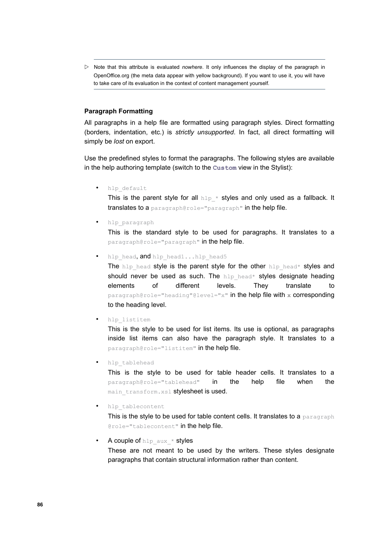▷ Note that this attribute is evaluated *nowhere*. It only influences the display of the paragraph in OpenOffice.org (the meta data appear with yellow background). If you want to use it, you will have to take care of its evaluation in the context of content management yourself.

#### **Paragraph Formatting**

All paragraphs in a help file are formatted using paragraph styles. Direct formatting (borders, indentation, etc.) is *strictly unsupported*. In fact, all direct formatting will simply be *lost* on export.

Use the predefined styles to format the paragraphs. The following styles are available in the help authoring template (switch to the **Custom** view in the Stylist):

• hlp\_default

This is the parent style for all  $h1p *$  styles and only used as a fallback. It translates to a paragraph@role="paragraph" in the help file.

• hlp\_paragraph

This is the standard style to be used for paragraphs. It translates to a paragraph@role="paragraph" in the help file.

hlp\_head, and hlp\_head1...hlp\_head5

The  $hlp$  head style is the parent style for the other  $hlp$  head\* styles and should never be used as such. The hlp head\* styles designate heading elements of different levels. They translate to paragraph@role="heading"@level="x" in the help file with x corresponding to the heading level.

hlp listitem

This is the style to be used for list items. Its use is optional, as paragraphs inside list items can also have the paragraph style. It translates to a paragraph@role="listitem" in the help file.

hlp tablehead

This is the style to be used for table header cells. It translates to a paragraph@role="tablehead" in the help file when the main transform.xsl stylesheet is used.

hlp\_tablecontent

This is the style to be used for table content cells. It translates to a paragraph @role="tablecontent" in the help file.

## A couple of  $hlp$  aux  $*$  styles

These are not meant to be used by the writers. These styles designate paragraphs that contain structural information rather than content.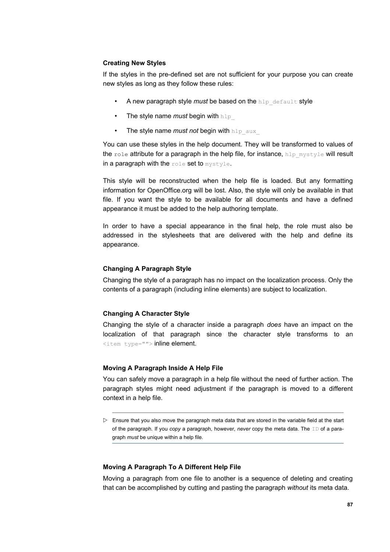#### **Creating New Styles**

If the styles in the pre-defined set are not sufficient for your purpose you can create new styles as long as they follow these rules:

- A new paragraph style *must* be based on the hlp default style
- **The style name** *must* **begin with hlp**
- **The style name** *must not* **begin with hlp aux**

You can use these styles in the help document. They will be transformed to values of the role attribute for a paragraph in the help file, for instance, hlp\_mystyle will result in a paragraph with the  $\text{role}$  set to  $\text{mvstuple.}$ 

This style will be reconstructed when the help file is loaded. But any formatting information for OpenOffice.org will be lost. Also, the style will only be available in that file. If you want the style to be available for all documents and have a defined appearance it must be added to the help authoring template.

In order to have a special appearance in the final help, the role must also be addressed in the stylesheets that are delivered with the help and define its appearance.

### **Changing A Paragraph Style**

Changing the style of a paragraph has no impact on the localization process. Only the contents of a paragraph (including inline elements) are subject to localization.

#### **Changing A Character Style**

Changing the style of a character inside a paragraph *does* have an impact on the localization of that paragraph since the character style transforms to an <item type=""> inline element.

#### **Moving A Paragraph Inside A Help File**

You can safely move a paragraph in a help file without the need of further action. The paragraph styles might need adjustment if the paragraph is moved to a different context in a help file.

#### **Moving A Paragraph To A Different Help File**

Moving a paragraph from one file to another is a sequence of deleting and creating that can be accomplished by cutting and pasting the paragraph *without* its meta data.

 $\triangleright$  Ensure that you also move the paragraph meta data that are stored in the variable field at the start of the paragraph. If you *copy* a paragraph, however, *never* copy the meta data. The ID of a paragraph *must* be unique within a help file.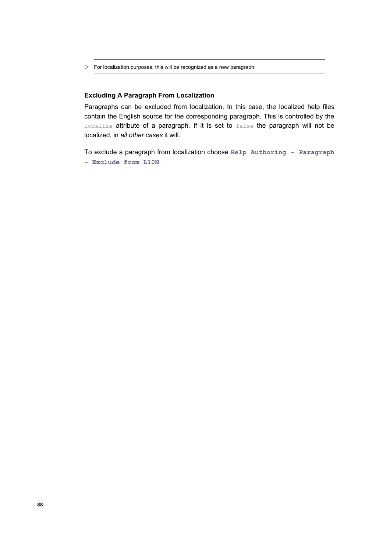▷ For localization purposes, this will be recognized as a new paragraph.

## **Excluding A Paragraph From Localization**

Paragraphs can be excluded from localization. In this case, the localized help files contain the English source for the corresponding paragraph. This is controlled by the localize attribute of a paragraph. If it is set to false the paragraph will not be localized, in *all other cases* it will.

To exclude a paragraph from localization choose **Help Authoring - Paragraph - Exclude from L10N**.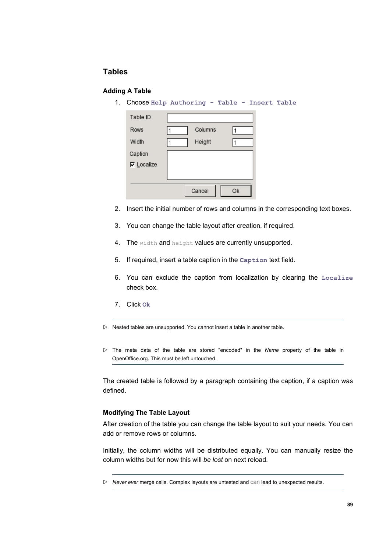## **Tables**

## **Adding A Table**

| 1. Choose Help Authoring - Table - Insert Table |  |  |  |
|-------------------------------------------------|--|--|--|
|                                                 |  |  |  |

| Table ID          |         |    |
|-------------------|---------|----|
| Rows              | Columns |    |
| Width             | Height  |    |
| Caption           |         |    |
| <b>⊽</b> Localize |         |    |
|                   |         |    |
|                   | Cancel  | Ok |

- 2. Insert the initial number of rows and columns in the corresponding text boxes.
- 3. You can change the table layout after creation, if required.
- 4. The width and height values are currently unsupported.
- 5. If required, insert a table caption in the **Caption** text field.
- 6. You can exclude the caption from localization by clearing the **Localize** check box.
- 7. Click **Ok**
- $\triangleright$  Nested tables are unsupported. You cannot insert a table in another table.
- ▷ The meta data of the table are stored "encoded" in the *Name* property of the table in OpenOffice.org. This must be left untouched.

The created table is followed by a paragraph containing the caption, if a caption was defined.

## **Modifying The Table Layout**

After creation of the table you can change the table layout to suit your needs. You can add or remove rows or columns.

Initially, the column widths will be distributed equally. You can manually resize the column widths but for now this will *be lost* on next reload.

<sup>▷</sup> *Never ever* merge cells. Complex layouts are untested and can lead to unexpected results.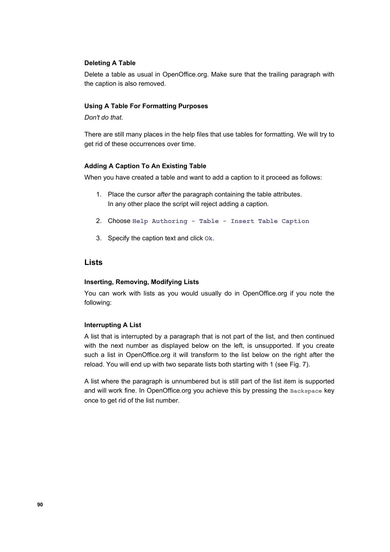## **Deleting A Table**

Delete a table as usual in OpenOffice.org. Make sure that the trailing paragraph with the caption is also removed.

#### **Using A Table For Formatting Purposes**

*Don't do that.*

There are still many places in the help files that use tables for formatting. We will try to get rid of these occurrences over time.

#### **Adding A Caption To An Existing Table**

When you have created a table and want to add a caption to it proceed as follows:

- 1. Place the cursor *after* the paragraph containing the table attributes. In any other place the script will reject adding a caption.
- 2. Choose **Help Authoring Table Insert Table Caption**
- 3. Specify the caption text and click **Ok**.

## **Lists**

#### **Inserting, Removing, Modifying Lists**

You can work with lists as you would usually do in OpenOffice.org if you note the following:

#### **Interrupting A List**

A list that is interrupted by a paragraph that is not part of the list, and then continued with the next number as displayed below on the left, is unsupported. If you create such a list in OpenOffice.org it will transform to the list below on the right after the reload. You will end up with two separate lists both starting with 1 (see [Fig.](#page-90-0) 7).

A list where the paragraph is unnumbered but is still part of the list item is supported and will work fine. In OpenOffice.org you achieve this by pressing the **Backspace** key once to get rid of the list number.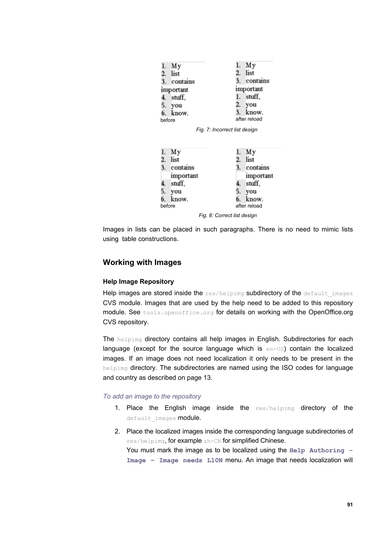|        | Mν         |    | Μy           |
|--------|------------|----|--------------|
| 2.     | list       | 2. | list         |
|        | contains   |    | 3. contains  |
|        | important  |    | important    |
|        | 4. stuff.  |    | 1. stuff,    |
|        | <b>vou</b> | 2. | you          |
|        | know.      |    | know.        |
| before |            |    | after reload |

<span id="page-90-0"></span>*Fig. 7: Incorrect list design*

| 1.               | My          |    | Μv           |
|------------------|-------------|----|--------------|
| $\overline{2}$ . | list        |    | list         |
|                  | 3. contains |    | contains     |
|                  | important   |    | important    |
| 4.               | stuff,      |    | stuff.       |
|                  | 5. you      | 5. | you          |
|                  | 6. know.    |    | know.        |
| before           |             |    | after reload |
|                  |             |    |              |

*Fig. 8: Correct list design*

Images in lists can be placed in such paragraphs. There is no need to mimic lists using table constructions.

## **Working with Images**

#### **Help Image Repository**

Help images are stored inside the res/helpimg subdirectory of the default images CVS module. Images that are used by the help need to be added to this repository module. See tools.openoffice.org for details on working with the OpenOffice.org CVS repository.

The helpimg directory contains all help images in English. Subdirectories for each language (except for the source language which is  $en-US$ ) contain the localized images. If an image does not need localization it only needs to be present in the helpimg directory. The subdirectories are named using the ISO codes for language and country as described on page [13.](#page-12-0)

#### *To add an image to the repository*

- 1. Place the English image inside the  $res/helpimg$  directory of the default images module.
- 2. Place the localized images inside the corresponding language subdirectories of res/helpimg, for example zh-CN for simplified Chinese. You must mark the image as to be localized using the **Help Authoring - Image – Image needs L10N** menu. An image that needs localization will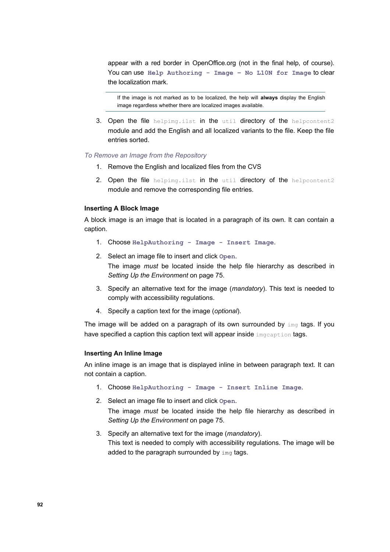appear with a red border in OpenOffice.org (not in the final help, of course). You can use **Help Authoring - Image – No L10N for Image** to clear the localization mark.

If the image is not marked as to be localized, the help will **always** display the English image regardless whether there are localized images available.

3. Open the file helpimg.ilst in the util directory of the helpcontent2 module and add the English and all localized variants to the file. Keep the file entries sorted.

#### *To Remove an Image from the Repository*

- 1. Remove the English and localized files from the CVS
- 2. Open the file helpimg.ilst in the util directory of the helpcontent2 module and remove the corresponding file entries.

#### **Inserting A Block Image**

A block image is an image that is located in a paragraph of its own. It can contain a caption.

- 1. Choose **HelpAuthoring Image Insert Image**.
- 2. Select an image file to insert and click **Open**. The image *must* be located inside the help file hierarchy as described in *Setting Up the [Environment](#page-74-1)* on page [75.](#page-74-1)
- 3. Specify an alternative text for the image (*mandatory*). This text is needed to comply with accessibility regulations.
- 4. Specify a caption text for the image (*optional*).

The image will be added on a paragraph of its own surrounded by img tags. If you have specified a caption this caption text will appear inside imgcaption tags.

#### **Inserting An Inline Image**

An inline image is an image that is displayed inline in between paragraph text. It can not contain a caption.

- 1. Choose **HelpAuthoring Image Insert Inline Image**.
- 2. Select an image file to insert and click **Open**. The image *must* be located inside the help file hierarchy as described in *Setting Up the [Environment](#page-74-1)* on page [75.](#page-74-1)
- 3. Specify an alternative text for the image (*mandatory*). This text is needed to comply with accessibility regulations. The image will be added to the paragraph surrounded by img tags.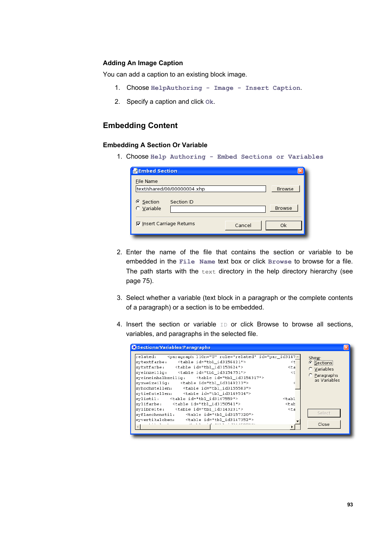## **Adding An Image Caption**

You can add a caption to an existing block image.

- 1. Choose **HelpAuthoring Image Insert Caption**.
- 2. Specify a caption and click **Ok**.

## <span id="page-92-0"></span>**Embedding Content**

#### **Embedding A Section Or Variable**

1. Choose **Help Authoring - Embed Sections or Variables**

| <b>Exempled Section</b>          |                             |        |        |
|----------------------------------|-----------------------------|--------|--------|
| File Name                        |                             |        |        |
|                                  | text/shared/00/00000004.xhp |        | Browse |
| C Section<br>$C$ Variable        | Section ID                  |        | Browse |
| $\nabla$ Insert Carriage Returns |                             | Cancel | Ok     |
|                                  |                             |        |        |

- 2. Enter the name of the file that contains the section or variable to be embedded in the **File Name** text box or click **Browse** to browse for a file. The path starts with the text directory in the help directory hierarchy (see page [75\)](#page-74-0).
- 3. Select whether a variable (text block in a paragraph or the complete contents of a paragraph) or a section is to be embedded.
- 4. Insert the section or variable ID or click Browse to browse all sections, variables, and paragraphs in the selected file.

| Sections/Variables/Paragraphs                                                                                                                                                                                                                                                                                                                                                                                                                                                                                                                                                                                                                                                                                                                                                                                                                                                                                                                                               |                                                                                       |
|-----------------------------------------------------------------------------------------------------------------------------------------------------------------------------------------------------------------------------------------------------------------------------------------------------------------------------------------------------------------------------------------------------------------------------------------------------------------------------------------------------------------------------------------------------------------------------------------------------------------------------------------------------------------------------------------------------------------------------------------------------------------------------------------------------------------------------------------------------------------------------------------------------------------------------------------------------------------------------|---------------------------------------------------------------------------------------|
| related:<br><paragraph 110n="U" id="par id3147-&lt;br&gt;&lt;table id=" id3156421"="" role="related" tbl=""><br/>sytextfarbe:<br/><math>&lt;</math>t<br/>sytxtfarbe: <table id="tbl id3153624"><br/><ta<br>syeinzeilig: <table id="tbl id3154751"><br/><math>&lt;</math>t<br/> syeineinhalbzeilig: <table id="tbl_id3154317"><br/> syzweizeilig:    <table id="tbl_id3149233"><br/>syhochstellen: <table id="tbl id3155583"><br/> svtiefstellen: <table id="tbl id3149514"><br/> sylistil: <table id="tbl_id3147559"><br/><math>tab1</math><br/>svlifarbe: <table id="tbl id3150541"><br/><math>&lt;</math>tab<br/>sylibreite: <table id="tbl_id3143231"><br/><math>&lt;</math>ta<br/>syflaechenstil: <table id="tbl id3157320"><br/>svvertikaloben: <table id="tbl id3147352"><br/>and a strain of the state<br/><b><i>C.A. History C.A. And Americans</i></b></table></table></table></table></table></table></table></table></table></table></ta<br></table></paragraph> | Show:<br>G Sections<br>C Variables<br>C Paragraphs<br>as Variables<br>Select<br>Close |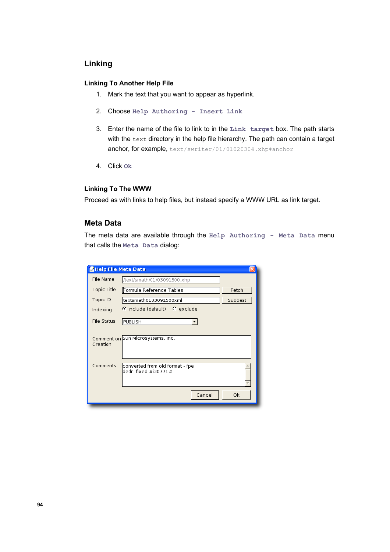## <span id="page-93-1"></span>**Linking**

## **Linking To Another Help File**

- 1. Mark the text that you want to appear as hyperlink.
- 2. Choose **Help Authoring Insert Link**
- 3. Enter the name of the file to link to in the **Link target** box. The path starts with the text directory in the help file hierarchy. The path can contain a target anchor, for example, text/swriter/01/01020304.xhp#anchor
- 4. Click **Ok**

## **Linking To The WWW**

Proceed as with links to help files, but instead specify a WWW URL as link target.

## <span id="page-93-0"></span>**Meta Data**

The meta data are available through the **Help Authoring - Meta Data** menu that calls the **Meta Data** dialog:

| <b>D</b> Help File Meta Data |                                                         |         |
|------------------------------|---------------------------------------------------------|---------|
| File Name                    | /text/smath/01/03091500.xhp                             |         |
| Topic Title                  | Formula Reference Tables                                | Fetch   |
| Topic ID                     | textsmath0103091500xml                                  | Suggest |
| Indexing                     | C include (default) C exclude                           |         |
| <b>File Status</b>           | PUBLISH                                                 |         |
| Creation                     | Comment on Sun Microsystems, Inc.                       |         |
| Comments                     | converted from old format - fpe<br>dedr: fixed #i30771# |         |
|                              | Cancel                                                  | Ok      |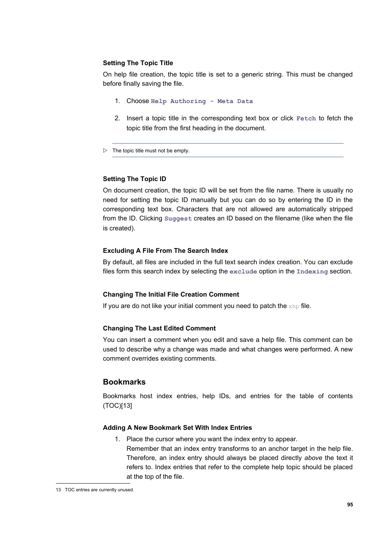### **Setting The Topic Title**

On help file creation, the topic title is set to a generic string. This must be changed before finally saving the file.

- 1. Choose **Help Authoring Meta Data**
- 2. Insert a topic title in the corresponding text box or click **Fetch** to fetch the topic title from the first heading in the document.

 $\triangleright$  The topic title must not be empty.

#### **Setting The Topic ID**

On document creation, the topic ID will be set from the file name. There is usually no need for setting the topic ID manually but you can do so by entering the ID in the corresponding text box. Characters that are not allowed are automatically stripped from the ID. Clicking **Suggest** creates an ID based on the filename (like when the file is created).

#### **Excluding A File From The Search Index**

By default, all files are included in the full text search index creation. You can exclude files form this search index by selecting the **exclude** option in the **Indexing** section.

#### **Changing The Initial File Creation Comment**

If you are do not like your initial comment you need to patch the  $xhp$  file.

#### **Changing The Last Edited Comment**

You can insert a comment when you edit and save a help file. This comment can be used to describe why a change was made and what changes were performed. A new comment overrides existing comments.

#### **Bookmarks**

Bookmarks host index entries, help IDs, and entries for the table of contents (TOC)[[13\]](#page-94-0)

#### **Adding A New Bookmark Set With Index Entries**

at the top of the file.

1. Place the cursor where you want the index entry to appear. Remember that an index entry transforms to an anchor target in the help file. Therefore, an index entry should always be placed directly *above* the text it refers to. Index entries that refer to the complete help topic should be placed

<span id="page-94-0"></span><sup>13</sup> TOC entries are currently unused.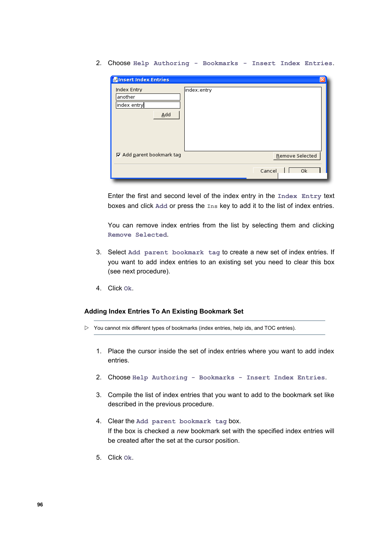2. Choose **Help Authoring - Bookmarks - Insert Index Entries**.

| <b>Minsert Index Entries</b>                 |                 |
|----------------------------------------------|-----------------|
| Index Entry<br>another<br>index entry<br>Add | index; entry    |
| $\nabla$ Add parent bookmark tag             | Remove Selected |
|                                              | Cancel<br>Ok    |

Enter the first and second level of the index entry in the **Index Entry** text boxes and click **Add** or press the **Ins** key to add it to the list of index entries.

You can remove index entries from the list by selecting them and clicking **Remove Selected**.

- 3. Select **Add parent bookmark tag** to create a new set of index entries. If you want to add index entries to an existing set you need to clear this box (see next procedure).
- 4. Click **Ok**.

#### **Adding Index Entries To An Existing Bookmark Set**

- ▷ You cannot mix different types of bookmarks (index entries, help ids, and TOC entries).
	- 1. Place the cursor inside the set of index entries where you want to add index entries.
	- 2. Choose **Help Authoring Bookmarks Insert Index Entries**.
	- 3. Compile the list of index entries that you want to add to the bookmark set like described in the previous procedure.
	- 4. Clear the **Add parent bookmark tag** box. If the box is checked a *new* bookmark set with the specified index entries will be created after the set at the cursor position.
	- 5. Click **Ok**.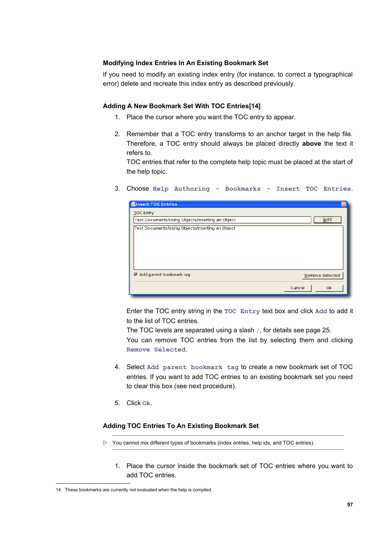#### **Modifying Index Entries In An Existing Bookmark Set**

If you need to modify an existing index entry (for instance, to correct a typographical error) delete and recreate this index entry as described previously.

#### **Adding A New Bookmark Set With TOC Entries[\[14](#page-96-0)]**

- 1. Place the cursor where you want the TOC entry to appear.
- 2. Remember that a TOC entry transforms to an anchor target in the help file. Therefore, a TOC entry should always be placed directly **above** the text it refers to.

TOC entries that refer to the complete help topic must be placed at the start of the help topic.

3. Choose **Help Authoring - Bookmarks - Insert TOC Entries**.

| <b>Exinsert TOC Entries</b>                      |                     |
|--------------------------------------------------|---------------------|
| TOC Entry                                        |                     |
| Text Documents/Using Objects/Inserting an Object | Add                 |
| Text Documents/Using Objects/Inserting an Object |                     |
| $\nabla$ Add parent bookmark tag                 | Remove Selected     |
|                                                  | Cancel<br><b>Ok</b> |

Enter the TOC entry string in the **TOC Entry** text box and click **Add** to add it to the list of TOC entries.

The TOC levels are separated using a slash /, for details see page [25.](#page-24-0) You can remove TOC entries from the list by selecting them and clicking **Remove Selected**.

- 4. Select **Add parent bookmark tag** to create a new bookmark set of TOC entries. If you want to add TOC entries to an existing bookmark set you need to clear this box (see next procedure).
- 5. Click **Ok**.

#### **Adding TOC Entries To An Existing Bookmark Set**

- ▷ You cannot mix different types of bookmarks (index entries, help ids, and TOC entries).
	- 1. Place the cursor inside the bookmark set of TOC entries where you want to add TOC entries.

<span id="page-96-0"></span><sup>14</sup> These bookmarks are currently not evaluated when the help is compiled.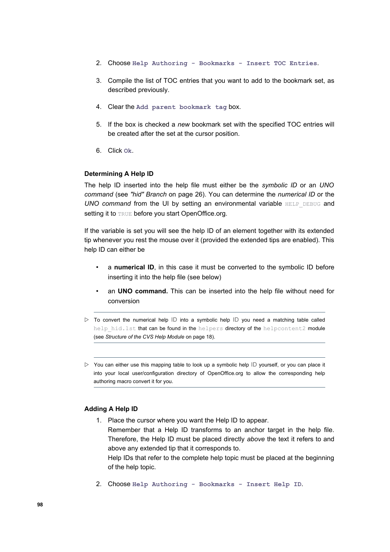- 2. Choose **Help Authoring Bookmarks Insert TOC Entries**.
- 3. Compile the list of TOC entries that you want to add to the bookmark set, as described previously.
- 4. Clear the **Add parent bookmark tag** box.
- 5. If the box is checked a *new* bookmark set with the specified TOC entries will be created after the set at the cursor position.
- 6. Click **Ok**.

### **Determining A Help ID**

The help ID inserted into the help file must either be the *symbolic ID* or an *UNO command* (see *"hid" [Branch](#page-25-0)* on page [26\)](#page-25-0). You can determine the *numerical ID* or the *UNO command* from the UI by setting an environmental variable HELP\_DEBUG and setting it to TRUE before you start OpenOffice.org.

If the variable is set you will see the help ID of an element together with its extended tip whenever you rest the mouse over it (provided the extended tips are enabled). This help ID can either be

- a **numerical ID**, in this case it must be converted to the symbolic ID before inserting it into the help file (see below)
- an **UNO command.** This can be inserted into the help file without need for conversion
- $\triangleright$  To convert the numerical help ID into a symbolic help ID you need a matching table called help hid.lst that can be found in the helpers directory of the helpcontent2 module (see *Structure of the CVS [Help Module](#page-17-0)* on page [18\)](#page-17-0).

▷ You can either use this mapping table to look up a symbolic help ID yourself, or you can place it into your local user/configuration directory of OpenOffice.org to allow the corresponding help authoring macro convert it for you.

## **Adding A Help ID**

1. Place the cursor where you want the Help ID to appear. Remember that a Help ID transforms to an anchor target in the help file. Therefore, the Help ID must be placed directly *above* the text it refers to and above any extended tip that it corresponds to. Help IDs that refer to the complete help topic must be placed at the beginning

of the help topic.

2. Choose **Help Authoring - Bookmarks - Insert Help ID**.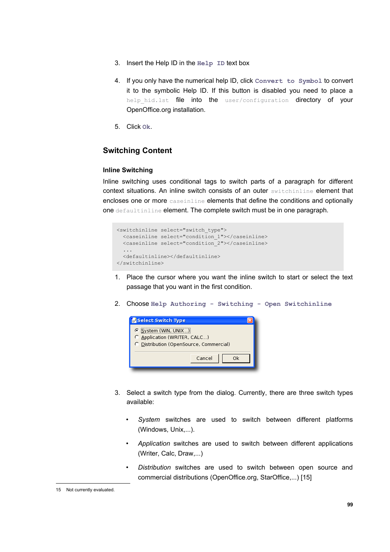- 3. Insert the Help ID in the **Help ID** text box
- 4. If you only have the numerical help ID, click **Convert to Symbol** to convert it to the symbolic Help ID. If this button is disabled you need to place a help hid.lst file into the user/configuration directory of your OpenOffice.org installation.
- 5. Click **Ok**.

## **Switching Content**

### **Inline Switching**

Inline switching uses conditional tags to switch parts of a paragraph for different context situations. An inline switch consists of an outer switchinline element that encloses one or more caseinline elements that define the conditions and optionally one defaultinline element. The complete switch must be in one paragraph.

```
<switchinline select="switch_type">
  <caseinline select="condition_1"></caseinline>
  <caseinline select="condition_2"></caseinline>
  ...
  <defaultinline></defaultinline>
</switchinline>
```
- 1. Place the cursor where you want the inline switch to start or select the text passage that you want in the first condition.
- 2. Choose **Help Authoring Switching Open Switchinline**



- 3. Select a switch type from the dialog. Currently, there are three switch types available:
	- *System* switches are used to switch between different platforms (Windows, Unix,...).
	- *Application* switches are used to switch between different applications (Writer, Calc, Draw,...)
	- *Distribution* switches are used to switch between open source and commercial distributions (OpenOffice.org, StarOffice,...) [[15\]](#page-98-0)

<span id="page-98-0"></span><sup>15</sup> Not currently evaluated.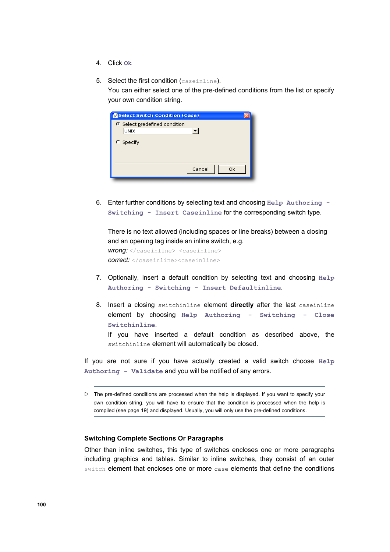- 4. Click **Ok**
- 5. Select the first condition (caseinline).

You can either select one of the pre-defined conditions from the list or specify your own condition string.

| Select Switch Condition (Case)                      |              |  |
|-----------------------------------------------------|--------------|--|
| <b>6</b> Select predefined condition<br><b>UNIX</b> |              |  |
| C Specify                                           |              |  |
|                                                     | Cancel<br>Ok |  |

6. Enter further conditions by selecting text and choosing **Help Authoring - Switching - Insert Caseinline** for the corresponding switch type.

There is no text allowed (including spaces or line breaks) between a closing and an opening tag inside an inline switch, e.g. *wrong:* </caseinline> <caseinline> *correct:* </caseinline><caseinline>

- 7. Optionally, insert a default condition by selecting text and choosing **Help Authoring - Switching - Insert Defaultinline**.
- 8. Insert a closing switchinline element **directly** after the last caseinline element by choosing **Help Authoring - Switching - Close Switchinline**.

If you have inserted a default condition as described above, the switchinline element will automatically be closed.

If you are not sure if you have actually created a valid switch choose **Help Authoring - Validate** and you will be notified of any errors.

▷ The pre-defined conditions are processed when the help is displayed. If you want to specify your own condition string, you will have to ensure that the condition is processed when the help is compiled (see page [19\)](#page-18-0) and displayed. Usually, you will only use the pre-defined conditions.

#### **Switching Complete Sections Or Paragraphs**

Other than inline switches, this type of switches encloses one or more paragraphs including graphics and tables. Similar to inline switches, they consist of an outer switch element that encloses one or more case elements that define the conditions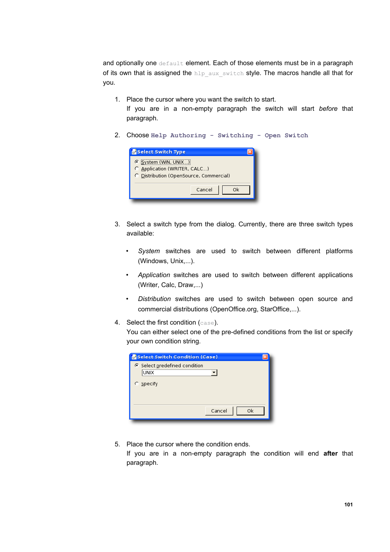and optionally one default element. Each of those elements must be in a paragraph of its own that is assigned the  $h1p\_aux\_switch$  style. The macros handle all that for you.

1. Place the cursor where you want the switch to start.

If you are in a non-empty paragraph the switch will start *before* that paragraph.

2. Choose **Help Authoring - Switching - Open Switch**

| Select Switch Type                                                                              |        |  |  |
|-------------------------------------------------------------------------------------------------|--------|--|--|
| G System (WIN, UNIX)<br>C Application (WRITER, CALC)<br>C Distribution (OpenSource, Commercial) |        |  |  |
|                                                                                                 | Cancel |  |  |

- 3. Select a switch type from the dialog. Currently, there are three switch types available:
	- *System* switches are used to switch between different platforms (Windows, Unix,...).
	- *Application* switches are used to switch between different applications (Writer, Calc, Draw,...)
	- *Distribution* switches are used to switch between open source and commercial distributions (OpenOffice.org, StarOffice,...).
- 4. Select the first condition (case).

You can either select one of the pre-defined conditions from the list or specify your own condition string.

| Select Switch Condition (Case)               |              |
|----------------------------------------------|--------------|
| G Select predefined condition<br><b>UNIX</b> |              |
| C Specify                                    |              |
|                                              | Cancel<br>0k |

5. Place the cursor where the condition ends.

If you are in a non-empty paragraph the condition will end **after** that paragraph.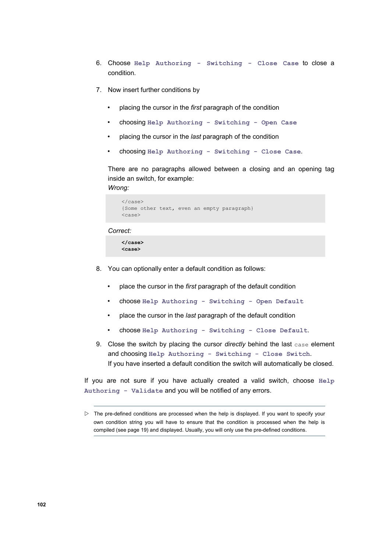- 6. Choose **Help Authoring - Switching - Close Case** to close a condition.
- 7. Now insert further conditions by
	- placing the cursor in the *first* paragraph of the condition
	- choosing **Help Authoring Switching Open Case**
	- placing the cursor in the *last* paragraph of the condition
	- choosing **Help Authoring Switching Close Case**.

There are no paragraphs allowed between a closing and an opening tag inside an switch, for example:

*Wrong:*

```
</case>
{Some other text, even an empty paragraph}
<case>
```
#### *Correct:*

```
</case>
<case>
```
- 8. You can optionally enter a default condition as follows:
	- place the cursor in the *first* paragraph of the default condition
	- choose **Help Authoring Switching Open Default**
	- place the cursor in the *last* paragraph of the default condition
	- choose **Help Authoring Switching Close Default**.
- 9. Close the switch by placing the cursor *directly* behind the last case element and choosing **Help Authoring - Switching - Close Switch**. If you have inserted a default condition the switch will automatically be closed.

If you are not sure if you have actually created a valid switch, choose **Help Authoring - Validate** and you will be notified of any errors.

<sup>▷</sup> The pre-defined conditions are processed when the help is displayed. If you want to specify your own condition string you will have to ensure that the condition is processed when the help is compiled (see page [19\)](#page-18-0) and displayed. Usually, you will only use the pre-defined conditions.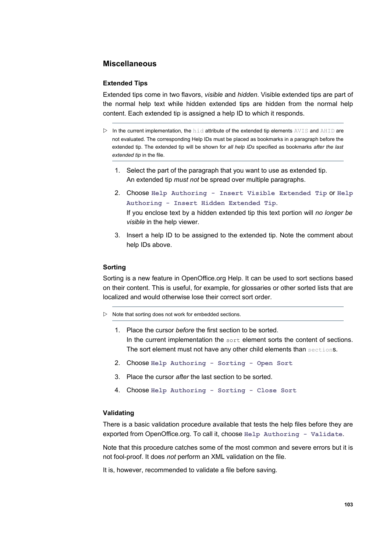## **Miscellaneous**

## **Extended Tips**

Extended tips come in two flavors, *visible* and *hidden*. Visible extended tips are part of the normal help text while hidden extended tips are hidden from the normal help content. Each extended tip is assigned a help ID to which it responds.

- $\triangleright$  In the current implementation, the hid attribute of the extended tip elements AVIS and AHID are not evaluated. The corresponding Help IDs must be placed as bookmarks in a paragraph before the extended tip. The extended tip will be shown for *all help IDs* specified as bookmarks *after the last extended tip* in the file.
	- 1. Select the part of the paragraph that you want to use as extended tip. An extended tip *must not* be spread over multiple paragraphs.
	- 2. Choose **Help Authoring - Insert Visible Extended Tip** or **Help Authoring - Insert Hidden Extended Tip**.

If you enclose text by a hidden extended tip this text portion will *no longer be visible* in the help viewer.

3. Insert a help ID to be assigned to the extended tip. Note the comment about help IDs above.

#### **Sorting**

Sorting is a new feature in OpenOffice.org Help. It can be used to sort sections based on their content. This is useful, for example, for glossaries or other sorted lists that are localized and would otherwise lose their correct sort order.

▷ Note that sorting does not work for embedded sections.

- 1. Place the cursor *before* the first section to be sorted. In the current implementation the sort element sorts the content of sections. The sort element must not have any other child elements than sections.
- 2. Choose **Help Authoring Sorting Open Sort**
- 3. Place the cursor *after* the last section to be sorted.
- 4. Choose **Help Authoring Sorting Close Sort**

## <span id="page-102-0"></span>**Validating**

There is a basic validation procedure available that tests the help files before they are exported from OpenOffice.org. To call it, choose **Help Authoring - Validate**.

Note that this procedure catches some of the most common and severe errors but it is not fool-proof. It does *not* perform an XML validation on the file.

It is, however, recommended to validate a file before saving.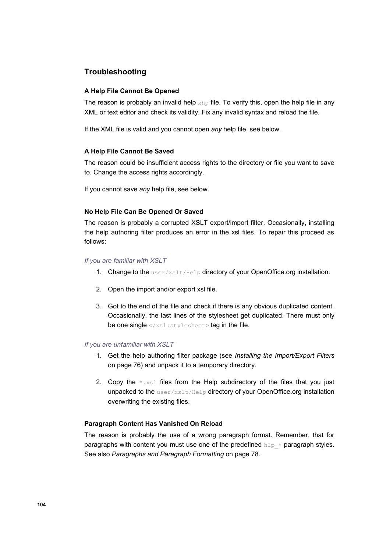## **Troubleshooting**

## **A Help File Cannot Be Opened**

The reason is probably an invalid help  $xhp$  file. To verify this, open the help file in any XML or text editor and check its validity. Fix any invalid syntax and reload the file.

If the XML file is valid and you cannot open *any* help file, see below.

### **A Help File Cannot Be Saved**

The reason could be insufficient access rights to the directory or file you want to save to. Change the access rights accordingly.

If you cannot save *any* help file, see below.

#### **No Help File Can Be Opened Or Saved**

The reason is probably a corrupted XSLT export/import filter. Occasionally, installing the help authoring filter produces an error in the xsl files. To repair this proceed as follows:

#### *If you are familiar with XSLT*

- 1. Change to the  $useer/xstt/He1p$  directory of your OpenOffice.org installation.
- 2. Open the import and/or export xsl file.
- 3. Got to the end of the file and check if there is any obvious duplicated content. Occasionally, the last lines of the stylesheet get duplicated. There must only be one single  $\langle x|$ xsl:stylesheet> tag in the file.

#### *If you are unfamiliar with XSLT*

- 1. Get the help authoring filter package (see *Installing the [Import/Export](#page-75-0) Filters* on page [76\)](#page-75-0) and unpack it to a temporary directory.
- 2. Copy the  $*$ ,  $x \le 1$  files from the Help subdirectory of the files that you just unpacked to the user/xslt/Help directory of your OpenOffice.org installation overwriting the existing files.

#### **Paragraph Content Has Vanished On Reload**

The reason is probably the use of a wrong paragraph format. Remember, that for paragraphs with content you must use one of the predefined  $h \ln p *$  paragraph styles. See also *[Paragraphs and](#page-77-0) Paragraph Formatting* on page [78](#page-77-0).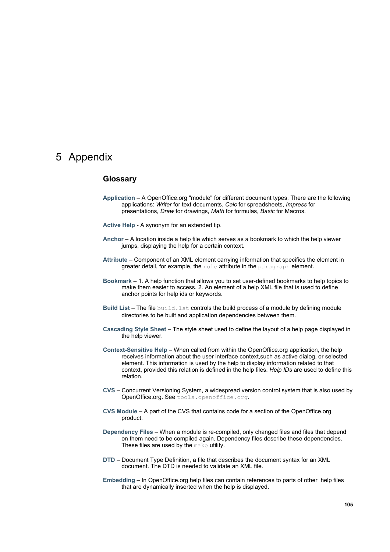## 5 Appendix

## **Glossary**

- **Application** A OpenOffice.org "module" for different document types. There are the following applications: *Writer* for text documents, *Calc* for spreadsheets, *Impress* for presentations, *Draw* for drawings, *Math* for formulas, *Basic* for Macros.
- **Active Help** A synonym for an extended tip.
- **Anchor** A location inside a help file which serves as a bookmark to which the help viewer jumps, displaying the help for a certain context.
- **Attribute** Component of an XML element carrying information that specifies the element in greater detail, for example, the role attribute in the paragraph element.
- **Bookmark** 1. A help function that allows you to set user-defined bookmarks to help topics to make them easier to access. 2. An element of a help XML file that is used to define anchor points for help ids or keywords.
- **Build List** The file build.lst controls the build process of a module by defining module directories to be built and application dependencies between them.
- **Cascading Style Sheet** The style sheet used to define the layout of a help page displayed in the help viewer.
- **Context-Sensitive Help** When called from within the OpenOffice.org application, the help receives information about the user interface context,such as active dialog, or selected element. This information is used by the help to display information related to that context, provided this relation is defined in the help files. *Help IDs* are used to define this relation.
- **CVS** Concurrent Versioning System, a widespread version control system that is also used by OpenOffice.org. See tools.openoffice.org.
- **CVS Module** A part of the CVS that contains code for a section of the OpenOffice.org product.
- **Dependency Files** When a module is re-compiled, only changed files and files that depend on them need to be compiled again. Dependency files describe these dependencies. These files are used by the make utility.
- **DTD** Document Type Definition, a file that describes the document syntax for an XML document. The DTD is needed to validate an XML file.
- **Embedding** In OpenOffice.org help files can contain references to parts of other help files that are dynamically inserted when the help is displayed.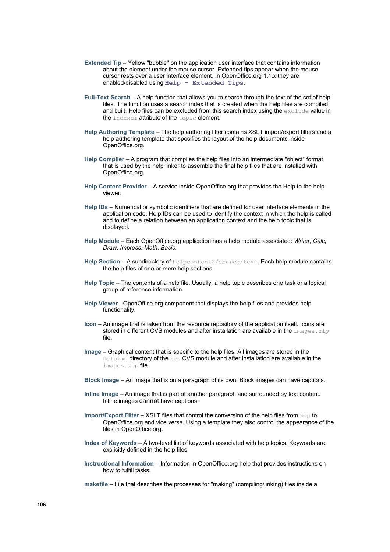- **Extended Tip** Yellow "bubble" on the application user interface that contains information about the element under the mouse cursor. Extended tips appear when the mouse cursor rests over a user interface element. In OpenOffice.org 1.1.x they are enabled/disabled using **Help – Extended Tips**.
- **Full-Text Search** A help function that allows you to search through the text of the set of help files. The function uses a search index that is created when the help files are compiled and built. Help files can be excluded from this search index using the exclude value in the indexer attribute of the topic element.
- **Help Authoring Template** The help authoring filter contains XSLT import/export filters and a help authoring template that specifies the layout of the help documents inside OpenOffice.org.
- **Help Compiler** A program that compiles the help files into an intermediate "object" format that is used by the help linker to assemble the final help files that are installed with OpenOffice.org.
- **Help Content Provider** A service inside OpenOffice.org that provides the Help to the help viewer.
- **Help IDs** Numerical or symbolic identifiers that are defined for user interface elements in the application code. Help IDs can be used to identify the context in which the help is called and to define a relation between an application context and the help topic that is displayed.
- **Help Module** Each OpenOffice.org application has a help module associated: *Writer*, *Calc*, *Draw*, *Impress*, *Math*, *Basic*.
- **Help Section A subdirectory of helpcontent2/source/text. Each help module contains** the help files of one or more help sections.
- **Help Topic** The contents of a help file. Usually, a help topic describes one task or a logical group of reference information.
- **Help Viewer** OpenOffice.org component that displays the help files and provides help functionality.
- **Icon** An image that is taken from the resource repository of the application itself. Icons are stored in different CVS modules and after installation are available in the  $\text{images.zip}$ file.
- **Image** Graphical content that is specific to the help files. All images are stored in the helpimg directory of the res CVS module and after installation are available in the images.zip file.
- **Block Image** An image that is on a paragraph of its own. Block images can have captions.
- **Inline Image** An image that is part of another paragraph and surrounded by text content. Inline images cannot have captions.
- **Import/Export Filter** XSLT files that control the conversion of the help files from xhp to OpenOffice.org and vice versa. Using a template they also control the appearance of the files in OpenOffice.org.
- **Index of Keywords** A two-level list of keywords associated with help topics. Keywords are explicitly defined in the help files.
- **Instructional Information** Information in OpenOffice.org help that provides instructions on how to fulfill tasks.
- **makefile** File that describes the processes for "making" (compiling/linking) files inside a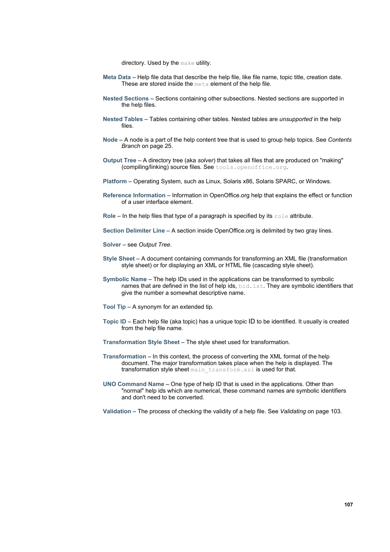directory. Used by the make utility.

- **Meta Data** Help file data that describe the help file, like file name, topic title, creation date. These are stored inside the meta element of the help file.
- **Nested Sections** Sections containing other subsections. Nested sections are supported in the help files.
- **Nested Tables** Tables containing other tables. Nested tables are *unsupported* in the help files.
- **Node** A node is a part of the help content tree that is used to group help topics. See *[Contents](#page-24-0) [Branch](#page-24-0)* on page [25.](#page-24-0)
- **Output Tree** A directory tree (aka *solver*) that takes all files that are produced on "making" (compiling/linking) source files. See tools.openoffice.org.
- **Platform** Operating System, such as Linux, Solaris x86, Solaris SPARC, or Windows.
- **Reference Information** Information in OpenOffice.org help that explains the effect or function of a user interface element.
- **Role** In the help files that type of a paragraph is specified by its role attribute.
- **Section Delimiter Line** A section inside OpenOffice.org is delimited by two gray lines.
- **Solver** see *Output Tree*.
- **Style Sheet** A document containing commands for transforming an XML file (transformation style sheet) or for displaying an XML or HTML file (cascading style sheet).
- **Symbolic Name** The help IDs used in the applications can be transformed to symbolic names that are defined in the list of help ids, hid.lst. They are symbolic identifiers that give the number a somewhat descriptive name.
- **Tool Tip** A synonym for an extended tip.
- **Topic ID** Each help file (aka topic) has a unique topic ID to be identified. It usually is created from the help file name.
- **Transformation Style Sheet** The style sheet used for transformation.
- **Transformation** In this context, the process of converting the XML format of the help document. The major transformation takes place when the help is displayed. The transformation style sheet main transform.xsl is used for that.
- **UNO Command Name** One type of help ID that is used in the applications. Other than "normal" help ids which are numerical, these command names are symbolic identifiers and don't need to be converted.
- **Validation** The process of checking the validity of a help file. See *[Validating](#page-102-0)* on page [103.](#page-102-0)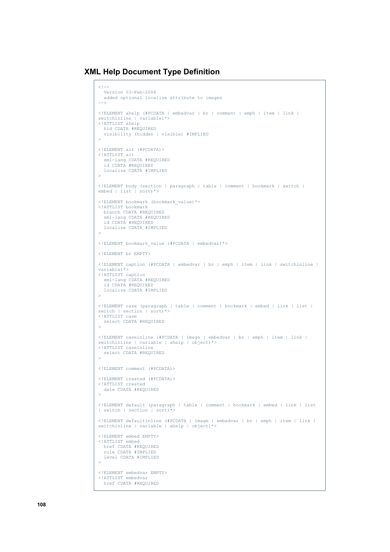**XML Help Document Type Definition**

```
< 1 - - Version 03-Feb-2006
   added optional localize attribute to images
-->
<!ELEMENT ahelp (#PCDATA | embedvar | br | comment | emph | item | link |
switchinline | variable)*>
<!ATTLIST ahelp
   hid CDATA #REQUIRED
   visibility (hidden | visible) #IMPLIED
>
<!ELEMENT alt (#PCDATA)>
<!ATTLIST alt
  xml-lang CDATA #REQUIRED
   id CDATA #REQUIRED
   localize CDATA #IMPLIED
>
<!ELEMENT body (section | paragraph | table | comment | bookmark | switch |
embed | list | sort)*>
<!ELEMENT bookmark (bookmark_value)*>
<!ATTLIST bookmark
  branch CDATA #REQUIRED
   xml-lang CDATA #REQUIRED
   id CDATA #REQUIRED
   localize CDATA #IMPLIED
\rightarrow<!ELEMENT bookmark_value (#PCDATA | embedvar)*>
<!ELEMENT br EMPTY>
<!ELEMENT caption (#PCDATA | embedvar | br | emph | item | link | switchinline |
variable)*>
<!ATTLIST caption
   xml-lang CDATA #REQUIRED
   id CDATA #REQUIRED
   localize CDATA #IMPLIED
>
<!ELEMENT case (paragraph | table | comment | bookmark | embed | link | list |
switch | section | sort) *>
<!ATTLIST case
  select CDATA #REQUIRED
\rightarrow<!ELEMENT caseinline (#PCDATA | image | embedvar | br | emph | item | link |
switchinline | variable | ahelp | object)*>
<!ATTLIST caseinline
   select CDATA #REQUIRED
>
<!ELEMENT comment (#PCDATA)>
<!ELEMENT created (#PCDATA)>
<!ATTLIST created
  date CDATA #REQUIRED
>
<!ELEMENT default (paragraph | table | comment | bookmark | embed | link | list
| switch | section | sort)*>
<!ELEMENT defaultinline (#PCDATA | image | embedvar | br | emph | item | link |
switchinline | variable | ahelp | object)*>
<!ELEMENT embed EMPTY>
<!ATTLIST embed
 href CDATA #REQUIRED
 role CDATA #IMPLIED
   level CDATA #IMPLIED
>
<!ELEMENT embedvar EMPTY>
<!ATTLIST embedvar
   href CDATA #REQUIRED
```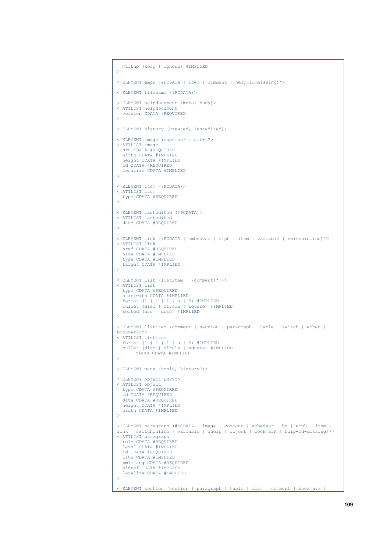```
 markup (keep | ignore) #IMPLIED
>
<!ELEMENT emph (#PCDATA | item | comment | help-id-missing)*>
<!ELEMENT filename (#PCDATA)>
<!ELEMENT helpdocument (meta, body)>
<!ATTLIST helpdocument
  version CDATA #REQUIRED
\rightarrow<!ELEMENT history (created, lastedited)>
<!ELEMENT image (caption* | alt+)?>
<!ATTLIST image
 src CDATA #REQUIRED
   width CDATA #IMPLIED
  height CDATA #IMPLIED
   id CDATA #REQUIRED
  localize CDATA #IMPLIED
>
<!ELEMENT item (#PCDATA)>
<!ATTLIST item
  type CDATA #REQUIRED
>
<!ELEMENT lastedited (#PCDATA)>
<!ATTLIST lastedited
  date CDATA #REQUIRED
>
<!ELEMENT link (#PCDATA | embedvar | emph | item | variable | switchinline)*>
<!ATTLIST link
  href CDATA #REQUIRED
  name CDATA #IMPLIED
   type CDATA #IMPLIED
  target CDATA #IMPLIED
\sim<!ELEMENT list (listitem | (comment)*)+>
<!ATTLIST list
  type CDATA #REQUIRED
   startwith CDATA #IMPLIED
 format (1 | i | I | a | A) #IMPLIED
 bullet (disc | circle | square) #IMPLIED
  sorted (asc | desc) #IMPLIED
\sim<!ELEMENT listitem (comment | section | paragraph | table | switch | embed |
bookmark)*>
<!ATTLIST listitem
 format (1 | i | I | a | A) #IMPLIED
 bullet (disc | circle | square) #IMPLIED
       class CDATA #IMPLIED
\rightarrow<!ELEMENT meta (topic, history?)>
<!ELEMENT object EMPTY>
<!ATTLIST object
  type CDATA #REQUIRED
   id CDATA #REQUIRED
  data CDATA #REQUIRED
  height CDATA #IMPLIED
  width CDATA #IMPLIED
>
<!ELEMENT paragraph (#PCDATA | image | comment | embedvar | br | emph | item |
link | switchinline | variable | ahelp | object | bookmark | help-id-missing)*>
<!ATTLIST paragraph
  role CDATA #REQUIRED
   level CDATA #IMPLIED
   id CDATA #REQUIRED
   l10n CDATA #IMPLIED
   xml-lang CDATA #REQUIRED
   oldref CDATA #IMPLIED
   localize CDATA #IMPLIED
\rightarrow<!ELEMENT section (section | paragraph | table | list | comment | bookmark |
```